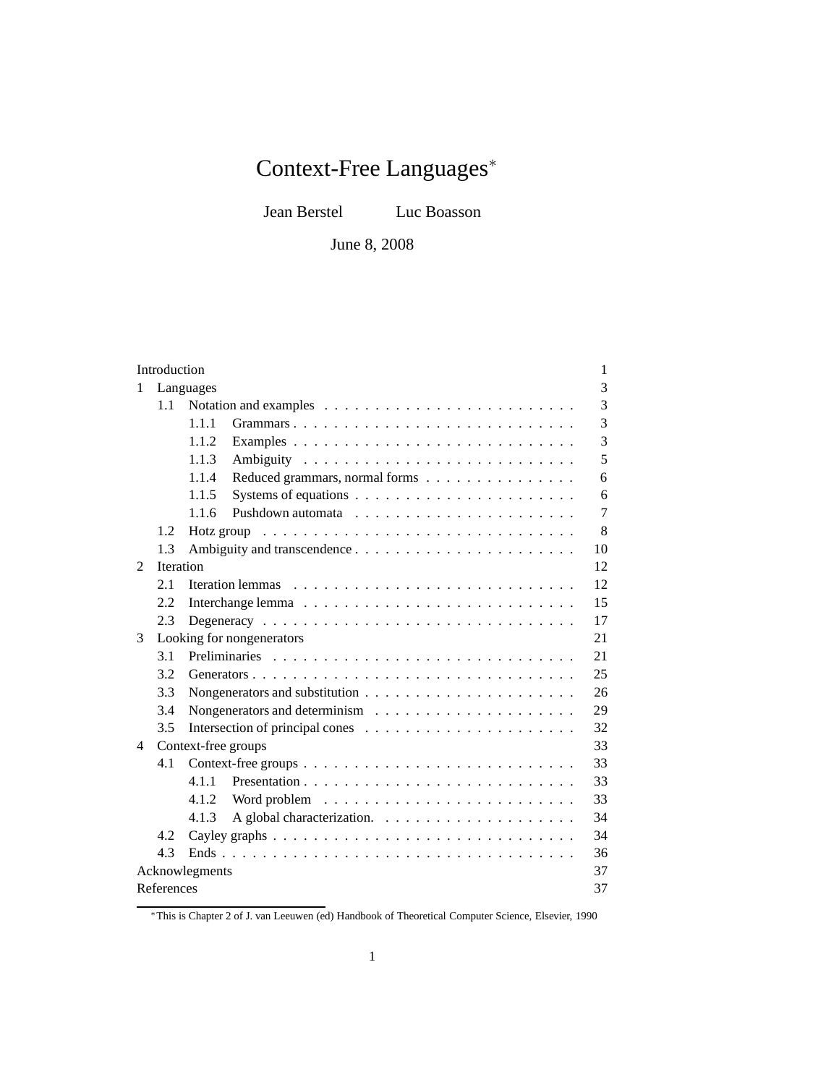# Context-Free Languages<sup>∗</sup>

Jean Berstel Luc Boasson

June 8, 2008

| Introduction   |                  |                                                                                       | 1  |
|----------------|------------------|---------------------------------------------------------------------------------------|----|
| 1              |                  | Languages                                                                             | 3  |
|                | 1.1              |                                                                                       | 3  |
|                |                  | 1.1.1<br>Grammars                                                                     | 3  |
|                |                  | 1.1.2<br>Examples                                                                     | 3  |
|                |                  | 1.1.3                                                                                 | 5  |
|                |                  | 1.1.4<br>Reduced grammars, normal forms                                               | 6  |
|                |                  | 1.1.5                                                                                 | 6  |
|                |                  | 1.1.6                                                                                 | 7  |
|                | 1.2              | Hotz group $\dots \dots \dots \dots \dots \dots \dots \dots \dots \dots \dots \dots$  | 8  |
|                | 1.3              |                                                                                       | 10 |
| $\mathcal{L}$  | <b>Iteration</b> |                                                                                       | 12 |
|                | 2.1              |                                                                                       | 12 |
|                | 2.2              |                                                                                       | 15 |
|                | 2.3              |                                                                                       | 17 |
| 3              |                  | Looking for nongenerators                                                             | 21 |
|                | 3.1              |                                                                                       | 21 |
|                | 3.2              |                                                                                       | 25 |
|                | 3.3              | Nongenerators and substitution $\ldots \ldots \ldots \ldots \ldots \ldots \ldots$     | 26 |
|                | 3.4              | Nongenerators and determinism $\dots \dots \dots \dots \dots \dots \dots$             | 29 |
|                | 3.5              |                                                                                       | 32 |
| 4              |                  | Context-free groups                                                                   | 33 |
|                | 4.1              |                                                                                       | 33 |
|                |                  | 4.1.1                                                                                 | 33 |
|                |                  | 4.1.2                                                                                 | 33 |
|                |                  | 4.1.3                                                                                 | 34 |
|                | 4.2.             | Cayley graphs $\ldots \ldots \ldots \ldots \ldots \ldots \ldots \ldots \ldots \ldots$ | 34 |
|                | 4.3              |                                                                                       | 36 |
| Acknowlegments |                  |                                                                                       | 37 |
| References     |                  |                                                                                       |    |

<sup>∗</sup>This is Chapter 2 of J. van Leeuwen (ed) Handbook of Theoretical Computer Science, Elsevier, 1990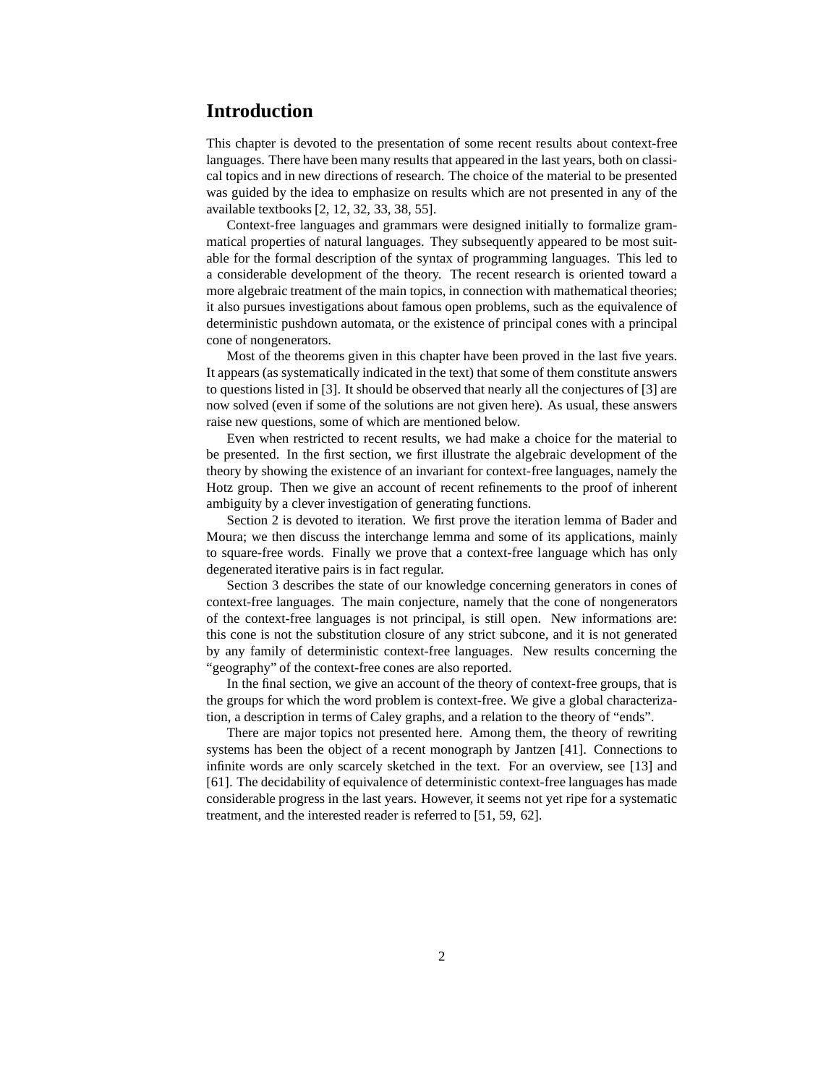# **Introduction**

This chapter is devoted to the presentation of some recent results about context-free languages. There have been many results that appeared in the last years, both on classical topics and in new directions of research. The choice of the material to be presented was guided by the idea to emphasize on results which are not presented in any of the available textbooks [2, 12, 32, 33, 38, 55].

Context-free languages and grammars were designed initially to formalize grammatical properties of natural languages. They subsequently appeared to be most suitable for the formal description of the syntax of programming languages. This led to a considerable development of the theory. The recent research is oriented toward a more algebraic treatment of the main topics, in connection with mathematical theories; it also pursues investigations about famous open problems, such as the equivalence of deterministic pushdown automata, or the existence of principal cones with a principal cone of nongenerators.

Most of the theorems given in this chapter have been proved in the last five years. It appears (as systematically indicated in the text) that some of them constitute answers to questions listed in [3]. It should be observed that nearly all the conjectures of [3] are now solved (even if some of the solutions are not given here). As usual, these answers raise new questions, some of which are mentioned below.

Even when restricted to recent results, we had make a choice for the material to be presented. In the first section, we first illustrate the algebraic development of the theory by showing the existence of an invariant for context-free languages, namely the Hotz group. Then we give an account of recent refinements to the proof of inherent ambiguity by a clever investigation of generating functions.

Section 2 is devoted to iteration. We first prove the iteration lemma of Bader and Moura; we then discuss the interchange lemma and some of its applications, mainly to square-free words. Finally we prove that a context-free language which has only degenerated iterative pairs is in fact regular.

Section 3 describes the state of our knowledge concerning generators in cones of context-free languages. The main conjecture, namely that the cone of nongenerators of the context-free languages is not principal, is still open. New informations are: this cone is not the substitution closure of any strict subcone, and it is not generated by any family of deterministic context-free languages. New results concerning the "geography" of the context-free cones are also reported.

In the final section, we give an account of the theory of context-free groups, that is the groups for which the word problem is context-free. We give a global characterization, a description in terms of Caley graphs, and a relation to the theory of "ends".

There are major topics not presented here. Among them, the theory of rewriting systems has been the object of a recent monograph by Jantzen [41]. Connections to infinite words are only scarcely sketched in the text. For an overview, see [13] and [61]. The decidability of equivalence of deterministic context-free languages has made considerable progress in the last years. However, it seems not yet ripe for a systematic treatment, and the interested reader is referred to [51, 59, 62].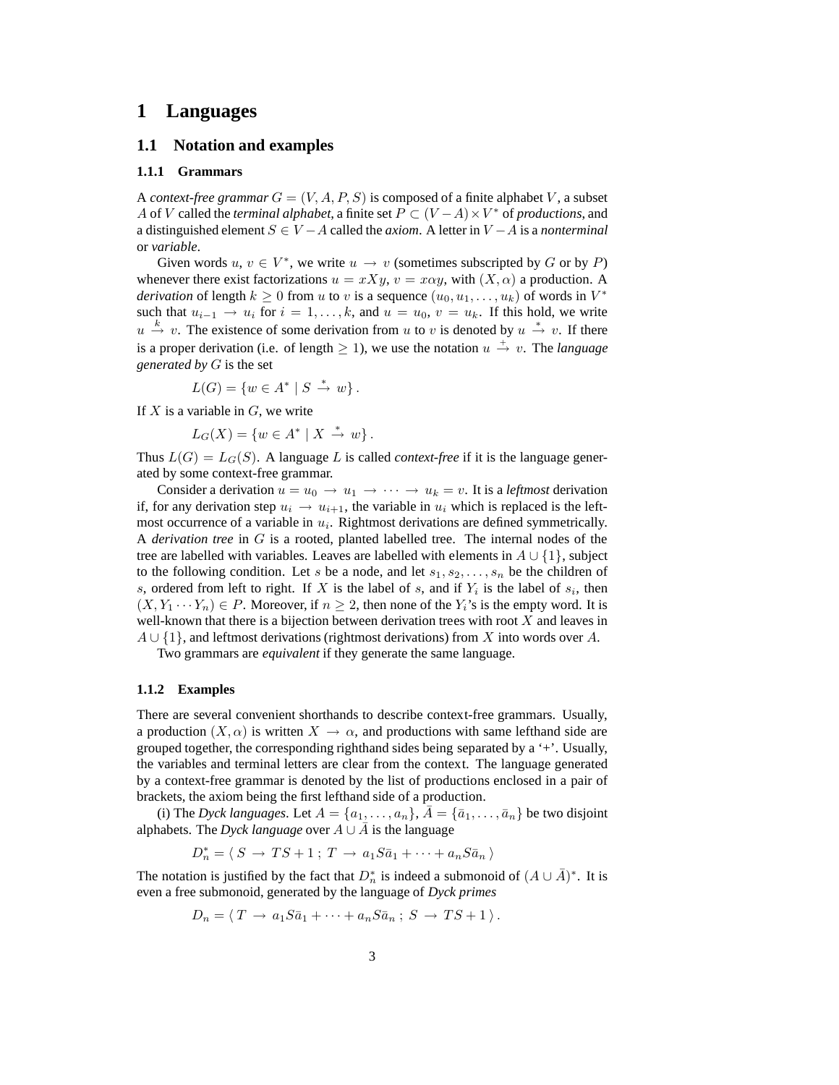## **1 Languages**

## **1.1 Notation and examples**

### **1.1.1 Grammars**

A *context-free grammar*  $G = (V, A, P, S)$  is composed of a finite alphabet V, a subset A of V called the *terminal alphabet*, a finite set  $P \subset (V - A) \times V^*$  of *productions*, and a distinguished element S ∈ V −A called the *axiom*. A letter in V −A is a *nonterminal* or *variable*.

Given words  $u, v \in V^*$ , we write  $u \to v$  (sometimes subscripted by G or by P) whenever there exist factorizations  $u = xXy$ ,  $v = x\alpha y$ , with  $(X, \alpha)$  a production. A *derivation* of length  $k \geq 0$  from u to v is a sequence  $(u_0, u_1, \dots, u_k)$  of words in  $V^*$ such that  $u_{i-1} \to u_i$  for  $i = 1, \ldots, k$ , and  $u = u_0, v = u_k$ . If this hold, we write  $u \stackrel{k}{\rightarrow} v$ . The existence of some derivation from u to v is denoted by  $u \stackrel{*}{\rightarrow} v$ . If there is a proper derivation (i.e. of length  $\geq 1$ ), we use the notation  $u \stackrel{+}{\rightarrow} v$ . The *language generated by* G is the set

$$
L(G) = \{ w \in A^* \mid S \stackrel{*}{\rightarrow} w \}.
$$

If  $X$  is a variable in  $G$ , we write

 $L_G(X) = \{ w \in A^* \mid X \stackrel{*}{\to} w \}.$ 

Thus  $L(G) = L_G(S)$ . A language L is called *context-free* if it is the language generated by some context-free grammar.

Consider a derivation  $u = u_0 \to u_1 \to \cdots \to u_k = v$ . It is a *leftmost* derivation if, for any derivation step  $u_i \rightarrow u_{i+1}$ , the variable in  $u_i$  which is replaced is the leftmost occurrence of a variable in  $u_i$ . Rightmost derivations are defined symmetrically. A *derivation tree* in G is a rooted, planted labelled tree. The internal nodes of the tree are labelled with variables. Leaves are labelled with elements in  $A \cup \{1\}$ , subject to the following condition. Let s be a node, and let  $s_1, s_2, \ldots, s_n$  be the children of s, ordered from left to right. If X is the label of s, and if  $Y_i$  is the label of  $s_i$ , then  $(X, Y_1 \cdots Y_n) \in P$ . Moreover, if  $n \geq 2$ , then none of the  $Y_i$ 's is the empty word. It is well-known that there is a bijection between derivation trees with root  $X$  and leaves in  $A \cup \{1\}$ , and leftmost derivations (rightmost derivations) from X into words over A.

Two grammars are *equivalent* if they generate the same language.

#### **1.1.2 Examples**

There are several convenient shorthands to describe context-free grammars. Usually, a production  $(X, \alpha)$  is written  $X \to \alpha$ , and productions with same lefthand side are grouped together, the corresponding righthand sides being separated by a '+'. Usually, the variables and terminal letters are clear from the context. The language generated by a context-free grammar is denoted by the list of productions enclosed in a pair of brackets, the axiom being the first lefthand side of a production.

(i) The *Dyck languages*. Let  $A = \{a_1, \ldots, a_n\}$ ,  $\overline{A} = \{\overline{a}_1, \ldots, \overline{a}_n\}$  be two disjoint alphabets. The *Dyck language* over  $A \cup \overline{A}$  is the language

$$
D_n^* = \langle S \to TS + 1 \, ; \, T \to a_1 S \overline{a}_1 + \cdots + a_n S \overline{a}_n \, \rangle
$$

The notation is justified by the fact that  $D_n^*$  is indeed a submonoid of  $(A \cup \overline{A})^*$ . It is even a free submonoid, generated by the language of *Dyck primes*

$$
D_n = \langle T \to a_1 S \bar{a}_1 + \cdots + a_n S \bar{a}_n ; S \to TS + 1 \rangle.
$$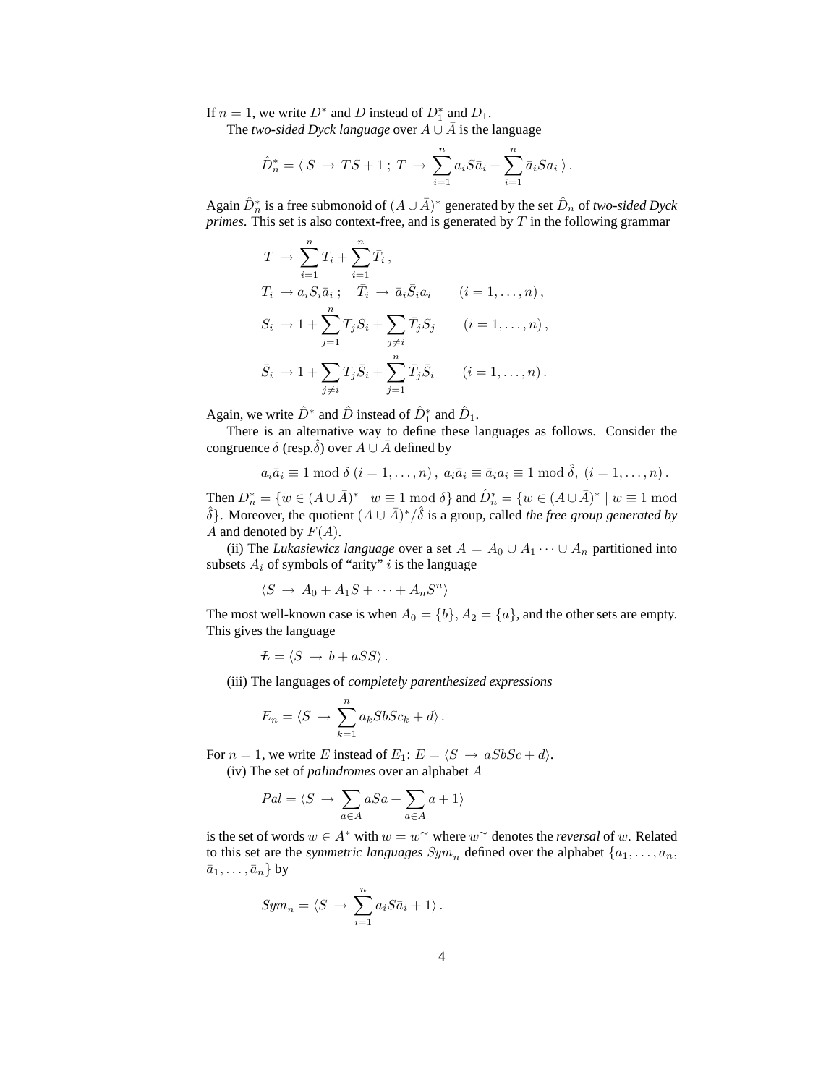If  $n = 1$ , we write  $D^*$  and D instead of  $D_1^*$  and  $D_1$ .

The *two-sided Dyck language* over  $A \cup \overline{A}$  is the language

$$
\hat{D}_n^* = \langle S \to TS + 1 \, ; \, T \to \sum_{i=1}^n a_i S \overline{a}_i + \sum_{i=1}^n \overline{a}_i S a_i \, \rangle \, .
$$

Again  $\hat{D}_n^*$  is a free submonoid of  $(A \cup \bar{A})^*$  generated by the set  $\hat{D}_n$  of *two-sided Dyck primes*. This set is also context-free, and is generated by T in the following grammar

$$
T \rightarrow \sum_{i=1}^{n} T_i + \sum_{i=1}^{n} \overline{T}_i ,
$$
  
\n
$$
T_i \rightarrow a_i S_i \overline{a}_i ; \quad \overline{T}_i \rightarrow \overline{a}_i \overline{S}_i a_i \qquad (i = 1, ..., n),
$$
  
\n
$$
S_i \rightarrow 1 + \sum_{j=1}^{n} T_j S_i + \sum_{j \neq i} \overline{T}_j S_j \qquad (i = 1, ..., n),
$$
  
\n
$$
\overline{S}_i \rightarrow 1 + \sum_{j \neq i} T_j \overline{S}_i + \sum_{j=1}^{n} \overline{T}_j \overline{S}_i \qquad (i = 1, ..., n).
$$

Again, we write  $\hat{D}^*$  and  $\hat{D}$  instead of  $\hat{D}_1^*$  and  $\hat{D}_1$ .

There is an alternative way to define these languages as follows. Consider the congruence  $\delta$  (resp. $\delta$ ) over  $A \cup A$  defined by

$$
a_i\overline{a}_i \equiv 1 \mod \delta \ (i = 1,\ldots,n), \ a_i\overline{a}_i \equiv \overline{a}_i a_i \equiv 1 \mod \hat{\delta}, \ (i = 1,\ldots,n).
$$

Then  $D_n^* = \{w \in (A \cup \overline{A})^* \mid w \equiv 1 \mod \delta\}$  and  $\hat{D}_n^* = \{w \in (A \cup \overline{A})^* \mid w \equiv 1 \mod \delta\}$  $\hat{\delta}$ . Moreover, the quotient  $(A \cup \bar{A})^*/\hat{\delta}$  is a group, called *the free group generated by* A and denoted by  $F(A)$ .

(ii) The *Lukasiewicz language* over a set  $A = A_0 \cup A_1 \cdots \cup A_n$  partitioned into subsets  $A_i$  of symbols of "arity" i is the language

$$
\langle S \to A_0 + A_1 S + \cdots + A_n S^n \rangle
$$

The most well-known case is when  $A_0 = \{b\}, A_2 = \{a\}$ , and the other sets are empty. This gives the language

$$
L = \langle S \, \rightarrow \, b + a S S \rangle \, .
$$

(iii) The languages of *completely parenthesized expressions*

$$
E_n = \langle S \rangle \to \sum_{k=1}^n a_k SbSc_k + d \rangle.
$$

For  $n = 1$ , we write E instead of  $E_1$ :  $E = \langle S \rightarrow aSbSc + d \rangle$ .

(iv) The set of *palindromes* over an alphabet A

$$
Pal = \langle S \rangle \rightarrow \sum_{a \in A} aSa + \sum_{a \in A} a + 1 \rangle
$$

is the set of words  $w \in A^*$  with  $w = w^{\sim}$  where  $w^{\sim}$  denotes the *reversal* of w. Related to this set are the *symmetric languages*  $Sym_n$  defined over the alphabet  $\{a_1, \ldots, a_n\}$  $\bar{a}_1, \ldots, \bar{a}_n$  by

$$
Sym_n = \langle S \rangle \to \sum_{i=1}^n a_i S \bar{a}_i + 1 \rangle \, .
$$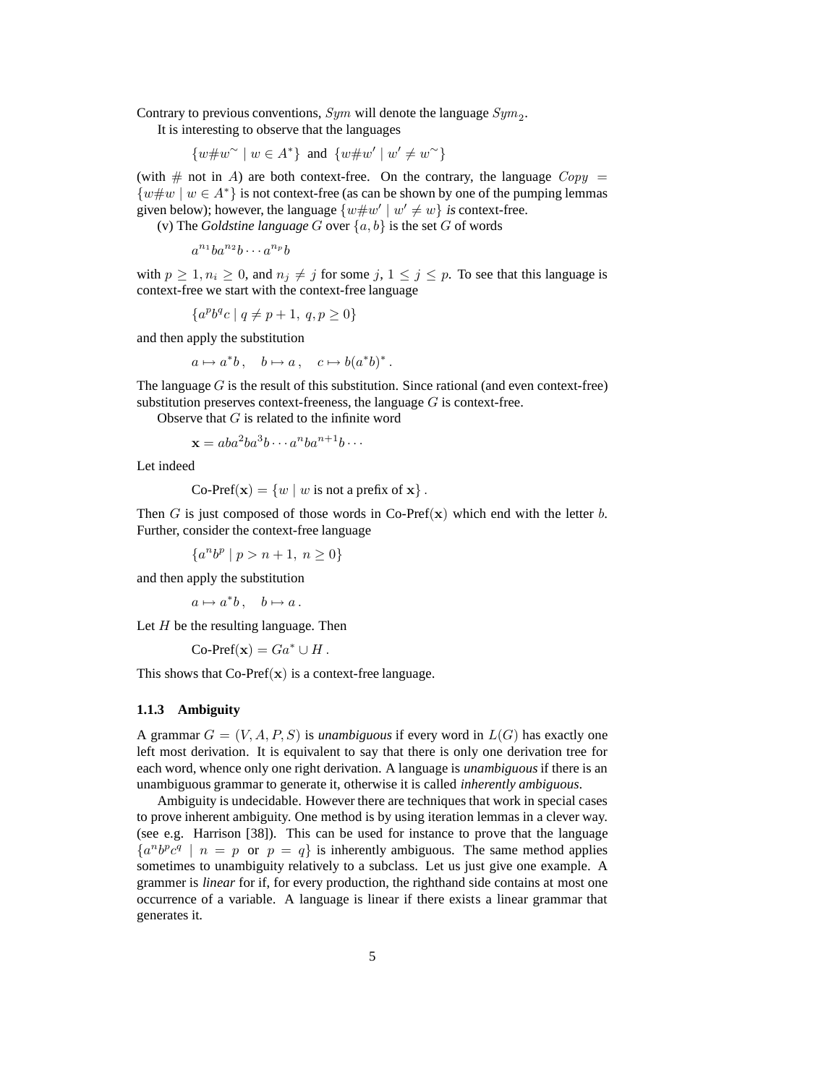Contrary to previous conventions,  $Sym$  will denote the language  $Sym_2$ .

It is interesting to observe that the languages

 $\{w\#w^{\sim} \mid w \in A^*\}\$ and  $\{w\#w' \mid w'\neq w^{\sim}\}$ 

(with  $\#$  not in A) are both context-free. On the contrary, the language  $Copy =$  $\{w\#w \mid w \in A^*\}$  is not context-free (as can be shown by one of the pumping lemmas given below); however, the language  $\{w \# w' \mid w' \neq w\}$  is context-free.

(v) The *Goldstine language*  $G$  over  $\{a, b\}$  is the set  $G$  of words

$$
a^{n_1}ba^{n_2}b\cdots a^{n_p}b
$$

with  $p \ge 1, n_i \ge 0$ , and  $n_j \ne j$  for some  $j, 1 \le j \le p$ . To see that this language is context-free we start with the context-free language

$$
\{a^pb^qc \mid q \neq p+1,\ q,p \geq 0\}
$$

and then apply the substitution

$$
a\mapsto a^*b\,,\quad b\mapsto a\,,\quad c\mapsto b(a^*b)^*\,.
$$

The language  $G$  is the result of this substitution. Since rational (and even context-free) substitution preserves context-freeness, the language  $G$  is context-free.

Observe that  $G$  is related to the infinite word

$$
\mathbf{x} = aba^2ba^3b\cdots a^nba^{n+1}b\cdots
$$

Let indeed

Co-Pref(
$$
\mathbf{x}
$$
) = {w | w is not a prefix of  $\mathbf{x}$  }.

Then G is just composed of those words in Co-Pref(x) which end with the letter b. Further, consider the context-free language

 ${a^n b^p \mid p > n + 1, n \ge 0}$ 

and then apply the substitution

$$
a\mapsto a^*b\,,\quad b\mapsto a\,.
$$

Let  $H$  be the resulting language. Then

$$
Co\text{-}\mathsf{Pref}(\mathbf{x}) = Ga^* \cup H.
$$

This shows that  $Co-Pref(x)$  is a context-free language.

#### **1.1.3 Ambiguity**

A grammar  $G = (V, A, P, S)$  is *unambiguous* if every word in  $L(G)$  has exactly one left most derivation. It is equivalent to say that there is only one derivation tree for each word, whence only one right derivation. A language is *unambiguous*if there is an unambiguous grammar to generate it, otherwise it is called *inherently ambiguous*.

Ambiguity is undecidable. However there are techniques that work in special cases to prove inherent ambiguity. One method is by using iteration lemmas in a clever way. (see e.g. Harrison [38]). This can be used for instance to prove that the language  ${a^n b^p c^q \mid n = p \text{ or } p = q}$  is inherently ambiguous. The same method applies sometimes to unambiguity relatively to a subclass. Let us just give one example. A grammer is *linear* for if, for every production, the righthand side contains at most one occurrence of a variable. A language is linear if there exists a linear grammar that generates it.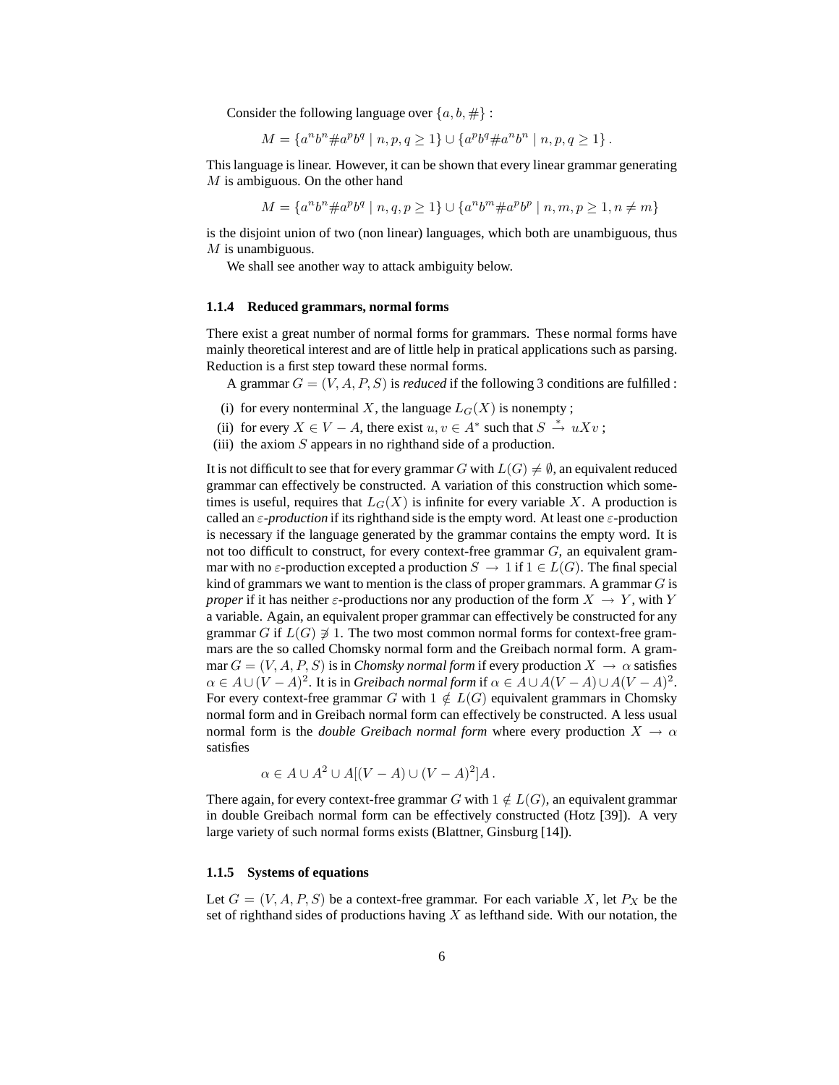Consider the following language over  $\{a, b, \# \}$ :

$$
M=\left\{a^nb^n\#a^pb^q\mid n,p,q\geq 1\right\}\cup\left\{a^pb^q\#a^nb^n\mid n,p,q\geq 1\right\}.
$$

This language is linear. However, it can be shown that every linear grammar generating  $M$  is ambiguous. On the other hand

 $M = \{a^n b^n \# a^p b^q \mid n, q, p \ge 1\} \cup \{a^n b^m \# a^p b^p \mid n, m, p \ge 1, n \ne m\}$ 

is the disjoint union of two (non linear) languages, which both are unambiguous, thus  $M$  is unambiguous.

We shall see another way to attack ambiguity below.

#### **1.1.4 Reduced grammars, normal forms**

There exist a great number of normal forms for grammars. These normal forms have mainly theoretical interest and are of little help in pratical applications such as parsing. Reduction is a first step toward these normal forms.

A grammar  $G = (V, A, P, S)$  is *reduced* if the following 3 conditions are fulfilled :

- (i) for every nonterminal X, the language  $L_G(X)$  is nonempty;
- (ii) for every  $X \in V A$ , there exist  $u, v \in A^*$  such that  $S \stackrel{*}{\to} uXv$ ;
- (iii) the axiom  $S$  appears in no righthand side of a production.

It is not difficult to see that for every grammar G with  $L(G) \neq \emptyset$ , an equivalent reduced grammar can effectively be constructed. A variation of this construction which sometimes is useful, requires that  $L_G(X)$  is infinite for every variable X. A production is called an ε-*production* if its righthand side is the empty word. At least one ε-production is necessary if the language generated by the grammar contains the empty word. It is not too difficult to construct, for every context-free grammar  $G$ , an equivalent grammar with no  $\varepsilon$ -production excepted a production  $S \to 1$  if  $1 \in L(G)$ . The final special kind of grammars we want to mention is the class of proper grammars. A grammar  $G$  is *proper* if it has neither  $\varepsilon$ -productions nor any production of the form  $X \to Y$ , with Y a variable. Again, an equivalent proper grammar can effectively be constructed for any grammar G if  $L(G) \neq 1$ . The two most common normal forms for context-free grammars are the so called Chomsky normal form and the Greibach normal form. A grammar  $G = (V, A, P, S)$  is in *Chomsky normal form* if every production  $X \to \alpha$  satisfies  $\alpha \in A \cup (V - A)^2$ . It is in *Greibach normal form* if  $\alpha \in A \cup A(V - A) \cup A(V - A)^2$ . For every context-free grammar G with  $1 \notin L(G)$  equivalent grammars in Chomsky normal form and in Greibach normal form can effectively be constructed. A less usual normal form is the *double Greibach normal form* where every production  $X \to \alpha$ satisfies

$$
\alpha \in A \cup A^2 \cup A[(V - A) \cup (V - A)^2]A.
$$

There again, for every context-free grammar G with  $1 \notin L(G)$ , an equivalent grammar in double Greibach normal form can be effectively constructed (Hotz [39]). A very large variety of such normal forms exists (Blattner, Ginsburg [14]).

### **1.1.5 Systems of equations**

Let  $G = (V, A, P, S)$  be a context-free grammar. For each variable X, let  $P_X$  be the set of righthand sides of productions having  $X$  as lefthand side. With our notation, the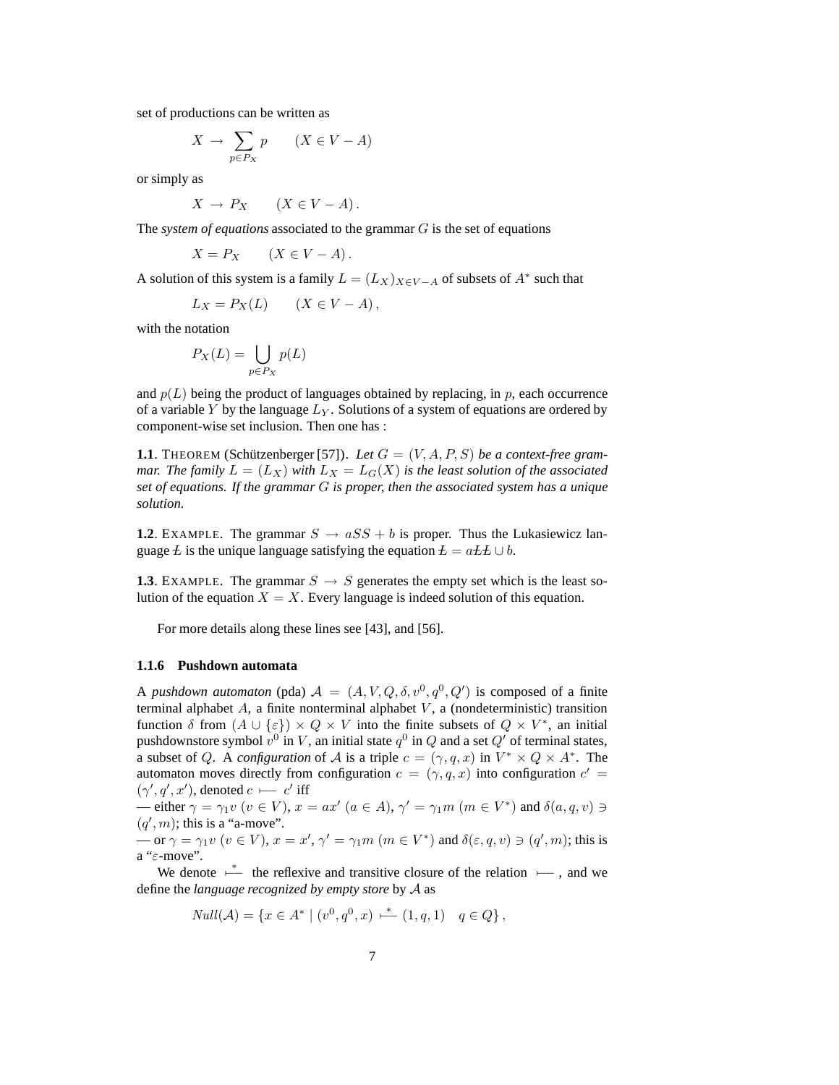set of productions can be written as

$$
X \to \sum_{p \in P_X} p \qquad (X \in V - A)
$$

or simply as

$$
X \to P_X \qquad (X \in V - A).
$$

The *system of equations* associated to the grammar G is the set of equations

$$
X = P_X \qquad (X \in V - A).
$$

A solution of this system is a family  $L = (L_X)_{X \in V - A}$  of subsets of  $A^*$  such that

$$
L_X = P_X(L) \qquad (X \in V - A),
$$

with the notation

$$
P_X(L) = \bigcup_{p \in P_X} p(L)
$$

and  $p(L)$  being the product of languages obtained by replacing, in p, each occurrence of a variable Y by the language  $L_Y$ . Solutions of a system of equations are ordered by component-wise set inclusion. Then one has :

**1.1**. THEOREM (Schützenberger [57]). Let  $G = (V, A, P, S)$  be a context-free gram*mar. The family*  $L = (L_X)$  *with*  $L_X = L_G(X)$  *is the least solution of the associated set of equations. If the grammar* G *is proper, then the associated system has a unique solution.*

**1.2.** EXAMPLE. The grammar  $S \rightarrow aSS + b$  is proper. Thus the Lukasiewicz language  $\overline{L}$  is the unique language satisfying the equation  $\overline{L} = a \overline{L} \overline{L} \cup b$ .

**1.3**. EXAMPLE. The grammar  $S \rightarrow S$  generates the empty set which is the least solution of the equation  $X = X$ . Every language is indeed solution of this equation.

For more details along these lines see [43], and [56].

#### **1.1.6 Pushdown automata**

A *pushdown automaton* (pda)  $A = (A, V, Q, \delta, v^0, q^0, Q')$  is composed of a finite terminal alphabet  $A$ , a finite nonterminal alphabet  $V$ , a (nondeterministic) transition function  $\delta$  from  $(A \cup \{\epsilon\}) \times Q \times V$  into the finite subsets of  $Q \times V^*$ , an initial pushdownstore symbol  $v^0$  in V, an initial state  $q^0$  in Q and a set Q' of terminal states, a subset of Q. A *configuration* of A is a triple  $c = (\gamma, q, x)$  in  $V^* \times Q \times A^*$ . The automaton moves directly from configuration  $c = (\gamma, q, x)$  into configuration  $c' =$  $(\gamma', q', x')$ , denoted  $c \longleftarrow c'$  iff

— either  $\gamma = \gamma_1 v \ (v \in V), x = ax' \ (a \in A), \gamma' = \gamma_1 m \ (m \in V^*)$  and  $\delta(a, q, v) \ni$  $(q', m)$ ; this is a "a-move".

 $\text{or } \gamma = \gamma_1 v \ (v \in V), x = x', \gamma' = \gamma_1 m \ (m \in V^*) \text{ and } \delta(\varepsilon, q, v) \ni (q', m); \text{ this is}$ a "ε-move".

We denote  $\stackrel{*}{\longleftarrow}$  the reflexive and transitive closure of the relation  $\longleftarrow$ , and we define the *language recognized by empty store* by A as

$$
Null(\mathcal{A}) = \{ x \in A^* \mid (v^0, q^0, x) \stackrel{*}{\longleftarrow} (1, q, 1) \mid q \in Q \},
$$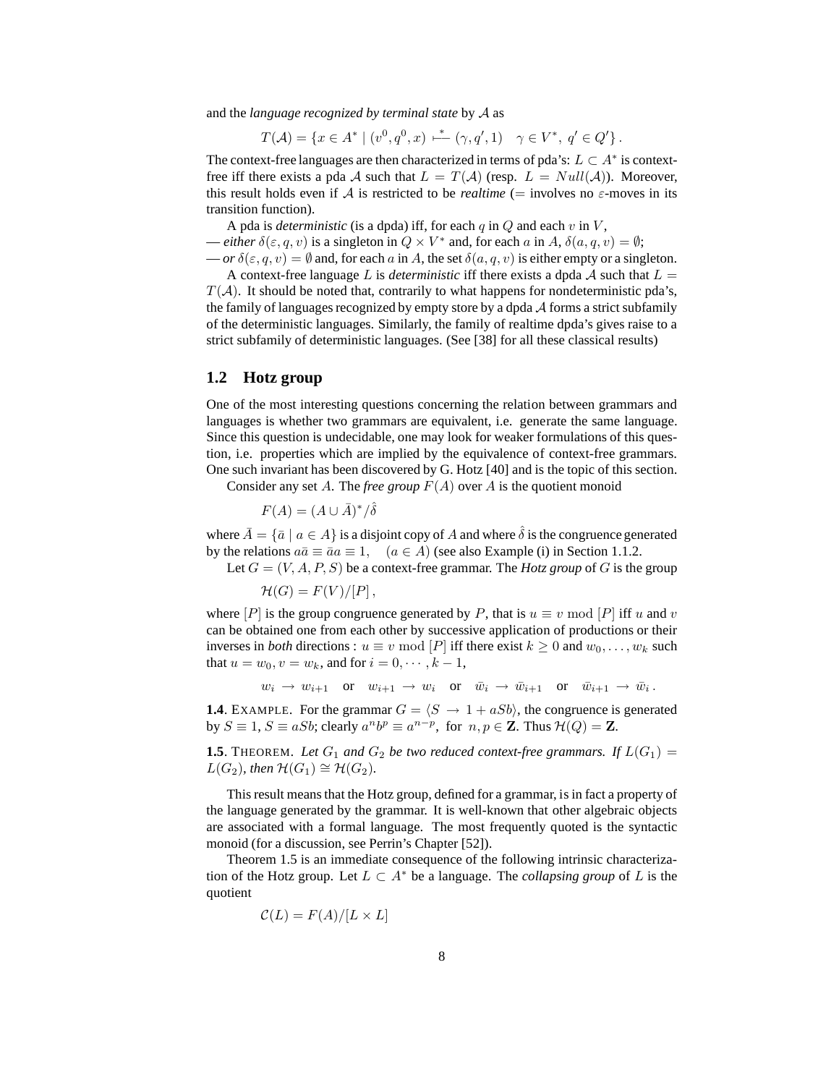and the *language recognized by terminal state* by A as

$$
T(\mathcal{A}) = \{ x \in A^* \mid (v^0, q^0, x) \stackrel{*}{\longleftarrow} (\gamma, q', 1) \quad \gamma \in V^*, \ q' \in Q' \}.
$$

The context-free languages are then characterized in terms of pda's:  $L \subset A^*$  is contextfree iff there exists a pda A such that  $L = T(A)$  (resp.  $L = Null(A)$ ). Moreover, this result holds even if A is restricted to be *realtime* (= involves no  $\varepsilon$ -moves in its transition function).

A pda is *deterministic* (is a dpda) iff, for each  $q$  in  $Q$  and each  $v$  in  $V$ ,

— *either*  $\delta(\varepsilon, q, v)$  is a singleton in  $Q \times V^*$  and, for each a in A,  $\delta(a, q, v) = \emptyset$ ;

 $-\partial r \delta(\epsilon, q, v) = \emptyset$  and, for each a in A, the set  $\delta(a, q, v)$  is either empty or a singleton.

A context-free language L is *deterministic* iff there exists a dpda  $\mathcal A$  such that  $L =$  $T(A)$ . It should be noted that, contrarily to what happens for nondeterministic pda's, the family of languages recognized by empty store by a dpda A forms a strict subfamily of the deterministic languages. Similarly, the family of realtime dpda's gives raise to a strict subfamily of deterministic languages. (See [38] for all these classical results)

## **1.2 Hotz group**

One of the most interesting questions concerning the relation between grammars and languages is whether two grammars are equivalent, i.e. generate the same language. Since this question is undecidable, one may look for weaker formulations of this question, i.e. properties which are implied by the equivalence of context-free grammars. One such invariant has been discovered by G. Hotz [40] and is the topic of this section.

Consider any set A. The *free group*  $F(A)$  over A is the quotient monoid

$$
F(A) = (A \cup \bar{A})^*/\hat{\delta}
$$

where  $\bar{A} = {\bar{a} \mid a \in A}$  is a disjoint copy of A and where  $\hat{\delta}$  is the congruence generated by the relations  $a\bar{a} \equiv \bar{a}a \equiv 1$ ,  $(a \in A)$  (see also Example (i) in Section 1.1.2.

Let  $G = (V, A, P, S)$  be a context-free grammar. The *Hotz group* of G is the group

 $\mathcal{H}(G) = F(V)/[P]$ .

where  $[P]$  is the group congruence generated by P, that is  $u \equiv v \mod [P]$  iff u and v can be obtained one from each other by successive application of productions or their inverses in *both* directions :  $u \equiv v \mod [P]$  iff there exist  $k \ge 0$  and  $w_0, \ldots, w_k$  such that  $u = w_0, v = w_k$ , and for  $i = 0, \dots, k - 1$ ,

 $w_i \to w_{i+1}$  or  $w_{i+1} \to w_i$  or  $\bar{w}_i \to \bar{w}_{i+1}$  or  $\bar{w}_{i+1} \to \bar{w}_i$ .

**1.4**. EXAMPLE. For the grammar  $G = \langle S \rightarrow 1 + aSb \rangle$ , the congruence is generated by  $S \equiv 1$ ,  $S \equiv aSb$ ; clearly  $a^n b^p \equiv a^{n-p}$ , for  $n, p \in \mathbb{Z}$ . Thus  $\mathcal{H}(Q) = \mathbb{Z}$ .

**1.5**. THEOREM. Let  $G_1$  and  $G_2$  be two reduced context-free grammars. If  $L(G_1)$  =  $L(G_2)$ *, then*  $\mathcal{H}(G_1) \cong \mathcal{H}(G_2)$ *.* 

This result means that the Hotz group, defined for a grammar, is in fact a property of the language generated by the grammar. It is well-known that other algebraic objects are associated with a formal language. The most frequently quoted is the syntactic monoid (for a discussion, see Perrin's Chapter [52]).

Theorem 1.5 is an immediate consequence of the following intrinsic characterization of the Hotz group. Let  $L \subset A^*$  be a language. The *collapsing group* of L is the quotient

 $\mathcal{C}(L) = F(A)/[L \times L]$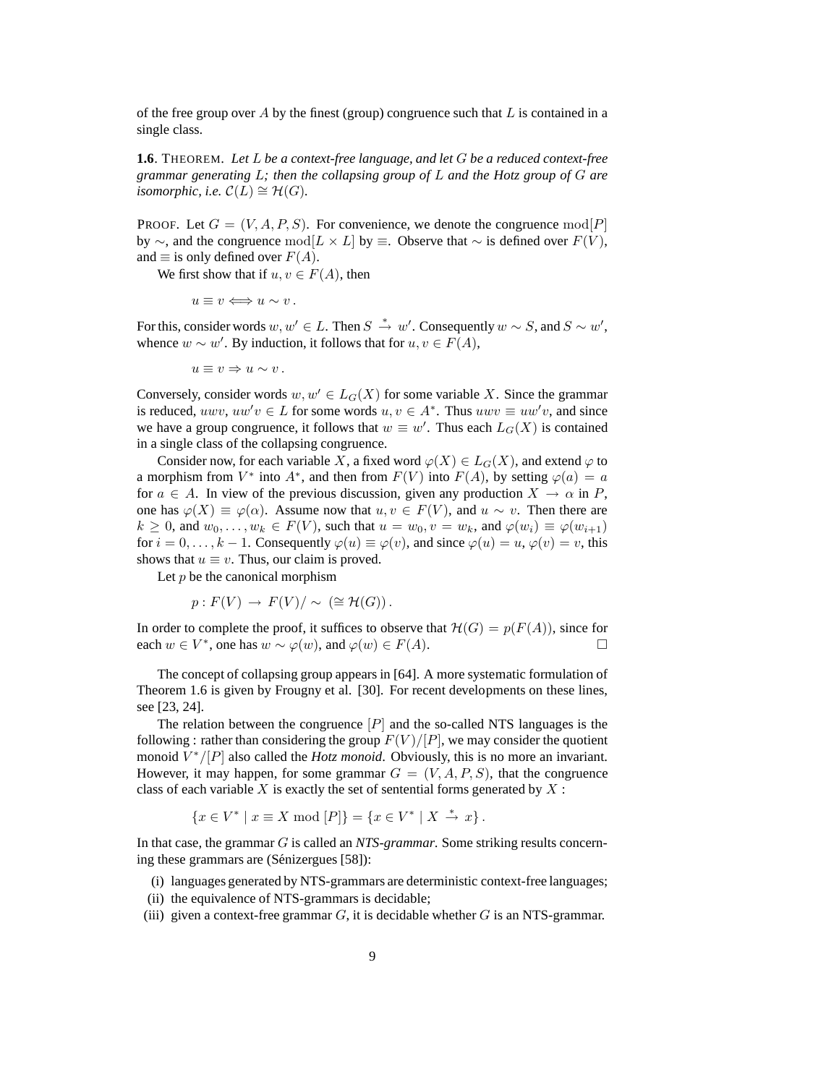of the free group over A by the finest (group) congruence such that  $L$  is contained in a single class.

**1.6**. THEOREM. *Let* L *be a context-free language, and let* G *be a reduced context-free grammar generating* L*; then the collapsing group of* L *and the Hotz group of* G *are isomorphic, i.e.*  $\mathcal{C}(L) \cong \mathcal{H}(G)$ .

PROOF. Let  $G = (V, A, P, S)$ . For convenience, we denote the congruence  $mod[P]$ by ∼, and the congruence mod[ $L \times L$ ] by  $\equiv$ . Observe that ∼ is defined over  $F(V)$ , and  $\equiv$  is only defined over  $F(A)$ .

We first show that if  $u, v \in F(A)$ , then

$$
u \equiv v \Longleftrightarrow u \sim v \, .
$$

For this, consider words  $w, w' \in L$ . Then  $S \stackrel{*}{\to} w'$ . Consequently  $w \sim S$ , and  $S \sim w'$ , whence  $w \sim w'$ . By induction, it follows that for  $u, v \in F(A)$ ,

$$
u\equiv v\Rightarrow u\sim v\,.
$$

Conversely, consider words  $w, w' \in L_G(X)$  for some variable X. Since the grammar is reduced,  $uwv, uw'v \in L$  for some words  $u, v \in A^*$ . Thus  $uwv \equiv uw'v$ , and since we have a group congruence, it follows that  $w \equiv w'$ . Thus each  $L_G(X)$  is contained in a single class of the collapsing congruence.

Consider now, for each variable X, a fixed word  $\varphi(X) \in L_G(X)$ , and extend  $\varphi$  to a morphism from  $V^*$  into  $A^*$ , and then from  $F(V)$  into  $F(A)$ , by setting  $\varphi(a) = a$ for  $a \in A$ . In view of the previous discussion, given any production  $X \to \alpha$  in P, one has  $\varphi(X) \equiv \varphi(\alpha)$ . Assume now that  $u, v \in F(V)$ , and  $u \sim v$ . Then there are  $k \geq 0$ , and  $w_0, \ldots, w_k \in F(V)$ , such that  $u = w_0, v = w_k$ , and  $\varphi(w_i) \equiv \varphi(w_{i+1})$ for  $i = 0, \ldots, k - 1$ . Consequently  $\varphi(u) \equiv \varphi(v)$ , and since  $\varphi(u) = u, \varphi(v) = v$ , this shows that  $u \equiv v$ . Thus, our claim is proved.

Let  $p$  be the canonical morphism

$$
p: F(V) \to F(V)/\sim (\cong \mathcal{H}(G)).
$$

In order to complete the proof, it suffices to observe that  $\mathcal{H}(G) = p(F(A))$ , since for each  $w \in V^*$  one has  $w \sim \varphi(w)$  and  $\varphi(w) \in F(A)$ each  $w \in V^*$ , one has  $w \sim \varphi(w)$ , and  $\varphi(w) \in F(A)$ .

The concept of collapsing group appears in [64]. A more systematic formulation of Theorem 1.6 is given by Frougny et al. [30]. For recent developments on these lines, see [23, 24].

The relation between the congruence  $[P]$  and the so-called NTS languages is the following : rather than considering the group  $F(V)/[P]$ , we may consider the quotient monoid  $V^*/[P]$  also called the *Hotz monoid*. Obviously, this is no more an invariant. However, it may happen, for some grammar  $G = (V, A, P, S)$ , that the congruence class of each variable  $X$  is exactly the set of sentential forms generated by  $X$ :

$$
\{x\in V^*\mid x\equiv X\bmod [P]\}=\{x\in V^*\mid X\,\stackrel{*}{\to}\,x\}\,.
$$

In that case, the grammar G is called an *NTS-grammar*. Some striking results concerning these grammars are (Sénizergues [58]):

- (i) languages generated by NTS-grammars are deterministic context-free languages;
- (ii) the equivalence of NTS-grammars is decidable;
- (iii) given a context-free grammar  $G$ , it is decidable whether G is an NTS-grammar.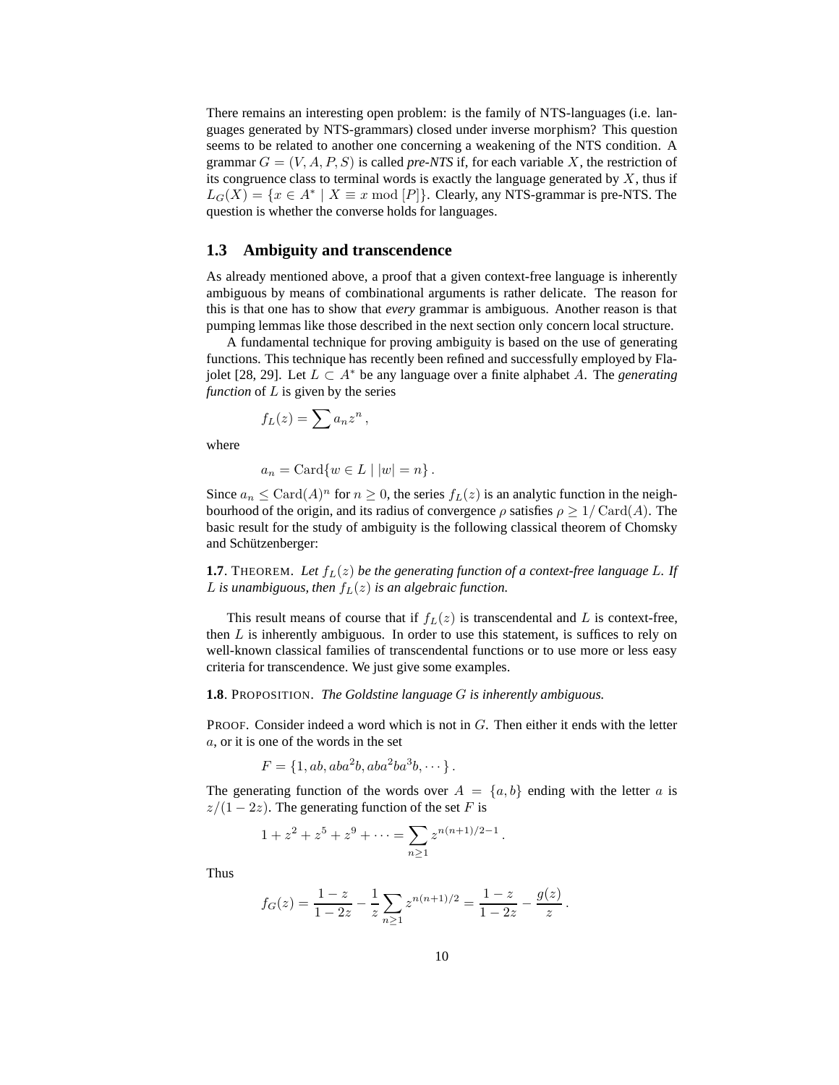There remains an interesting open problem: is the family of NTS-languages (i.e. languages generated by NTS-grammars) closed under inverse morphism? This question seems to be related to another one concerning a weakening of the NTS condition. A grammar  $G = (V, A, P, S)$  is called *pre-NTS* if, for each variable X, the restriction of its congruence class to terminal words is exactly the language generated by  $X$ , thus if  $L_G(X) = \{x \in A^* \mid X \equiv x \bmod [P]\}.$  Clearly, any NTS-grammar is pre-NTS. The question is whether the converse holds for languages.

## **1.3 Ambiguity and transcendence**

As already mentioned above, a proof that a given context-free language is inherently ambiguous by means of combinational arguments is rather delicate. The reason for this is that one has to show that *every* grammar is ambiguous. Another reason is that pumping lemmas like those described in the next section only concern local structure.

A fundamental technique for proving ambiguity is based on the use of generating functions. This technique has recently been refined and successfully employed by Flajolet [28, 29]. Let <sup>L</sup> <sup>⊂</sup> <sup>A</sup><sup>∗</sup> be any language over a finite alphabet <sup>A</sup>. The *generating function* of L is given by the series

$$
f_L(z) = \sum a_n z^n \,,
$$

where

$$
a_n = \operatorname{Card} \{ w \in L \mid |w| = n \}.
$$

Since  $a_n \leq \text{Card}(A)^n$  for  $n \geq 0$ , the series  $f_L(z)$  is an analytic function in the neighbourhood of the origin, and its radius of convergence  $\rho$  satisfies  $\rho \geq 1/\text{Card}(A)$ . The basic result for the study of ambiguity is the following classical theorem of Chomsky and Schützenberger:

**1.7**. THEOREM. Let  $f_L(z)$  be the generating function of a context-free language L. If L is unambiguous, then  $f_L(z)$  is an algebraic function.

This result means of course that if  $f_L(z)$  is transcendental and L is context-free, then  $L$  is inherently ambiguous. In order to use this statement, is suffices to rely on well-known classical families of transcendental functions or to use more or less easy criteria for transcendence. We just give some examples.

#### **1.8**. PROPOSITION. *The Goldstine language* G *is inherently ambiguous.*

PROOF. Consider indeed a word which is not in G. Then either it ends with the letter a, or it is one of the words in the set

$$
F = \{1, ab, aba2b, aba2ba3b, \cdots\}.
$$

The generating function of the words over  $A = \{a, b\}$  ending with the letter a is  $z/(1-2z)$ . The generating function of the set F is

.

$$
1 + z2 + z5 + z9 + \dots = \sum_{n \ge 1} z^{n(n+1)/2 - 1}
$$

Thus

$$
f_G(z) = \frac{1-z}{1-2z} - \frac{1}{z} \sum_{n\geq 1} z^{n(n+1)/2} = \frac{1-z}{1-2z} - \frac{g(z)}{z}.
$$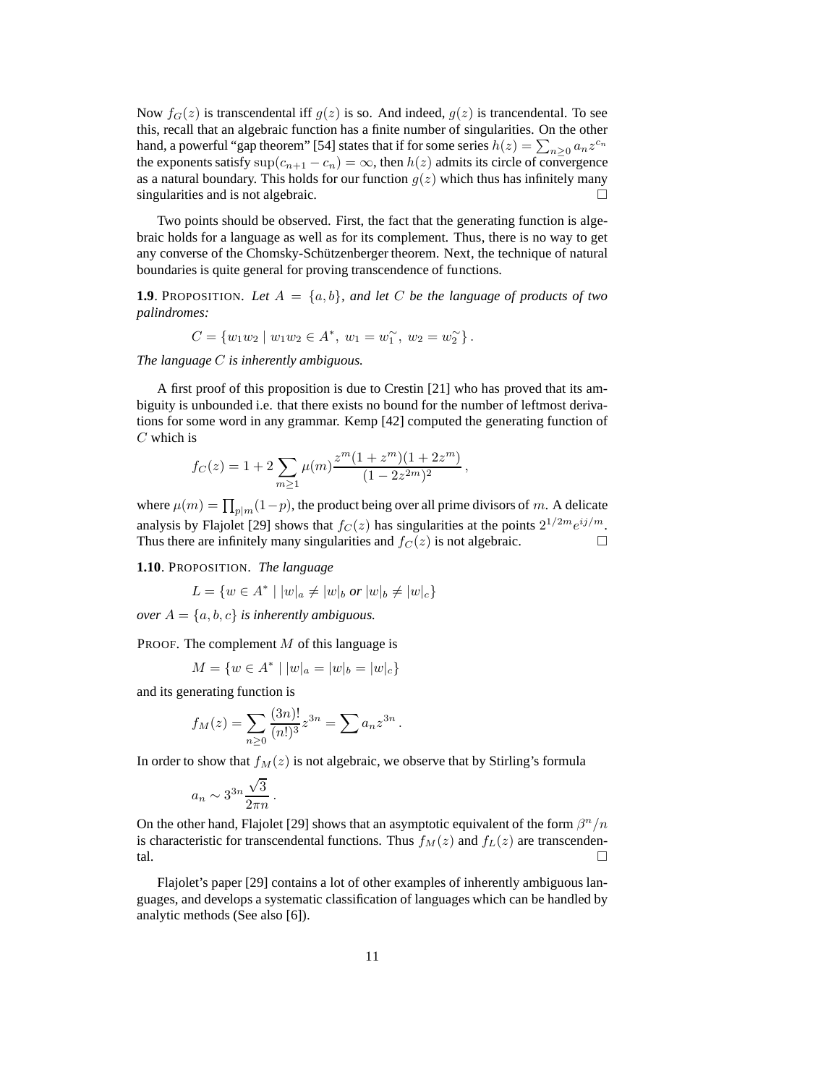Now  $f_G(z)$  is transcendental iff  $g(z)$  is so. And indeed,  $g(z)$  is trancendental. To see this, recall that an algebraic function has a finite number of singularities. On the other hand, a powerful "gap theorem" [54] states that if for some series  $h(z) = \sum_{n\geq 0} a_n z^{c_n}$ the exponents satisfy  $\sup(c_{n+1} - c_n) = \infty$ , then  $h(z)$  admits its circle of convergence as a natural boundary. This holds for our function  $g(z)$  which thus has infinitely many singularities and is not algebraic.

Two points should be observed. First, the fact that the generating function is algebraic holds for a language as well as for its complement. Thus, there is no way to get any converse of the Chomsky-Schützenberger theorem. Next, the technique of natural boundaries is quite general for proving transcendence of functions.

**1.9**. PROPOSITION. Let  $A = \{a, b\}$ , and let C be the language of products of two *palindromes:*

$$
C = \{w_1w_2 \mid w_1w_2 \in A^*, w_1 = w_1^{\sim}, w_2 = w_2^{\sim}\}.
$$

*The language* C *is inherently ambiguous.*

A first proof of this proposition is due to Crestin [21] who has proved that its ambiguity is unbounded i.e. that there exists no bound for the number of leftmost derivations for some word in any grammar. Kemp [42] computed the generating function of  $C$  which is

$$
f_C(z) = 1 + 2 \sum_{m \ge 1} \mu(m) \frac{z^m (1 + z^m)(1 + 2z^m)}{(1 - 2z^{2m})^2},
$$

where  $\mu(m) = \prod_{p|m} (1-p)$ , the product being over all prime divisors of m. A delicate analysis by Flajolet [29] shows that  $f_C(z)$  has singularities at the points  $2^{1/2m}e^{ij/m}$ . Thus there are infinitely many singularities and  $f_C(z)$  is not algebraic.

**1.10**. PROPOSITION. *The language*

$$
L = \{ w \in A^* \mid |w|_a \neq |w|_b \text{ or } |w|_b \neq |w|_c \}
$$

*over*  $A = \{a, b, c\}$  *is inherently ambiguous.* 

PROOF. The complement M of this language is

$$
M = \{ w \in A^* \mid |w|_a = |w|_b = |w|_c \}
$$

and its generating function is

$$
f_M(z) = \sum_{n\geq 0} \frac{(3n)!}{(n!)^3} z^{3n} = \sum a_n z^{3n}.
$$

In order to show that  $f_M(z)$  is not algebraic, we observe that by Stirling's formula

$$
a_n \sim 3^{3n} \frac{\sqrt{3}}{2\pi n}.
$$

On the other hand, Flajolet [29] shows that an asymptotic equivalent of the form  $\beta^{n}/n$ is characteristic for transcendental functions. Thus  $f_M(z)$  and  $f_L(z)$  are transcendental.  $\Box$ 

Flajolet's paper [29] contains a lot of other examples of inherently ambiguous languages, and develops a systematic classification of languages which can be handled by analytic methods (See also [6]).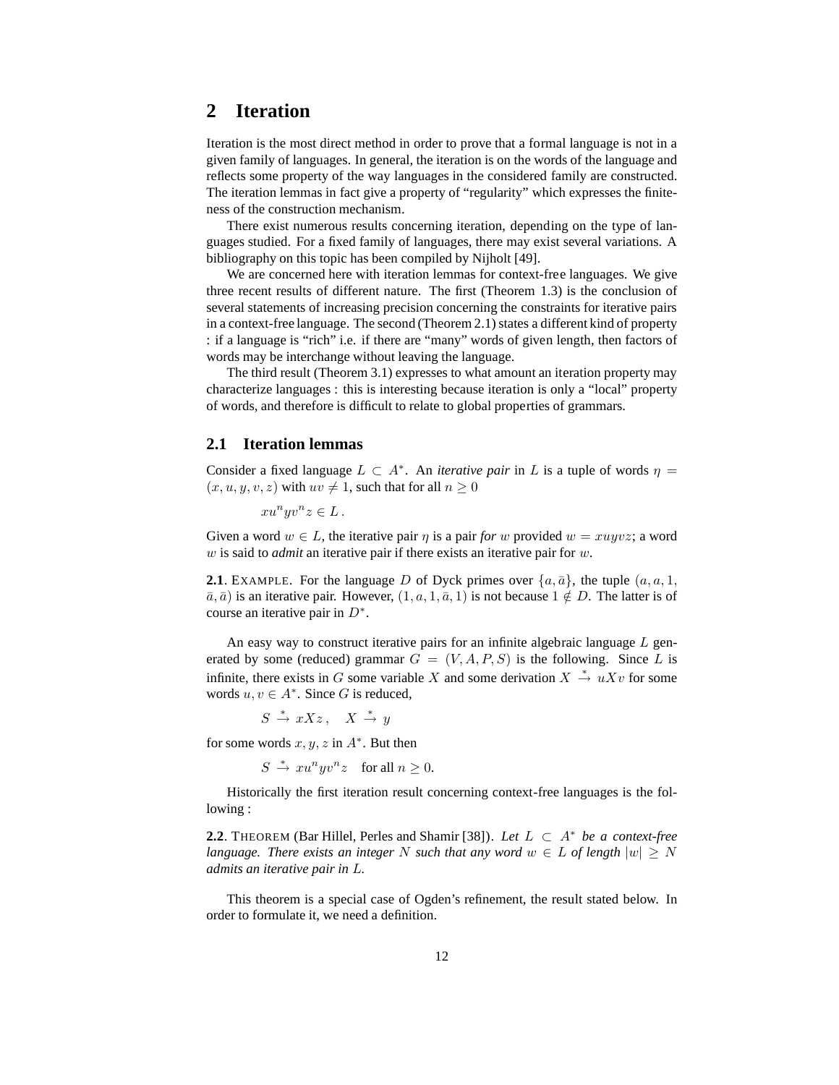# **2 Iteration**

Iteration is the most direct method in order to prove that a formal language is not in a given family of languages. In general, the iteration is on the words of the language and reflects some property of the way languages in the considered family are constructed. The iteration lemmas in fact give a property of "regularity" which expresses the finiteness of the construction mechanism.

There exist numerous results concerning iteration, depending on the type of languages studied. For a fixed family of languages, there may exist several variations. A bibliography on this topic has been compiled by Nijholt [49].

We are concerned here with iteration lemmas for context-free languages. We give three recent results of different nature. The first (Theorem 1.3) is the conclusion of several statements of increasing precision concerning the constraints for iterative pairs in a context-free language. The second (Theorem 2.1) states a different kind of property : if a language is "rich" i.e. if there are "many" words of given length, then factors of words may be interchange without leaving the language.

The third result (Theorem 3.1) expresses to what amount an iteration property may characterize languages : this is interesting because iteration is only a "local" property of words, and therefore is difficult to relate to global properties of grammars.

## **2.1 Iteration lemmas**

Consider a fixed language  $L \subset A^*$ . An *iterative pair* in L is a tuple of words  $\eta =$  $(x, u, y, v, z)$  with  $uv \neq 1$ , such that for all  $n \geq 0$ 

$$
xu^nyv^nz\in L\,.
$$

Given a word  $w \in L$ , the iterative pair  $\eta$  is a pair *for* w provided  $w = xuyvz$ ; a word w is said to *admit* an iterative pair if there exists an iterative pair for w.

**2.1**. EXAMPLE. For the language D of Dyck primes over  $\{a, \bar{a}\}\$ , the tuple  $(a, a, 1, a)$  $\bar{a}, \bar{a}$ ) is an iterative pair. However,  $(1, a, 1, \bar{a}, 1)$  is not because  $1 \notin D$ . The latter is of course an iterative pair in  $D^*$ .

An easy way to construct iterative pairs for an infinite algebraic language  $L$  generated by some (reduced) grammar  $G = (V, A, P, S)$  is the following. Since L is infinite, there exists in G some variable X and some derivation  $X \stackrel{*}{\rightarrow} uXv$  for some words  $u, v \in A^*$ . Since G is reduced,

$$
S \stackrel{*}{\to} xXz \,, \quad X \stackrel{*}{\to} y
$$

for some words  $x, y, z$  in  $A^*$ . But then

$$
S \stackrel{*}{\to} x u^n y v^n z \quad \text{for all } n \ge 0.
$$

Historically the first iteration result concerning context-free languages is the following :

**2.2**. THEOREM (Bar Hillel, Perles and Shamir [38]). Let  $L \subset A^*$  be a context-free *language. There exists an integer* N *such that any word*  $w \in L$  *of length*  $|w| \geq N$ *admits an iterative pair in* L*.*

This theorem is a special case of Ogden's refinement, the result stated below. In order to formulate it, we need a definition.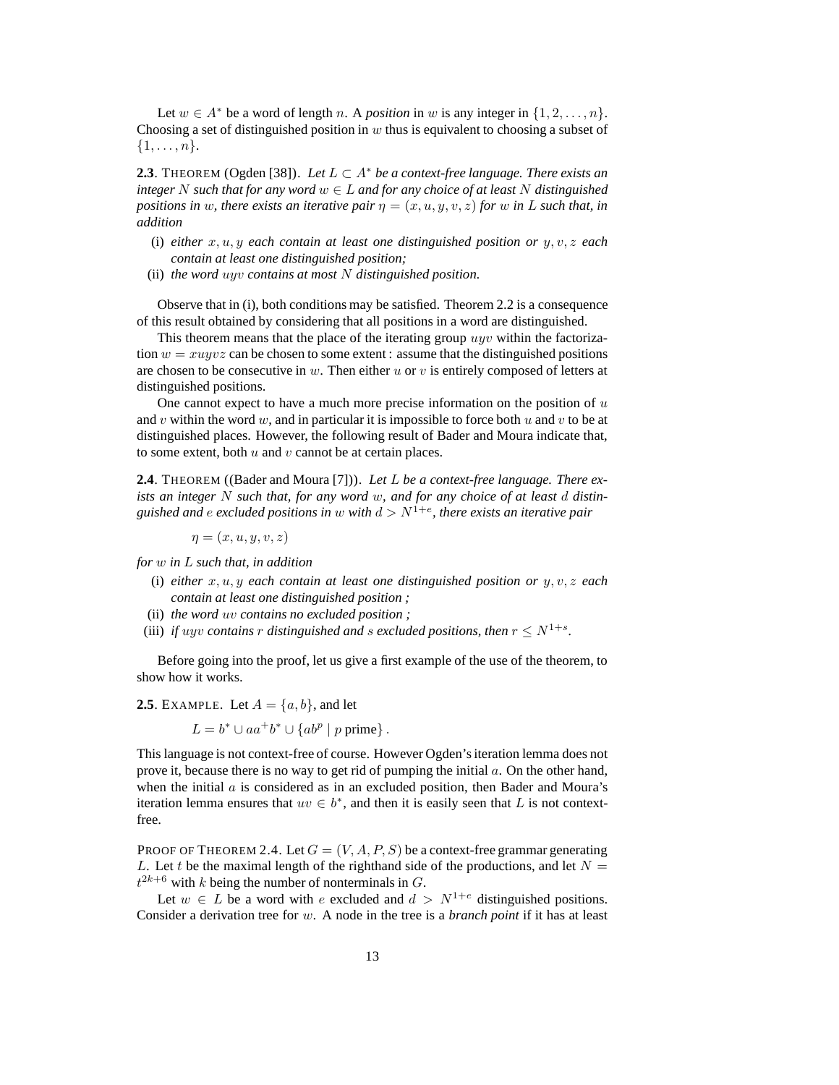Let  $w \in A^*$  be a word of length n. A *position* in w is any integer in  $\{1, 2, ..., n\}$ . Choosing a set of distinguished position in  $w$  thus is equivalent to choosing a subset of  $\{1,\ldots,n\}.$ 

**2.3**. THEOREM (Ogden [38]). Let  $L ⊂ A^*$  be a context-free language. There exists an *integer* N such that for any word  $w \in L$  and for any choice of at least N distinguished *positions in* w, there exists an iterative pair  $\eta = (x, u, y, v, z)$  for w in L such that, in *addition*

- (i) *either*  $x, u, y$  *each contain at least one distinguished position or*  $y, v, z$  *each contain at least one distinguished position;*
- (ii) *the word* uyv *contains at most* N *distinguished position.*

Observe that in (i), both conditions may be satisfied. Theorem 2.2 is a consequence of this result obtained by considering that all positions in a word are distinguished.

This theorem means that the place of the iterating group uyv within the factorization  $w = xuyvz$  can be chosen to some extent : assume that the distinguished positions are chosen to be consecutive in w. Then either u or v is entirely composed of letters at distinguished positions.

One cannot expect to have a much more precise information on the position of  $u$ and v within the word w, and in particular it is impossible to force both u and v to be at distinguished places. However, the following result of Bader and Moura indicate that, to some extent, both  $u$  and  $v$  cannot be at certain places.

**2.4**. THEOREM ((Bader and Moura [7])). *Let* L *be a context-free language. There exists an integer* N *such that, for any word* w*, and for any choice of at least* d *distin*guished and  $e$  excluded positions in  $w$  with  $d > N^{1+e}$ , there exists an iterative pair

 $\eta = (x, u, u, v, z)$ 

*for* w *in* L *such that, in addition*

- (i) *either*  $x, u, y$  *each contain at least one distinguished position or*  $y, v, z$  *each contain at least one distinguished position ;*
- (ii) *the word* uv *contains no excluded position ;*
- (iii) *if uyv contains* r *distinguished and s excluded positions, then*  $r \leq N^{1+s}$ .

Before going into the proof, let us give a first example of the use of the theorem, to show how it works.

**2.5**. EXAMPLE. Let  $A = \{a, b\}$ , and let

$$
L = b^* \cup aa^+b^* \cup \{ab^p \mid p \text{ prime}\}.
$$

This language is not context-free of course. However Ogden's iteration lemma does not prove it, because there is no way to get rid of pumping the initial a. On the other hand, when the initial  $\alpha$  is considered as in an excluded position, then Bader and Moura's iteration lemma ensures that  $uv \in b^*$ , and then it is easily seen that L is not contextfree.

PROOF OF THEOREM 2.4. Let  $G = (V, A, P, S)$  be a context-free grammar generating L. Let t be the maximal length of the righthand side of the productions, and let  $N =$  $t^{2k+6}$  with k being the number of nonterminals in G.

Let  $w \in L$  be a word with e excluded and  $d > N^{1+e}$  distinguished positions. Consider a derivation tree for w. A node in the tree is a *branch point* if it has at least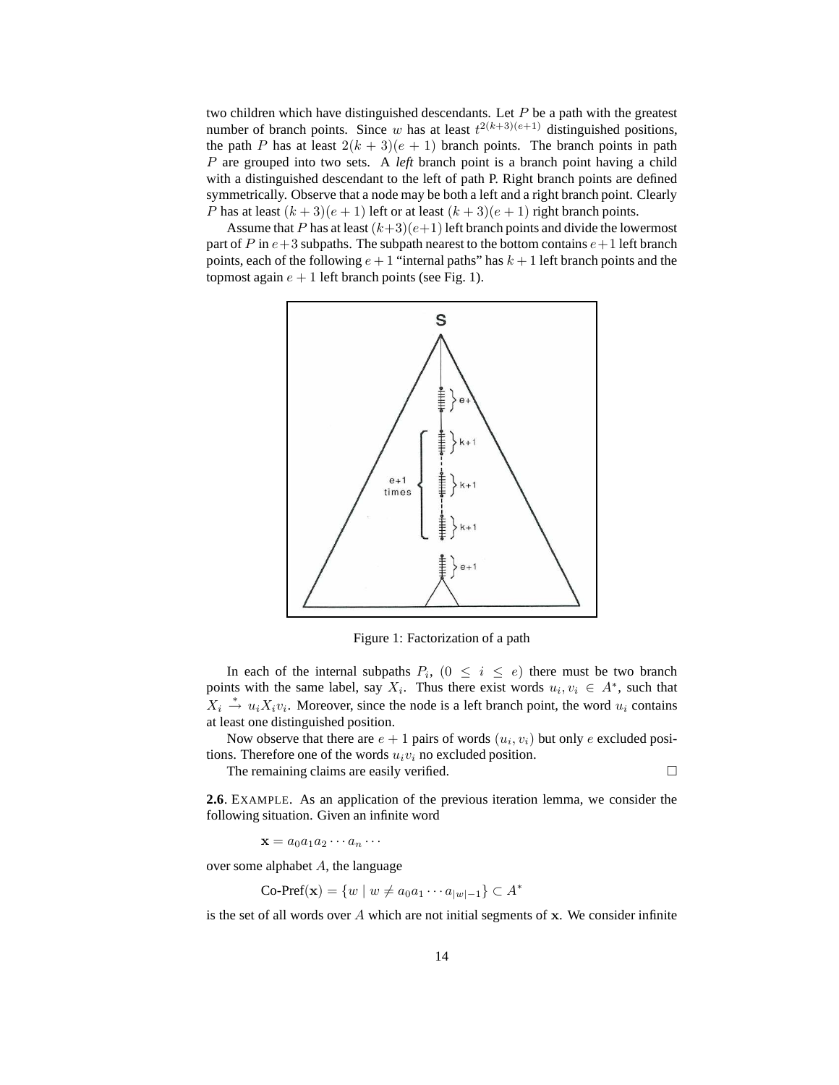two children which have distinguished descendants. Let  $P$  be a path with the greatest number of branch points. Since w has at least  $t^{2(k+3)(e+1)}$  distinguished positions, the path P has at least  $2(k+3)(e+1)$  branch points. The branch points in path P are grouped into two sets. A *left* branch point is a branch point having a child with a distinguished descendant to the left of path P. Right branch points are defined symmetrically. Observe that a node may be both a left and a right branch point. Clearly P has at least  $(k+3)(e+1)$  left or at least  $(k+3)(e+1)$  right branch points.

Assume that P has at least  $(k+3)(e+1)$  left branch points and divide the lowermost part of P in  $e+3$  subpaths. The subpath nearest to the bottom contains  $e+1$  left branch points, each of the following  $e + 1$  "internal paths" has  $k + 1$  left branch points and the topmost again  $e + 1$  left branch points (see Fig. 1).



Figure 1: Factorization of a path

In each of the internal subpaths  $P_i$ ,  $(0 \le i \le e)$  there must be two branch points with the same label, say  $X_i$ . Thus there exist words  $u_i, v_i \in A^*$ , such that  $X_i \stackrel{*}{\rightarrow} u_i X_i v_i$ . Moreover, since the node is a left branch point, the word  $u_i$  contains at least one distinguished position.

Now observe that there are  $e + 1$  pairs of words  $(u_i, v_i)$  but only e excluded positions. Therefore one of the words  $u_i v_i$  no excluded position.

The remaining claims are easily verified.

**2.6**. EXAMPLE. As an application of the previous iteration lemma, we consider the following situation. Given an infinite word

 $\mathbf{x} = a_0 a_1 a_2 \cdots a_n \cdots$ 

over some alphabet  $A$ , the language

$$
\mathrm{Co\text{-}Pref}(\mathbf{x}) = \{ w \mid w \neq a_0 a_1 \cdots a_{|w|-1} \} \subset A^*
$$

is the set of all words over  $A$  which are not initial segments of  $x$ . We consider infinite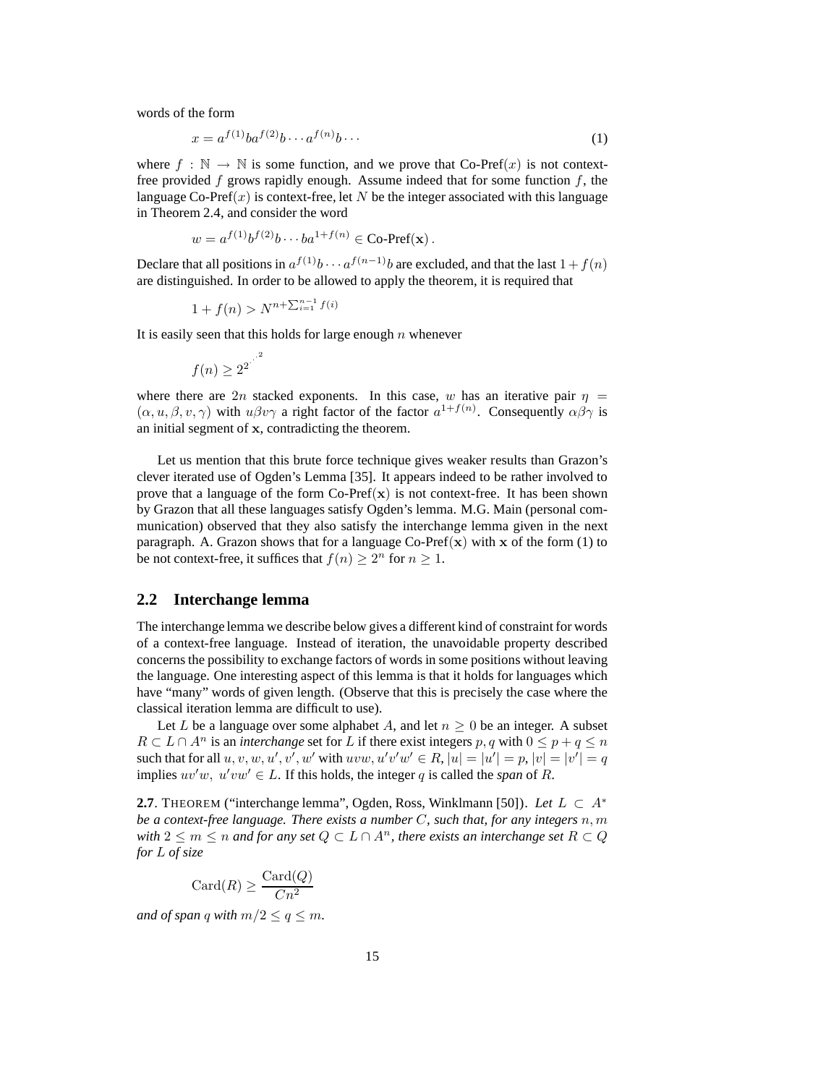words of the form

$$
x = a^{f(1)}ba^{f(2)}b \cdots a^{f(n)}b \cdots
$$
 (1)

where  $f : \mathbb{N} \to \mathbb{N}$  is some function, and we prove that Co-Pref(x) is not contextfree provided  $f$  grows rapidly enough. Assume indeed that for some function  $f$ , the language Co-Pref $(x)$  is context-free, let N be the integer associated with this language in Theorem 2.4, and consider the word

$$
w = a^{f(1)}b^{f(2)}b \cdots ba^{1+f(n)} \in \mathbf{Co\text{-}Pref}(\mathbf{x})\,.
$$

Declare that all positions in  $a^{f(1)}b \cdots a^{f(n-1)}b$  are excluded, and that the last  $1 + f(n)$ are distinguished. In order to be allowed to apply the theorem, it is required that

$$
1 + f(n) > N^{n + \sum_{i=1}^{n-1} f(i)}
$$

It is easily seen that this holds for large enough  $n$  whenever

$$
f(n) \ge 2^{2^{n^{1^2}}}
$$

where there are 2n stacked exponents. In this case, w has an iterative pair  $\eta$  =  $(\alpha, u, \beta, v, \gamma)$  with  $u\beta v\gamma$  a right factor of the factor  $a^{1+f(n)}$ . Consequently  $\alpha\beta\gamma$  is an initial segment of x, contradicting the theorem.

Let us mention that this brute force technique gives weaker results than Grazon's clever iterated use of Ogden's Lemma [35]. It appears indeed to be rather involved to prove that a language of the form  $Co-Pref(x)$  is not context-free. It has been shown by Grazon that all these languages satisfy Ogden's lemma. M.G. Main (personal communication) observed that they also satisfy the interchange lemma given in the next paragraph. A. Grazon shows that for a language Co-Pref $(x)$  with x of the form (1) to be not context-free, it suffices that  $f(n) \geq 2^n$  for  $n \geq 1$ .

## **2.2 Interchange lemma**

The interchange lemma we describe below gives a different kind of constraint for words of a context-free language. Instead of iteration, the unavoidable property described concerns the possibility to exchange factors of words in some positions without leaving the language. One interesting aspect of this lemma is that it holds for languages which have "many" words of given length. (Observe that this is precisely the case where the classical iteration lemma are difficult to use).

Let L be a language over some alphabet A, and let  $n \geq 0$  be an integer. A subset  $R \subset L \cap A^n$  is an *interchange* set for L if there exist integers p, q with  $0 \le p + q \le n$ such that for all  $u, v, w, u', v', w'$  with  $uvw, u'v'w' \in R$ ,  $|u| = |u'| = p$ ,  $|v| = |v'| = q$ implies  $uv'w$ ,  $u'vw' \in L$ . If this holds, the integer q is called the *span* of R.

**2.7**. THEOREM ("interchange lemma", Ogden, Ross, Winklmann [50]). Let  $L \subset A^*$ *be a context-free language. There exists a number* C*, such that, for any integers* n, m *with*  $2 \le m \le n$  *and for any set*  $Q \subset L \cap A^n$ *, there exists an interchange set*  $R \subset Q$ *for* L *of size*

$$
Card(R) \ge \frac{Card(Q)}{Cn^2}
$$

*and of span q with*  $m/2 \le q \le m$ *.*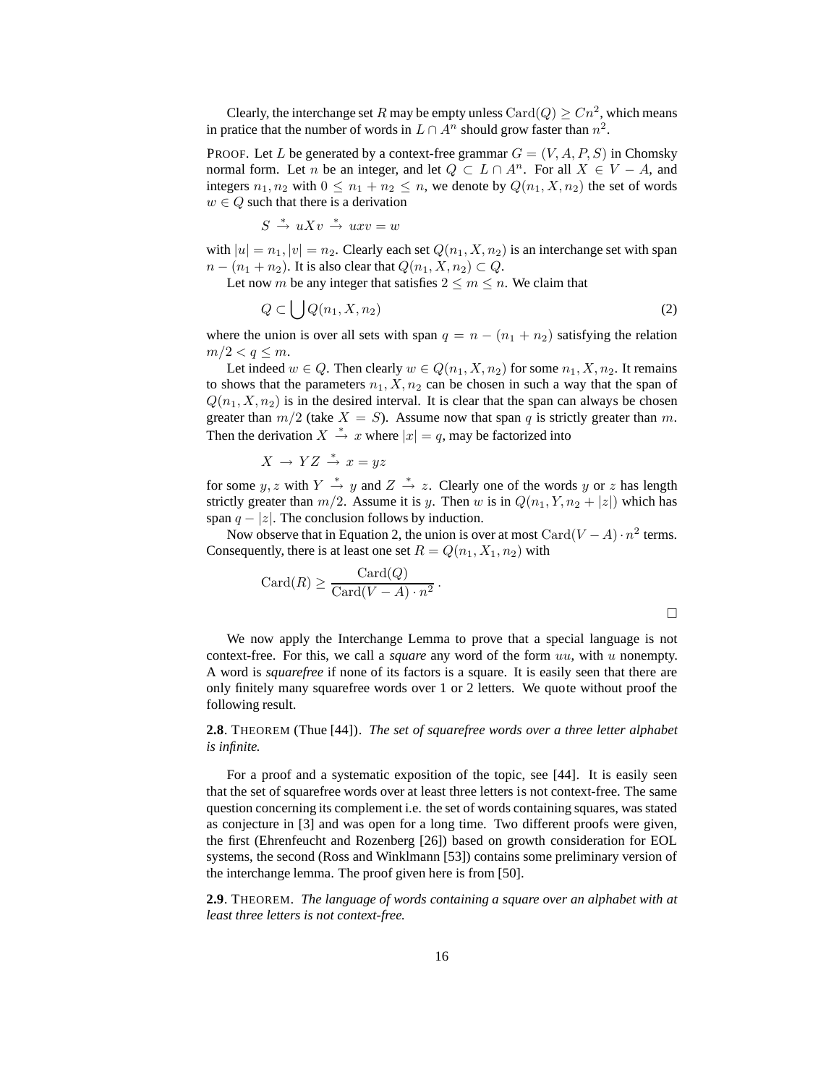Clearly, the interchange set R may be empty unless  $\text{Card}(Q) \geq Cn^2$ , which means in pratice that the number of words in  $L \cap A<sup>n</sup>$  should grow faster than  $n<sup>2</sup>$ .

PROOF. Let L be generated by a context-free grammar  $G = (V, A, P, S)$  in Chomsky normal form. Let *n* be an integer, and let  $Q \subset L \cap A^n$ . For all  $X \in V - A$ , and integers  $n_1, n_2$  with  $0 \leq n_1 + n_2 \leq n$ , we denote by  $Q(n_1, X, n_2)$  the set of words  $w \in Q$  such that there is a derivation

$$
S \ \stackrel{*}{\rightarrow} \ u X v \ \stackrel{*}{\rightarrow} \ u x v = w
$$

with  $|u| = n_1, |v| = n_2$ . Clearly each set  $Q(n_1, X, n_2)$  is an interchange set with span  $n - (n_1 + n_2)$ . It is also clear that  $Q(n_1, X, n_2) \subset Q$ .

Let now m be any integer that satisfies  $2 \le m \le n$ . We claim that

$$
Q \subset \bigcup Q(n_1, X, n_2) \tag{2}
$$

where the union is over all sets with span  $q = n - (n_1 + n_2)$  satisfying the relation  $m/2 < q \leq m$ .

Let indeed  $w \in Q$ . Then clearly  $w \in Q(n_1, X, n_2)$  for some  $n_1, X, n_2$ . It remains to shows that the parameters  $n_1, X, n_2$  can be chosen in such a way that the span of  $Q(n_1, X, n_2)$  is in the desired interval. It is clear that the span can always be chosen greater than  $m/2$  (take  $X = S$ ). Assume now that span q is strictly greater than m. Then the derivation  $X \stackrel{*}{\rightarrow} x$  where  $|x| = q$ , may be factorized into

$$
X\,\to\, YZ\,\stackrel{*}{\to}\, x=yz
$$

for some y, z with  $Y \stackrel{*}{\rightarrow} y$  and  $Z \stackrel{*}{\rightarrow} z$ . Clearly one of the words y or z has length strictly greater than  $m/2$ . Assume it is y. Then w is in  $Q(n_1, Y, n_2 + |z|)$  which has span  $q - |z|$ . The conclusion follows by induction.

Now observe that in Equation 2, the union is over at most  $Card(V - A) \cdot n^2$  terms. Consequently, there is at least one set  $R = Q(n_1, X_1, n_2)$  with

$$
Card(R) \ge \frac{Card(Q)}{Card(V-A) \cdot n^2}.
$$

We now apply the Interchange Lemma to prove that a special language is not context-free. For this, we call a *square* any word of the form uu, with u nonempty. A word is *squarefree* if none of its factors is a square. It is easily seen that there are only finitely many squarefree words over 1 or 2 letters. We quote without proof the following result.

**2.8**. THEOREM (Thue [44]). *The set of squarefree words over a three letter alphabet is infinite.*

For a proof and a systematic exposition of the topic, see [44]. It is easily seen that the set of squarefree words over at least three letters is not context-free. The same question concerning its complement i.e. the set of words containing squares, was stated as conjecture in [3] and was open for a long time. Two different proofs were given, the first (Ehrenfeucht and Rozenberg [26]) based on growth consideration for EOL systems, the second (Ross and Winklmann [53]) contains some preliminary version of the interchange lemma. The proof given here is from [50].

**2.9**. THEOREM. *The language of words containing a square over an alphabet with at least three letters is not context-free.*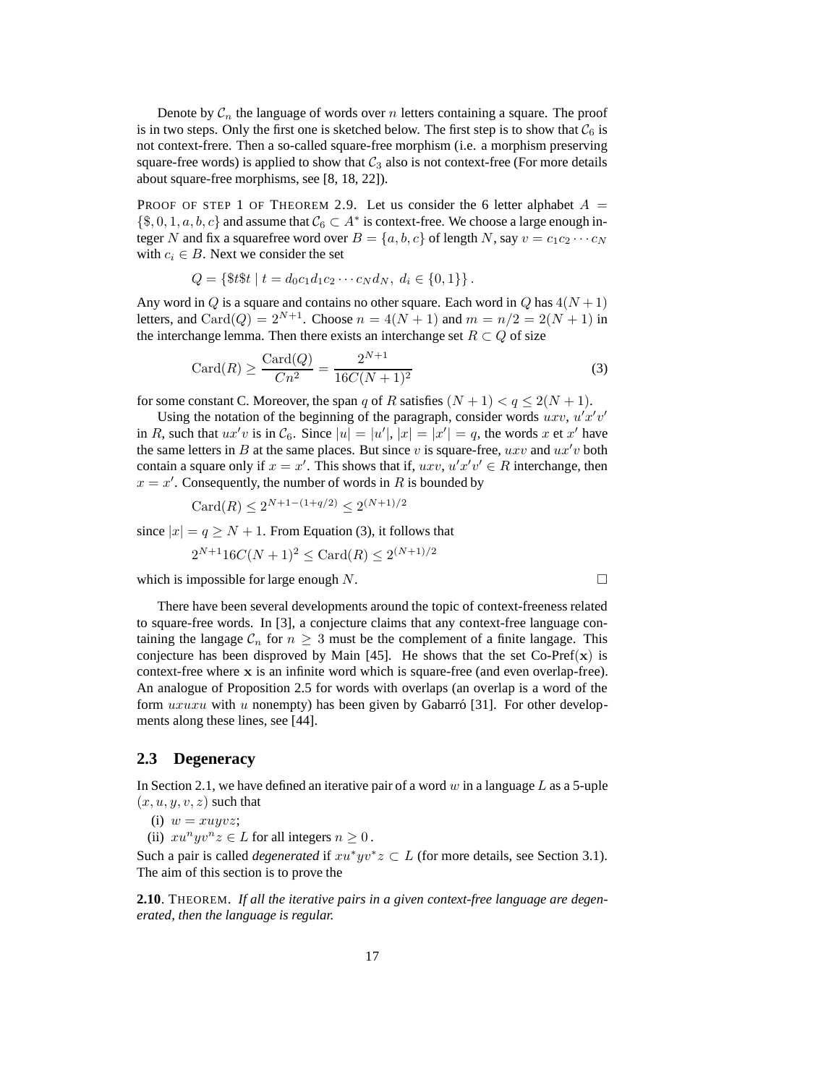Denote by  $C_n$  the language of words over n letters containing a square. The proof is in two steps. Only the first one is sketched below. The first step is to show that  $C_6$  is not context-frere. Then a so-called square-free morphism (i.e. a morphism preserving square-free words) is applied to show that  $C_3$  also is not context-free (For more details about square-free morphisms, see [8, 18, 22]).

PROOF OF STEP 1 OF THEOREM 2.9. Let us consider the 6 letter alphabet  $A =$  $\{\$, 0, 1, a, b, c\}$  and assume that  $C_6 \subset A^*$  is context-free. We choose a large enough integer N and fix a squarefree word over  $B = \{a, b, c\}$  of length N, say  $v = c_1 c_2 \cdots c_N$ with  $c_i \in B$ . Next we consider the set

 $Q = \{\$t\$t \mid t = d_0 c_1 d_1 c_2 \cdots c_N d_N, d_i \in \{0, 1\}\}.$ 

Any word in  $Q$  is a square and contains no other square. Each word in  $Q$  has  $4(N + 1)$ letters, and Card(Q) =  $2^{N+1}$ . Choose  $n = 4(N + 1)$  and  $m = n/2 = 2(N + 1)$  in the interchange lemma. Then there exists an interchange set  $R \subset Q$  of size

$$
Card(R) \ge \frac{Card(Q)}{Cn^2} = \frac{2^{N+1}}{16C(N+1)^2}
$$
 (3)

for some constant C. Moreover, the span q of R satisfies  $(N + 1) < q \le 2(N + 1)$ .

Using the notation of the beginning of the paragraph, consider words  $uxv$ ,  $u'x'v'$ in R, such that  $ux'v$  is in  $C_6$ . Since  $|u| = |u'|$ ,  $|x| = |x'| = q$ , the words x et x' have the same letters in B at the same places. But since v is square-free,  $uxv$  and  $ux'v$  both contain a square only if  $x = x'$ . This shows that if,  $uxv$ ,  $u'x'v' \in R$  interchange, then  $x = x'$ . Consequently, the number of words in R is bounded by

$$
Card(R) \le 2^{N+1-(1+q/2)} \le 2^{(N+1)/2}
$$

since  $|x| = q \ge N + 1$ . From Equation (3), it follows that

$$
2^{N+1}16C(N+1)^2 \le \text{Card}(R) \le 2^{(N+1)/2}
$$

which is impossible for large enough  $N$ .

There have been several developments around the topic of context-freeness related to square-free words. In [3], a conjecture claims that any context-free language containing the langage  $\mathcal{C}_n$  for  $n \geq 3$  must be the complement of a finite langage. This conjecture has been disproved by Main [45]. He shows that the set  $Co-Pref(x)$  is context-free where x is an infinite word which is square-free (and even overlap-free). An analogue of Proposition 2.5 for words with overlaps (an overlap is a word of the form  $uxuxu$  with u nonempty) has been given by Gabarro [31]. For other developments along these lines, see [44].

## **2.3 Degeneracy**

In Section 2.1, we have defined an iterative pair of a word w in a language L as a 5-uple  $(x, u, y, v, z)$  such that

(i)  $w = xuuvz$ ;

(ii)  $xu^n yv^n z \in L$  for all integers  $n \geq 0$ .

Such a pair is called *degenerated* if  $xu^*yv^*z \subset L$  (for more details, see Section 3.1). The aim of this section is to prove the

**2.10**. THEOREM. *If all the iterative pairs in a given context-free language are degenerated, then the language is regular.*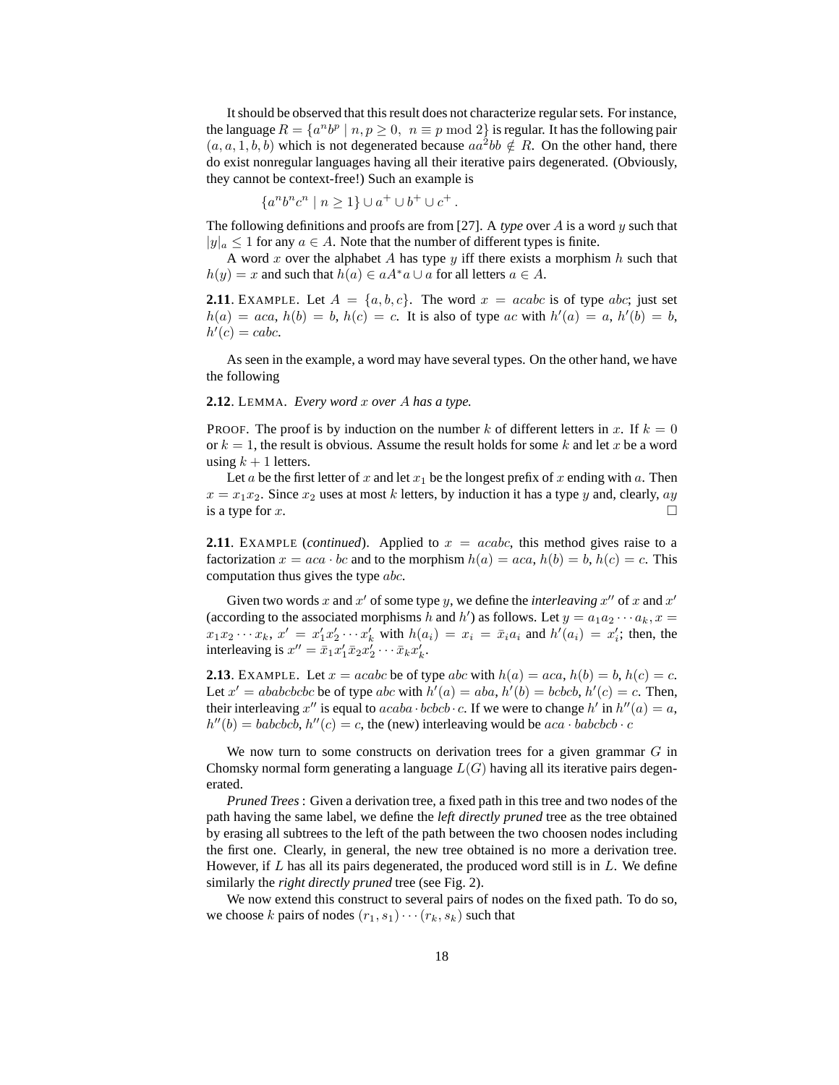It should be observed that this result does not characterize regular sets. For instance, the language  $R = \{a^n b^p \mid n, p \ge 0, n \equiv p \mod 2\}$  is regular. It has the following pair  $(a, a, 1, b, b)$  which is not degenerated because  $aa^2bb \notin R$ . On the other hand, there do exist nonregular languages having all their iterative pairs degenerated. (Obviously, they cannot be context-free!) Such an example is

$$
\{a^n b^n c^n \mid n \ge 1\} \cup a^+ \cup b^+ \cup c^+.
$$

The following definitions and proofs are from [27]. A *type* over A is a word y such that  $|y|_a \leq 1$  for any  $a \in A$ . Note that the number of different types is finite.

A word x over the alphabet A has type  $y$  iff there exists a morphism  $h$  such that  $h(y) = x$  and such that  $h(a) \in aA^*a \cup a$  for all letters  $a \in A$ .

**2.11**. EXAMPLE. Let  $A = \{a, b, c\}$ . The word  $x = acabc$  is of type abc; just set  $h(a) = aca, h(b) = b, h(c) = c$ . It is also of type ac with  $h'(a) = a, h'(b) = b$ ,  $h'(c) = \text{cabc}.$ 

As seen in the example, a word may have several types. On the other hand, we have the following

### **2.12**. LEMMA. *Every word* x *over* A *has a type.*

PROOF. The proof is by induction on the number k of different letters in x. If  $k = 0$ or  $k = 1$ , the result is obvious. Assume the result holds for some k and let x be a word using  $k + 1$  letters.

Let a be the first letter of x and let  $x_1$  be the longest prefix of x ending with a. Then  $x = x_1x_2$ . Since  $x_2$  uses at most k letters, by induction it has a type y and, clearly, ay is a type for  $x$ .

**2.11**. EXAMPLE (*continued*). Applied to  $x = acabc$ , this method gives raise to a factorization  $x = aca \cdot bc$  and to the morphism  $h(a) = aca$ ,  $h(b) = b$ ,  $h(c) = c$ . This computation thus gives the type abc.

Given two words x and  $x'$  of some type y, we define the *interleaving*  $x''$  of x and  $x'$ (according to the associated morphisms h and h') as follows. Let  $y = a_1 a_2 \cdots a_k$ ,  $x =$  $x_1x_2 \cdots x_k$ ,  $x' = x'_1x'_2 \cdots x'_k$  with  $h(a_i) = x_i = \bar{x}_ia_i$  and  $h'(a_i) = x'_i$ ; then, the interleaving is  $x'' = \bar{x}_1 x'_1 \bar{x}_2 x'_2 \cdots \bar{x}_k x'_k$ .

**2.13**. EXAMPLE. Let  $x = acabc$  be of type abc with  $h(a) = aca$ ,  $h(b) = b$ ,  $h(c) = c$ . Let  $x' = ababcbcbc$  be of type  $abc$  with  $h'(a) = aba$ ,  $h'(b) = bcbcb$ ,  $h'(c) = c$ . Then, their interleaving x'' is equal to  $acaba \cdot bcbcb \cdot c$ . If we were to change  $h'$  in  $h''(a) = a$ ,  $h''(b) = babcbcb, h''(c) = c$ , the (new) interleaving would be  $aca \cdot babcbcb \cdot c$ 

We now turn to some constructs on derivation trees for a given grammar  $G$  in Chomsky normal form generating a language  $L(G)$  having all its iterative pairs degenerated.

*Pruned Trees* : Given a derivation tree, a fixed path in this tree and two nodes of the path having the same label, we define the *left directly pruned* tree as the tree obtained by erasing all subtrees to the left of the path between the two choosen nodes including the first one. Clearly, in general, the new tree obtained is no more a derivation tree. However, if  $L$  has all its pairs degenerated, the produced word still is in  $L$ . We define similarly the *right directly pruned* tree (see Fig. 2).

We now extend this construct to several pairs of nodes on the fixed path. To do so, we choose k pairs of nodes  $(r_1, s_1) \cdots (r_k, s_k)$  such that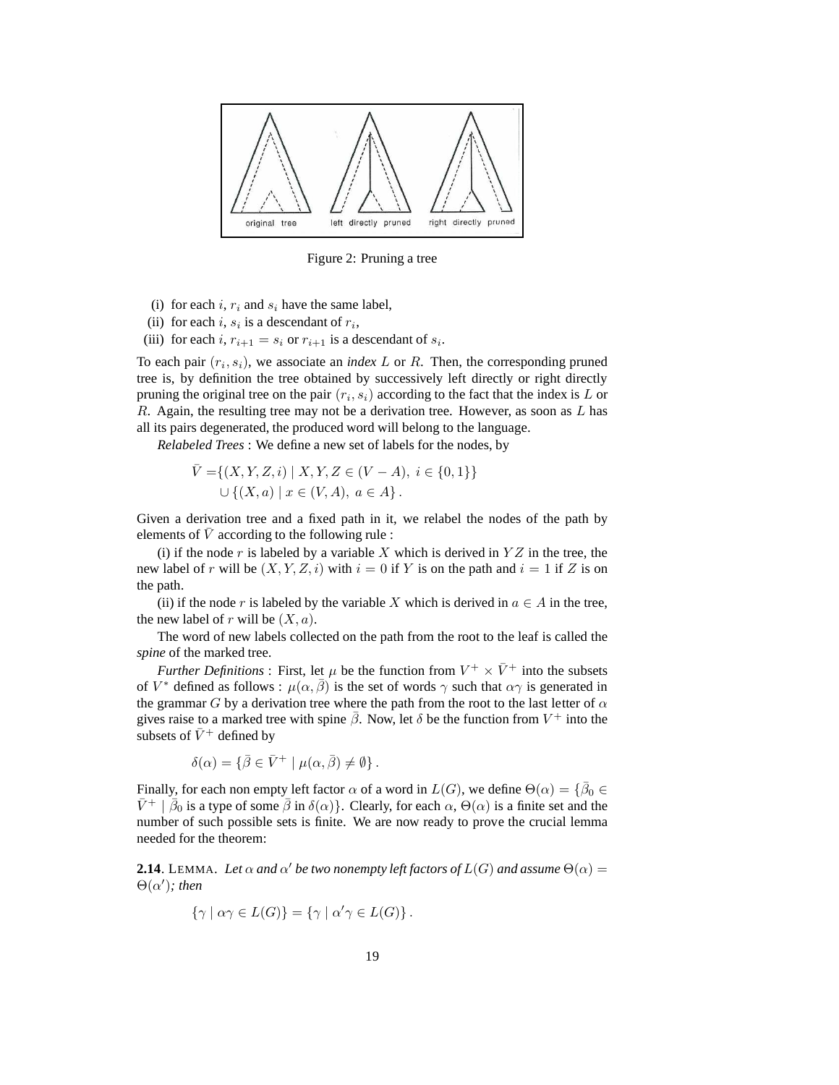

Figure 2: Pruning a tree

- (i) for each i,  $r_i$  and  $s_i$  have the same label,
- (ii) for each i,  $s_i$  is a descendant of  $r_i$ ,
- (iii) for each i,  $r_{i+1} = s_i$  or  $r_{i+1}$  is a descendant of  $s_i$ .

To each pair  $(r_i, s_i)$ , we associate an *index*  $L$  or  $R$ . Then, the corresponding pruned tree is, by definition the tree obtained by successively left directly or right directly pruning the original tree on the pair  $(r_i, s_i)$  according to the fact that the index is L or R. Again, the resulting tree may not be a derivation tree. However, as soon as  $L$  has all its pairs degenerated, the produced word will belong to the language.

*Relabeled Trees* : We define a new set of labels for the nodes, by

$$
\bar{V} = \{(X, Y, Z, i) \mid X, Y, Z \in (V - A), i \in \{0, 1\}\}
$$
  

$$
\cup \{(X, a) \mid x \in (V, A), a \in A\}.
$$

Given a derivation tree and a fixed path in it, we relabel the nodes of the path by elements of  $\overline{V}$  according to the following rule :

(i) if the node r is labeled by a variable X which is derived in  $YZ$  in the tree, the new label of r will be  $(X, Y, Z, i)$  with  $i = 0$  if Y is on the path and  $i = 1$  if Z is on the path.

(ii) if the node r is labeled by the variable X which is derived in  $a \in A$  in the tree, the new label of r will be  $(X, a)$ .

The word of new labels collected on the path from the root to the leaf is called the *spine* of the marked tree.

*Further Definitions* : First, let  $\mu$  be the function from  $V^+ \times \bar{V}^+$  into the subsets of  $V^*$  defined as follows :  $\mu(\alpha, \overline{\beta})$  is the set of words  $\gamma$  such that  $\alpha\gamma$  is generated in the grammar G by a derivation tree where the path from the root to the last letter of  $\alpha$ gives raise to a marked tree with spine  $\bar{\beta}$ . Now, let  $\delta$  be the function from  $V^+$  into the subsets of  $\bar{V}^+$  defined by

$$
\delta(\alpha) = \{ \bar{\beta} \in \bar{V}^+ \mid \mu(\alpha, \bar{\beta}) \neq \emptyset \} .
$$

Finally, for each non empty left factor  $\alpha$  of a word in  $L(G)$ , we define  $\Theta(\alpha) = {\overline{\beta}}_0 \in$  $\bar{V}^+$  |  $\bar{\beta}_0$  is a type of some  $\bar{\beta}$  in  $\delta(\alpha)$ }. Clearly, for each  $\alpha$ ,  $\Theta(\alpha)$  is a finite set and the number of such possible sets is finite. We are now ready to prove the crucial lemma needed for the theorem:

**2.14**. LEMMA. Let  $\alpha$  and  $\alpha'$  be two nonempty left factors of  $L(G)$  and assume  $\Theta(\alpha)$  =  $\Theta(\alpha')$ *; then* 

$$
\{\gamma \mid \alpha \gamma \in L(G)\} = \{\gamma \mid \alpha' \gamma \in L(G)\}.
$$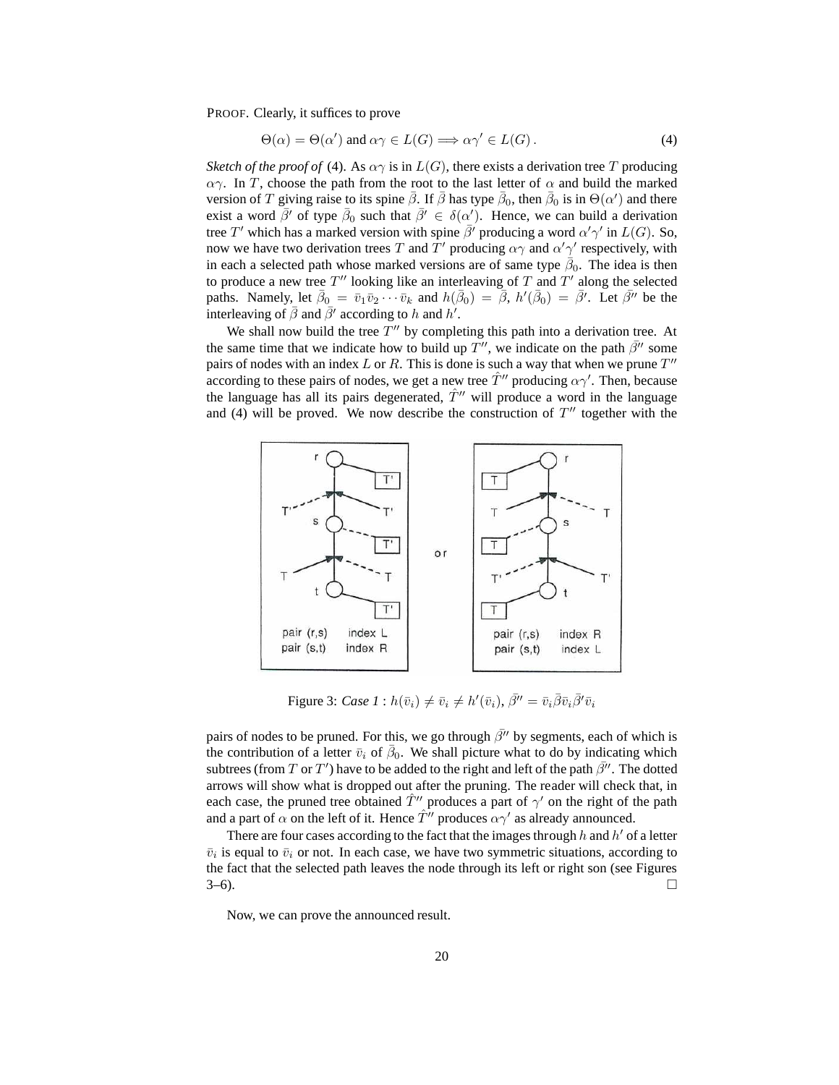PROOF. Clearly, it suffices to prove

$$
\Theta(\alpha) = \Theta(\alpha') \text{ and } \alpha\gamma \in L(G) \Longrightarrow \alpha\gamma' \in L(G).
$$
 (4)

*Sketch of the proof of* (4). As  $\alpha\gamma$  is in  $L(G)$ , there exists a derivation tree T producing  $\alpha$ γ. In T, choose the path from the root to the last letter of  $\alpha$  and build the marked version of T giving raise to its spine  $\bar{\beta}$ . If  $\bar{\beta}$  has type  $\bar{\beta}_0$ , then  $\bar{\beta}_0$  is in  $\Theta(\alpha')$  and there exist a word  $\bar{\beta}'$  of type  $\bar{\beta}_0$  such that  $\bar{\beta}' \in \delta(\alpha')$ . Hence, we can build a derivation tree T' which has a marked version with spine  $\bar{\beta}^j$  producing a word  $\alpha' \gamma'$  in  $L(G)$ . So, now we have two derivation trees T and T' producing  $\alpha\gamma$  and  $\alpha'\gamma'$  respectively, with in each a selected path whose marked versions are of same type  $\overline{\beta}_0$ . The idea is then to produce a new tree  $T''$  looking like an interleaving of  $T$  and  $T'$  along the selected paths. Namely, let  $\bar{\beta}_0 = \bar{v}_1 \bar{v}_2 \cdots \bar{v}_k$  and  $h(\bar{\beta}_0) = \bar{\beta}$ ,  $h'(\bar{\beta}_0) = \bar{\beta}'$ . Let  $\bar{\beta}''$  be the interleaving of  $\bar{\beta}$  and  $\bar{\beta'}$  according to h and h<sup>'</sup>.

We shall now build the tree  $T''$  by completing this path into a derivation tree. At the same time that we indicate how to build up  $T''$ , we indicate on the path  $\bar{\beta}''$  some pairs of nodes with an index L or R. This is done is such a way that when we prune  $T''$ according to these pairs of nodes, we get a new tree  $\hat{T}''$  producing  $\alpha \gamma'$ . Then, because the language has all its pairs degenerated,  $\hat{T}^{\prime\prime}$  will produce a word in the language and (4) will be proved. We now describe the construction of  $T''$  together with the



Figure 3: *Case 1* :  $h(\bar{v}_i) \neq \bar{v}_i \neq h'(\bar{v}_i)$ ,  $\bar{\beta''} = \bar{v}_i \bar{\beta} \bar{v}_i \bar{\beta'} \bar{v}_i$ 

pairs of nodes to be pruned. For this, we go through  $\bar{\beta}''$  by segments, each of which is the contribution of a letter  $\bar{v}_i$  of  $\bar{\beta}_0$ . We shall picture what to do by indicating which subtrees (from T or T') have to be added to the right and left of the path  $\bar{\beta}''$ . The dotted arrows will show what is dropped out after the pruning. The reader will check that, in each case, the pruned tree obtained  $\hat{T}''$  produces a part of  $\gamma'$  on the right of the path and a part of  $\alpha$  on the left of it. Hence  $\hat{T}^{\prime\prime}$  produces  $\alpha\gamma^{\prime}$  as already announced.

There are four cases according to the fact that the images through  $h$  and  $h'$  of a letter  $\bar{v}_i$  is equal to  $\bar{v}_i$  or not. In each case, we have two symmetric situations, according to the fact that the selected path leaves the node through its left or right son (see Figures  $3-6$ ).

Now, we can prove the announced result.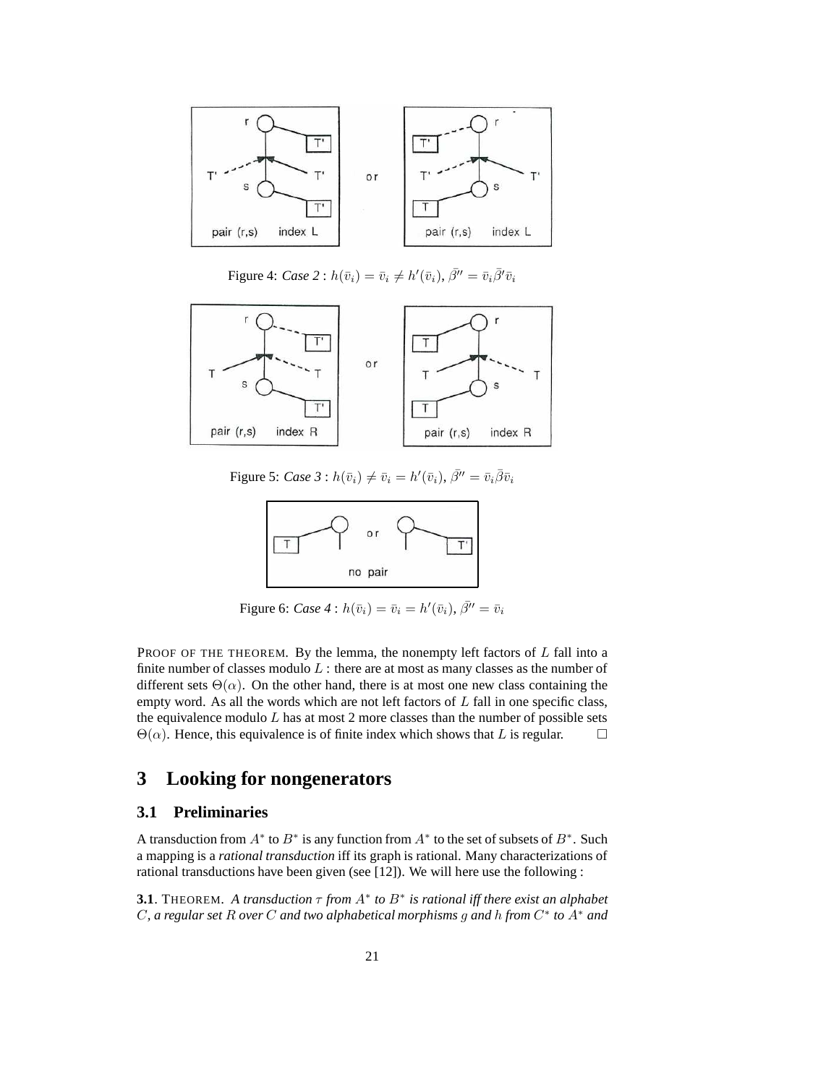

Figure 4: *Case* 2 :  $h(\bar{v}_i) = \bar{v}_i \neq h'(\bar{v}_i)$ ,  $\bar{\beta}'' = \bar{v}_i \bar{\beta}' \bar{v}_i$ 



Figure 5: *Case* 3 :  $h(\bar{v}_i) \neq \bar{v}_i = h'(\bar{v}_i), \bar{\beta}'' = \bar{v}_i \bar{\beta} \bar{v}_i$ 



Figure 6: *Case* 4 :  $h(\bar{v}_i) = \bar{v}_i = h'(\bar{v}_i), \bar{\beta}'' = \bar{v}_i$ 

PROOF OF THE THEOREM. By the lemma, the nonempty left factors of  $L$  fall into a finite number of classes modulo  $L$  : there are at most as many classes as the number of different sets  $\Theta(\alpha)$ . On the other hand, there is at most one new class containing the empty word. As all the words which are not left factors of  $L$  fall in one specific class, the equivalence modulo  $L$  has at most  $2$  more classes than the number of possible sets  $\Theta(\alpha)$ . Hence, this equivalence is of finite index which shows that L is regular.  $\square$ 

# **3 Looking for nongenerators**

## **3.1 Preliminaries**

A transduction from  $A^*$  to  $B^*$  is any function from  $A^*$  to the set of subsets of  $B^*$ . Such a mapping is a *rational transduction* iff its graph is rational. Many characterizations of rational transductions have been given (see [12]). We will here use the following :

**3.1**. THEOREM. A transduction  $\tau$  from  $A^*$  to  $B^*$  is rational iff there exist an alphabet C*, a regular set* R *over* C *and two alphabetical morphisms* g *and* h *from* C ∗ *to* A<sup>∗</sup> *and*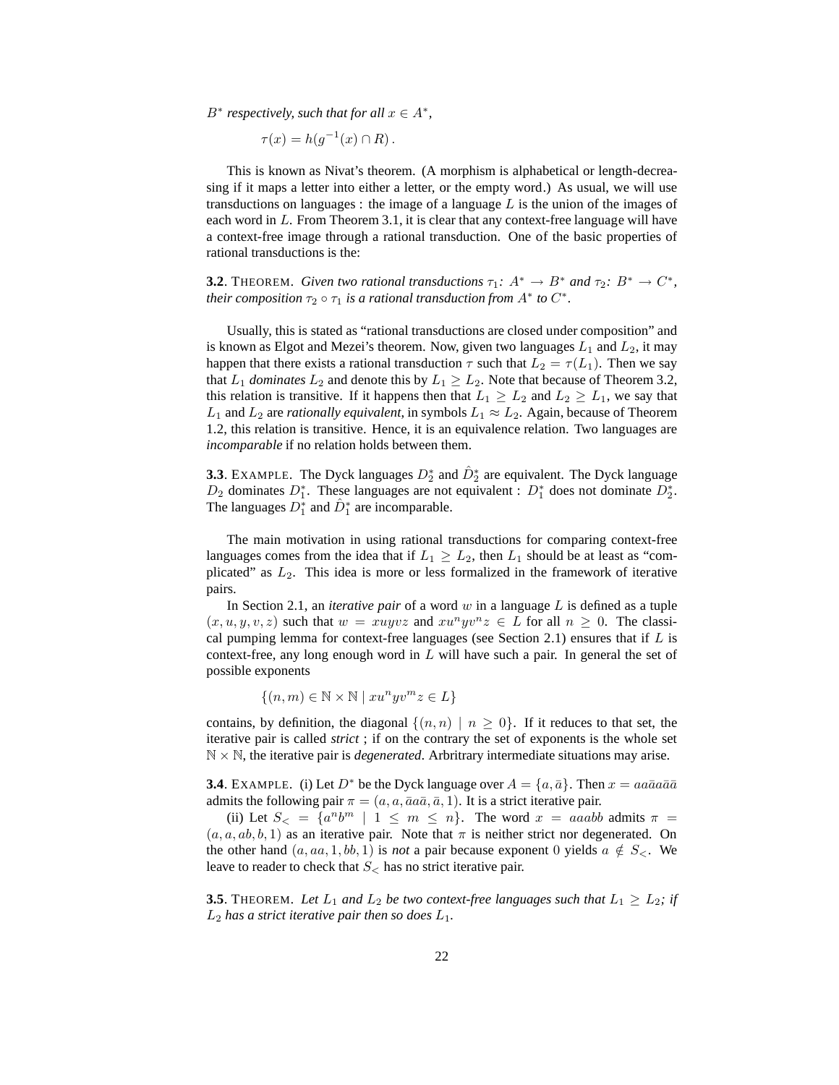$B^*$  *respectively, such that for all*  $x \in A^*$ *,* 

$$
\tau(x) = h(g^{-1}(x) \cap R).
$$

This is known as Nivat's theorem. (A morphism is alphabetical or length-decreasing if it maps a letter into either a letter, or the empty word.) As usual, we will use transductions on languages : the image of a language  $L$  is the union of the images of each word in  $L$ . From Theorem 3.1, it is clear that any context-free language will have a context-free image through a rational transduction. One of the basic properties of rational transductions is the:

**3.2**. THEOREM. *Given two rational transductions*  $\tau_1$ :  $A^* \to B^*$  *and*  $\tau_2$ :  $B^* \to C^*$ , *their composition*  $\tau_2 \circ \tau_1$  *is a rational transduction from*  $A^*$  *to*  $C^*$ *.* 

Usually, this is stated as "rational transductions are closed under composition" and is known as Elgot and Mezei's theorem. Now, given two languages  $L_1$  and  $L_2$ , it may happen that there exists a rational transduction  $\tau$  such that  $L_2 = \tau(L_1)$ . Then we say that  $L_1$  *dominates*  $L_2$  and denote this by  $L_1 \ge L_2$ . Note that because of Theorem 3.2, this relation is transitive. If it happens then that  $L_1 \geq L_2$  and  $L_2 \geq L_1$ , we say that  $L_1$  and  $L_2$  are *rationally equivalent*, in symbols  $L_1 \approx L_2$ . Again, because of Theorem 1.2, this relation is transitive. Hence, it is an equivalence relation. Two languages are *incomparable* if no relation holds between them.

**3.3**. EXAMPLE. The Dyck languages  $D_2^*$  and  $\hat{D}_2^*$  are equivalent. The Dyck language  $D_2$  dominates  $D_1^*$ . These languages are not equivalent :  $D_1^*$  does not dominate  $D_2^*$ . The languages  $\overline{D}_1^*$  and  $\hat{D}_1^*$  are incomparable.

The main motivation in using rational transductions for comparing context-free languages comes from the idea that if  $L_1 \geq L_2$ , then  $L_1$  should be at least as "complicated" as  $L_2$ . This idea is more or less formalized in the framework of iterative pairs.

In Section 2.1, an *iterative pair* of a word w in a language L is defined as a tuple  $(x, u, y, v, z)$  such that  $w = xuyvz$  and  $xu<sup>n</sup> yv<sup>n</sup> z \in L$  for all  $n \geq 0$ . The classical pumping lemma for context-free languages (see Section 2.1) ensures that if  $L$  is context-free, any long enough word in  $L$  will have such a pair. In general the set of possible exponents

 $\{(n,m)\in\mathbb{N}\times\mathbb{N}\mid xu^nyv^mz\in L\}$ 

contains, by definition, the diagonal  $\{(n,n) | n \geq 0\}$ . If it reduces to that set, the iterative pair is called *strict* ; if on the contrary the set of exponents is the whole set  $\mathbb{N} \times \mathbb{N}$ , the iterative pair is *degenerated*. Arbritrary intermediate situations may arise.

**3.4**. EXAMPLE. (i) Let  $D^*$  be the Dyck language over  $A = \{a, \bar{a}\}\$ . Then  $x = a a \bar{a} a \bar{a} \bar{a}$ admits the following pair  $\pi = (a, a, \bar{a}a\bar{a}, \bar{a}, 1)$ . It is a strict iterative pair.

(ii) Let  $S_{\le} = \{a^n b^m \mid 1 \leq m \leq n\}$ . The word  $x = aaabb$  admits  $\pi =$  $(a, a, ab, b, 1)$  as an iterative pair. Note that  $\pi$  is neither strict nor degenerated. On the other hand  $(a, aa, 1, bb, 1)$  is *not* a pair because exponent 0 yields  $a \notin S_{\leq}$ . We leave to reader to check that  $S_{\leq}$  has no strict iterative pair.

**3.5**. THEOREM. Let  $L_1$  and  $L_2$  be two context-free languages such that  $L_1 \geq L_2$ ; if  $L_2$  has a strict iterative pair then so does  $L_1$ .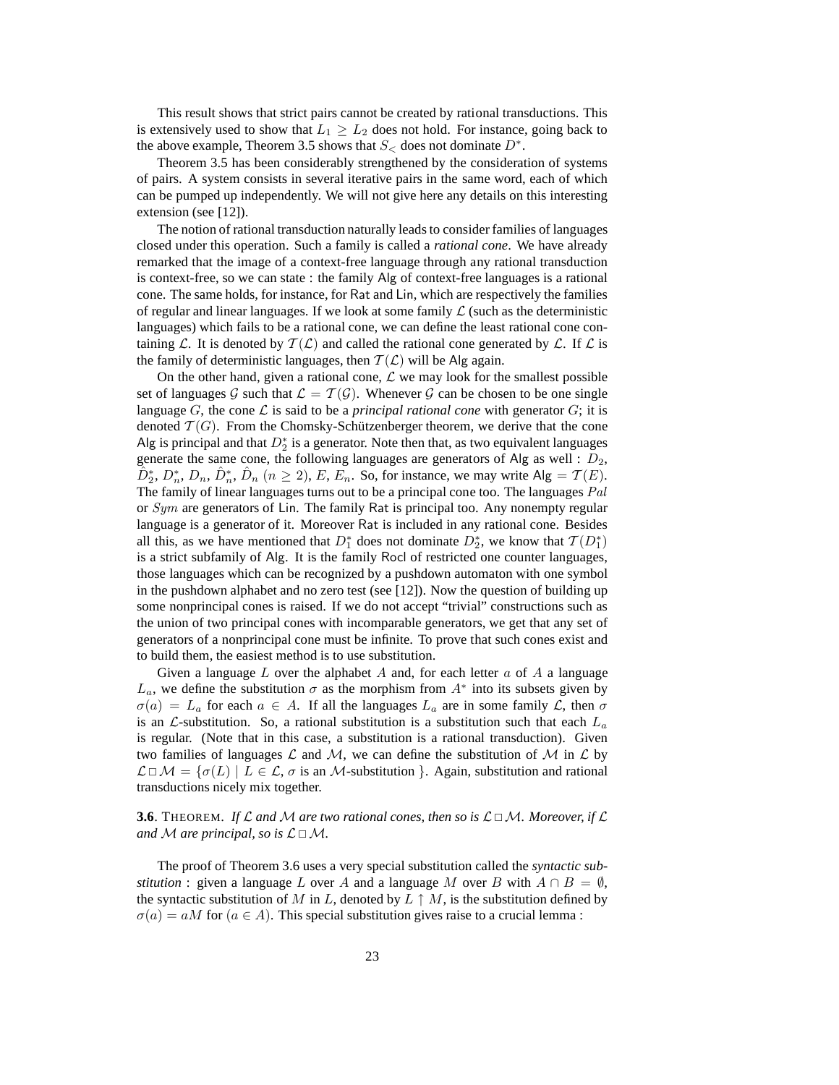This result shows that strict pairs cannot be created by rational transductions. This is extensively used to show that  $L_1 \geq L_2$  does not hold. For instance, going back to the above example, Theorem 3.5 shows that  $S<$  does not dominate  $D^*$ .

Theorem 3.5 has been considerably strengthened by the consideration of systems of pairs. A system consists in several iterative pairs in the same word, each of which can be pumped up independently. We will not give here any details on this interesting extension (see [12]).

The notion of rational transduction naturally leads to consider families of languages closed under this operation. Such a family is called a *rational cone*. We have already remarked that the image of a context-free language through any rational transduction is context-free, so we can state : the family Alg of context-free languages is a rational cone. The same holds, for instance, for Rat and Lin, which are respectively the families of regular and linear languages. If we look at some family  $\mathcal L$  (such as the deterministic languages) which fails to be a rational cone, we can define the least rational cone containing L. It is denoted by  $T(\mathcal{L})$  and called the rational cone generated by L. If L is the family of deterministic languages, then  $T(\mathcal{L})$  will be Alg again.

On the other hand, given a rational cone,  $\mathcal L$  we may look for the smallest possible set of languages G such that  $\mathcal{L} = \mathcal{T}(\mathcal{G})$ . Whenever G can be chosen to be one single language  $G$ , the cone  $\mathcal L$  is said to be a *principal rational cone* with generator  $G$ ; it is denoted  $\mathcal{T}(G)$ . From the Chomsky-Schützenberger theorem, we derive that the cone Alg is principal and that  $D_2^*$  is a generator. Note then that, as two equivalent languages generate the same cone, the following languages are generators of Alg as well :  $D_2$ ,  $\hat{D}_2^*, D_n^*, D_n, \hat{D}_n^*, \hat{D}_n$   $(n \ge 2), E, E_n$ . So, for instance, we may write  $\text{Alg} = \mathcal{T}(E)$ . The family of linear languages turns out to be a principal cone too. The languages  $Pal$ or Sym are generators of Lin. The family Rat is principal too. Any nonempty regular language is a generator of it. Moreover Rat is included in any rational cone. Besides all this, as we have mentioned that  $D_1^*$  does not dominate  $D_2^*$ , we know that  $\mathcal{T}(D_1^*)$ is a strict subfamily of Alg. It is the family Rocl of restricted one counter languages, those languages which can be recognized by a pushdown automaton with one symbol in the pushdown alphabet and no zero test (see [12]). Now the question of building up some nonprincipal cones is raised. If we do not accept "trivial" constructions such as the union of two principal cones with incomparable generators, we get that any set of generators of a nonprincipal cone must be infinite. To prove that such cones exist and to build them, the easiest method is to use substitution.

Given a language L over the alphabet A and, for each letter  $a$  of A a language  $L_a$ , we define the substitution  $\sigma$  as the morphism from  $A^*$  into its subsets given by  $\sigma(a) = L_a$  for each  $a \in A$ . If all the languages  $L_a$  are in some family  $\mathcal{L}$ , then  $\sigma$ is an  $\mathcal{L}$ -substitution. So, a rational substitution is a substitution such that each  $L_a$ is regular. (Note that in this case, a substitution is a rational transduction). Given two families of languages L and M, we can define the substitution of M in L by  $\mathcal{L} \Box \mathcal{M} = \{ \sigma(L) \mid L \in \mathcal{L}, \sigma \text{ is an } \mathcal{M}\text{-substitution }\}.$  Again, substitution and rational transductions nicely mix together.

## **3.6**. THEOREM. If L and M are two rational cones, then so is  $\mathcal{L} \Box \mathcal{M}$ . Moreover, if L *and* M are principal, so is  $\mathcal{L} \square \mathcal{M}$ .

The proof of Theorem 3.6 uses a very special substitution called the *syntactic substitution* : given a language L over A and a language M over B with  $A \cap B = \emptyset$ , the syntactic substitution of M in L, denoted by  $L \uparrow M$ , is the substitution defined by  $\sigma(a) = aM$  for  $(a \in A)$ . This special substitution gives raise to a crucial lemma: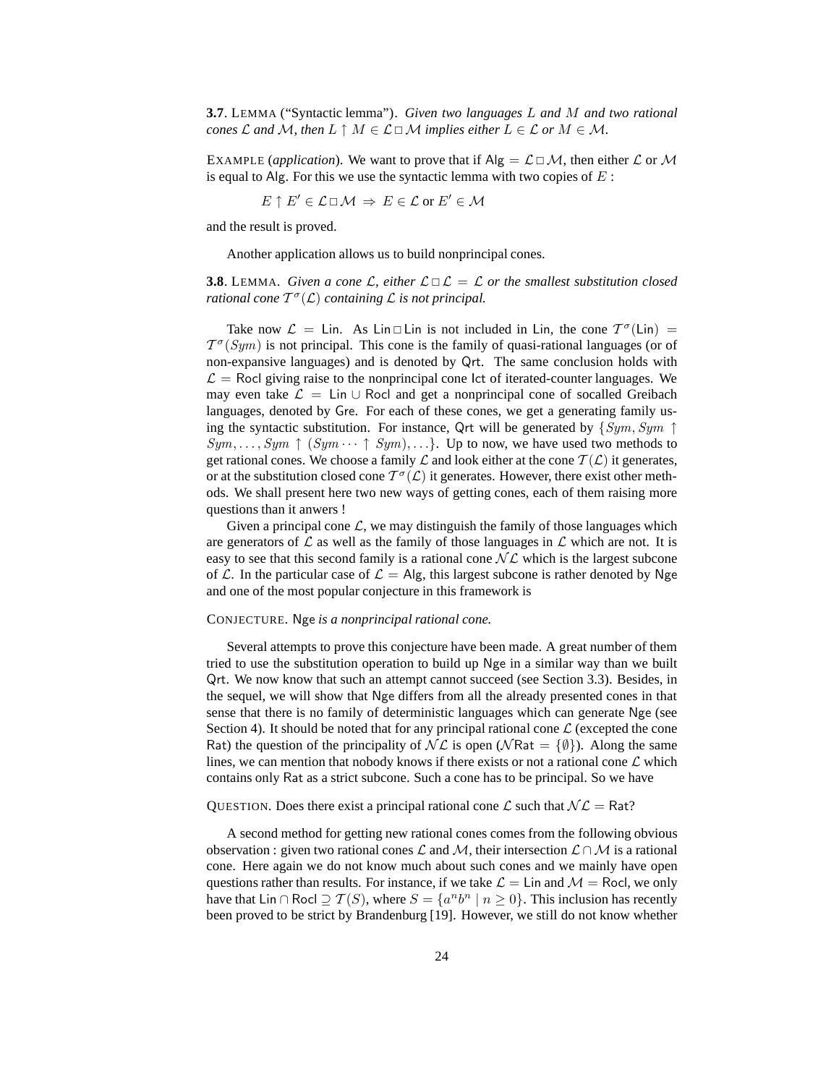**3.7**. LEMMA ("Syntactic lemma"). *Given two languages* L *and* M *and two rational cones*  $\mathcal L$  *and*  $\mathcal M$ *, then*  $L \uparrow M \in \mathcal L \square \mathcal M$  *implies either*  $L \in \mathcal L$  *or*  $M \in \mathcal M$ *.* 

EXAMPLE (*application*). We want to prove that if  $\text{Alg} = \mathcal{L} \Box \mathcal{M}$ , then either  $\mathcal{L}$  or  $\mathcal{M}$ is equal to Alg. For this we use the syntactic lemma with two copies of  $E$ :

$$
E \uparrow E' \in \mathcal{L} \sqcup \mathcal{M} \ \Rightarrow \ E \in \mathcal{L} \text{ or } E' \in \mathcal{M}
$$

and the result is proved.

Another application allows us to build nonprincipal cones.

**3.8**. LEMMA. *Given a cone*  $\mathcal{L}$ , either  $\mathcal{L} \square \mathcal{L} = \mathcal{L}$  *or the smallest substitution closed rational cone* T σ (L) *containing* L *is not principal.*

Take now  $\mathcal{L} = \text{Lin. As } \text{Lin} \square \text{Lin is not included in } \text{Lin, the cone } \mathcal{T}^{\sigma}(\text{Lin}) =$  $T^{\sigma}(Sym)$  is not principal. This cone is the family of quasi-rational languages (or of non-expansive languages) and is denoted by Qrt. The same conclusion holds with  $\mathcal{L} =$  Rocl giving raise to the nonprincipal cone lct of iterated-counter languages. We may even take  $\mathcal{L} = \text{Lin} \cup \text{Rocl}$  and get a nonprincipal cone of socalled Greibach languages, denoted by Gre. For each of these cones, we get a generating family using the syntactic substitution. For instance, Qrt will be generated by  $\{Sym, Sym \uparrow\}$  $Sym, \ldots, Sym \uparrow (Sym \cdots \uparrow Sym), \ldots$ . Up to now, we have used two methods to get rational cones. We choose a family  $\mathcal L$  and look either at the cone  $\mathcal T(\mathcal L)$  it generates, or at the substitution closed cone  $T^{\sigma}(\mathcal{L})$  it generates. However, there exist other methods. We shall present here two new ways of getting cones, each of them raising more questions than it anwers !

Given a principal cone  $\mathcal{L}$ , we may distinguish the family of those languages which are generators of  $\mathcal L$  as well as the family of those languages in  $\mathcal L$  which are not. It is easy to see that this second family is a rational cone  $N\mathcal{L}$  which is the largest subcone of L. In the particular case of  $\mathcal{L} = Alg$ , this largest subcone is rather denoted by Nge and one of the most popular conjecture in this framework is

#### CONJECTURE. Nge *is a nonprincipal rational cone.*

Several attempts to prove this conjecture have been made. A great number of them tried to use the substitution operation to build up Nge in a similar way than we built Qrt. We now know that such an attempt cannot succeed (see Section 3.3). Besides, in the sequel, we will show that Nge differs from all the already presented cones in that sense that there is no family of deterministic languages which can generate Nge (see Section 4). It should be noted that for any principal rational cone  $\mathcal L$  (excepted the cone Rat) the question of the principality of  $\mathcal{NL}$  is open ( $\mathcal{N}$ Rat = { $\emptyset$ }). Along the same lines, we can mention that nobody knows if there exists or not a rational cone  $\mathcal L$  which contains only Rat as a strict subcone. Such a cone has to be principal. So we have

QUESTION. Does there exist a principal rational cone  $\mathcal L$  such that  $\mathcal{NL} = \mathsf{Rat}$ ?

A second method for getting new rational cones comes from the following obvious observation : given two rational cones  $\mathcal L$  and  $\mathcal M$ , their intersection  $\mathcal L \cap \mathcal M$  is a rational cone. Here again we do not know much about such cones and we mainly have open questions rather than results. For instance, if we take  $\mathcal{L} = \text{Lin}$  and  $\mathcal{M} = \text{Rocl}$ , we only have that Lin ∩ Rocl  $\supseteq \mathcal{T}(S)$ , where  $S = \{a^n b^n \mid n \ge 0\}$ . This inclusion has recently been proved to be strict by Brandenburg [19]. However, we still do not know whether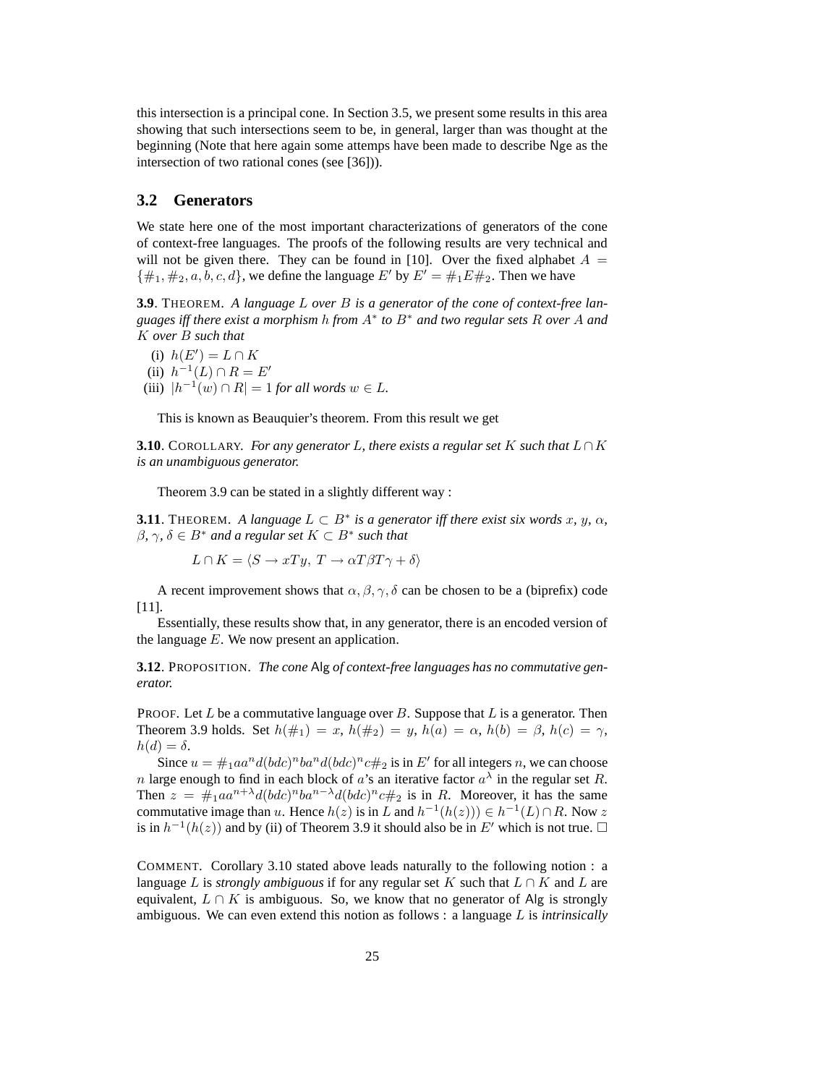this intersection is a principal cone. In Section 3.5, we present some results in this area showing that such intersections seem to be, in general, larger than was thought at the beginning (Note that here again some attemps have been made to describe Nge as the intersection of two rational cones (see [36])).

## **3.2 Generators**

We state here one of the most important characterizations of generators of the cone of context-free languages. The proofs of the following results are very technical and will not be given there. They can be found in [10]. Over the fixed alphabet  $A =$  $\{\#_1, \#_2, a, b, c, d\}$ , we define the language E' by  $E' = \#_1 E \#_2$ . Then we have

**3.9**. THEOREM. *A language* L *over* B *is a generator of the cone of context-free languages iff there exist a morphism* h *from* A<sup>∗</sup> *to* B<sup>∗</sup> *and two regular sets* R *over* A *and* K *over* B *such that*

- (i)  $h(E') = L \cap K$
- (ii)  $h^{-1}(L) \cap R = E'$
- (iii)  $|h^{-1}(w) \cap R| = 1$  *for all words*  $w \in L$ .

This is known as Beauquier's theorem. From this result we get

**3.10**. COROLLARY. *For any generator* L, there exists a regular set K such that  $L \cap K$ *is an unambiguous generator.*

Theorem 3.9 can be stated in a slightly different way :

**3.11**. THEOREM. A language  $L \subset B^*$  is a generator iff there exist six words x, y,  $\alpha$ ,  $\beta$ ,  $\gamma$ ,  $\delta \in B^*$  *and a regular set*  $K \subset B^*$  *such that* 

 $L \cap K = \langle S \to xTy, T \to \alpha T \beta T \gamma + \delta \rangle$ 

A recent improvement shows that  $\alpha$ ,  $\beta$ ,  $\gamma$ ,  $\delta$  can be chosen to be a (biprefix) code [11].

Essentially, these results show that, in any generator, there is an encoded version of the language  $E$ . We now present an application.

**3.12**. PROPOSITION. *The cone* Alg *of context-free languages has no commutative generator.*

PROOF. Let  $L$  be a commutative language over  $B$ . Suppose that  $L$  is a generator. Then Theorem 3.9 holds. Set  $h(\#_1) = x$ ,  $h(\#_2) = y$ ,  $h(a) = \alpha$ ,  $h(b) = \beta$ ,  $h(c) = \gamma$ ,  $h(d) = \delta.$ 

Since  $u = \#_1 a a^n d (b d c)^n b a^n d (b d c)^n c \#_2$  is in  $E'$  for all integers n, we can choose n large enough to find in each block of a's an iterative factor  $a^{\lambda}$  in the regular set R. Then  $z = \#_1 a a^{n+\lambda} d(bd c)^n b a^{n-\lambda} d(bd c)^n c \#_2$  is in R. Moreover, it has the same commutative image than u. Hence  $h(z)$  is in L and  $h^{-1}(h(z)) \in h^{-1}(L) \cap R$ . Now z is in  $h^{-1}(h(z))$  and by (ii) of Theorem 3.9 it should also be in E' which is not true.  $\Box$ 

COMMENT. Corollary 3.10 stated above leads naturally to the following notion : a language L is *strongly ambiguous* if for any regular set K such that  $L \cap K$  and L are equivalent,  $L \cap K$  is ambiguous. So, we know that no generator of Alg is strongly ambiguous. We can even extend this notion as follows : a language L is *intrinsically*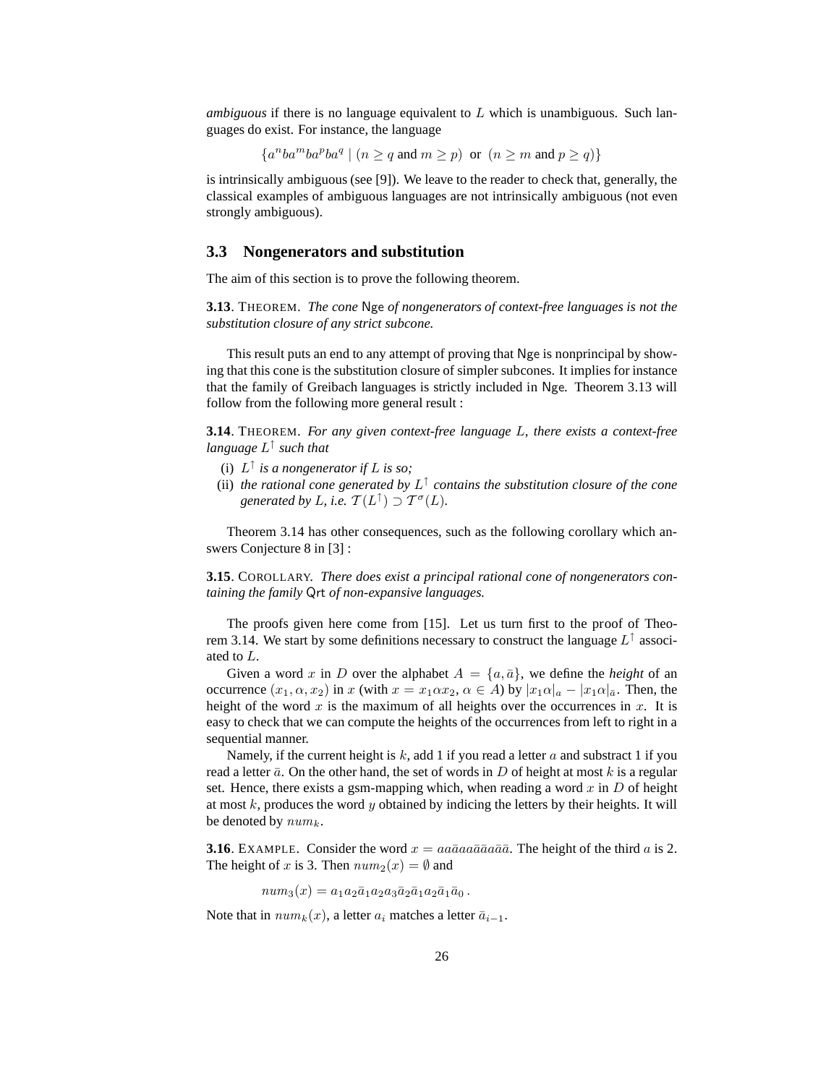*ambiguous* if there is no language equivalent to L which is unambiguous. Such languages do exist. For instance, the language

 ${a^nb a^m b a^p b a^q \mid (n \geq q \text{ and } m \geq p) \text{ or } (n \geq m \text{ and } p \geq q)}$ 

is intrinsically ambiguous (see [9]). We leave to the reader to check that, generally, the classical examples of ambiguous languages are not intrinsically ambiguous (not even strongly ambiguous).

## **3.3 Nongenerators and substitution**

The aim of this section is to prove the following theorem.

**3.13**. THEOREM. *The cone* Nge *of nongenerators of context-free languages is not the substitution closure of any strict subcone.*

This result puts an end to any attempt of proving that Nge is nonprincipal by showing that this cone is the substitution closure of simpler subcones. It implies for instance that the family of Greibach languages is strictly included in Nge. Theorem 3.13 will follow from the following more general result :

**3.14**. THEOREM. *For any given context-free language* L*, there exists a context-free language* L ↑ *such that*

- (i)  $L^{\uparrow}$  *is a nongenerator if L is so*;
- (ii) the rational cone generated by  $L^{\uparrow}$  contains the substitution closure of the cone generated by L, i.e.  $\mathcal{T}(L^{\uparrow}) \supset \mathcal{T}^{\sigma}(L)$ .

Theorem 3.14 has other consequences, such as the following corollary which answers Conjecture 8 in [3] :

**3.15**. COROLLARY. *There does exist a principal rational cone of nongenerators containing the family* Qrt *of non-expansive languages.*

The proofs given here come from [15]. Let us turn first to the proof of Theorem 3.14. We start by some definitions necessary to construct the language  $L^{\uparrow}$  associated to L.

Given a word x in D over the alphabet  $A = \{a, \bar{a}\}\$ , we define the *height* of an occurrence  $(x_1, \alpha, x_2)$  in x (with  $x = x_1 \alpha x_2, \alpha \in A$ ) by  $|x_1 \alpha|_a - |x_1 \alpha|_a$ . Then, the height of the word  $x$  is the maximum of all heights over the occurrences in  $x$ . It is easy to check that we can compute the heights of the occurrences from left to right in a sequential manner.

Namely, if the current height is k, add 1 if you read a letter a and substract 1 if you read a letter  $\bar{a}$ . On the other hand, the set of words in D of height at most k is a regular set. Hence, there exists a gsm-mapping which, when reading a word  $x$  in  $D$  of height at most  $k$ , produces the word  $y$  obtained by indicing the letters by their heights. It will be denoted by  $num_k$ .

**3.16**. EXAMPLE. Consider the word  $x = a\overline{a}a\overline{a}a\overline{a}a\overline{a}a\overline{a}$ . The height of the third a is 2. The height of x is 3. Then  $num_2(x) = \emptyset$  and

 $num_3(x) = a_1a_2\bar{a}_1a_2a_3\bar{a}_2\bar{a}_1a_2\bar{a}_1\bar{a}_0$ .

Note that in  $num_k(x)$ , a letter  $a_i$  matches a letter  $\bar{a}_{i-1}$ .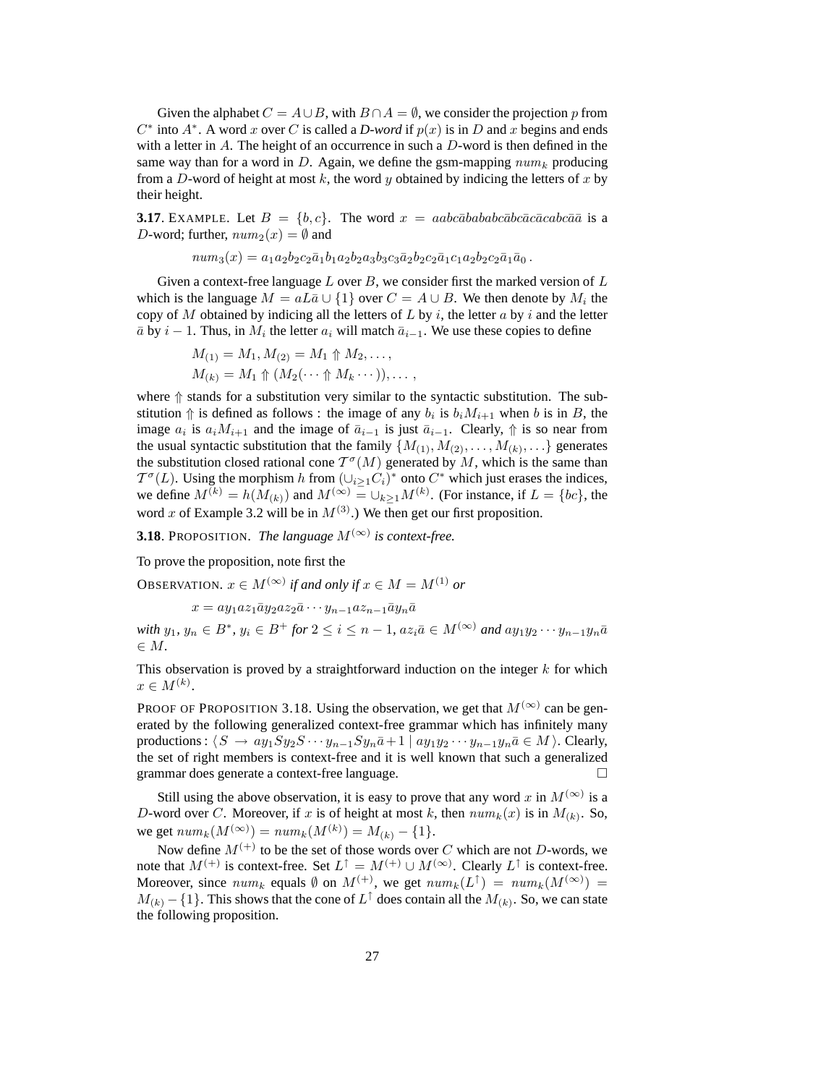Given the alphabet  $C = A \cup B$ , with  $B \cap A = \emptyset$ , we consider the projection p from  $C^*$  into  $A^*$ . A word x over C is called a *D-word* if  $p(x)$  is in D and x begins and ends with a letter in  $A$ . The height of an occurrence in such a  $D$ -word is then defined in the same way than for a word in D. Again, we define the gsm-mapping  $num_k$  producing from a D-word of height at most  $k$ , the word  $y$  obtained by indicing the letters of  $x$  by their height.

**3.17**. EXAMPLE. Let  $B = \{b, c\}$ . The word  $x = aabc\bar{a}ba\bar{b}ababc\bar{a}bc\bar{a}cabc\bar{a}\bar{a}$  is a D-word; further,  $num_2(x) = \emptyset$  and

 $num_3(x) = a_1a_2b_2c_2\bar{a}_1b_1a_2b_2a_3b_3c_3\bar{a}_2b_2c_2\bar{a}_1c_1a_2b_2c_2\bar{a}_1\bar{a}_0.$ 

Given a context-free language L over B, we consider first the marked version of  $L$ which is the language  $M = aL\bar{a} \cup \{1\}$  over  $C = A \cup B$ . We then denote by  $M_i$  the copy of M obtained by indicing all the letters of  $L$  by  $i$ , the letter  $a$  by  $i$  and the letter  $\bar{a}$  by  $i - 1$ . Thus, in  $M_i$  the letter  $a_i$  will match  $\bar{a}_{i-1}$ . We use these copies to define

$$
M_{(1)} = M_1, M_{(2)} = M_1 \Uparrow M_2, \dots,
$$
  
\n
$$
M_{(k)} = M_1 \Uparrow (M_2(\dots \Uparrow M_k \dots)), \dots,
$$

where  $\Uparrow$  stands for a substitution very similar to the syntactic substitution. The substitution  $\Uparrow$  is defined as follows : the image of any  $b_i$  is  $b_iM_{i+1}$  when b is in B, the image  $a_i$  is  $a_iM_{i+1}$  and the image of  $\bar{a}_{i-1}$  is just  $\bar{a}_{i-1}$ . Clearly,  $\uparrow$  is so near from the usual syntactic substitution that the family  $\{M_{(1)}, M_{(2)}, \ldots, M_{(k)}, \ldots\}$  generates the substitution closed rational cone  $\mathcal{T}^{\sigma}(M)$  generated by M, which is the same than  $\mathcal{T}^{\sigma}(L)$ . Using the morphism h from  $(\bigcup_{i\geq 1}C_i)^*$  onto  $C^*$  which just erases the indices, we define  $M^{(k)} = h(M_{(k)})$  and  $M^{(\infty)} = \cup_{k \geq 1} M^{(k)}$ . (For instance, if  $L = \{bc\}$ , the word x of Example 3.2 will be in  $M^{(3)}$ .) We then get our first proposition.

**3.18**. PROPOSITION. *The language*  $M^{(\infty)}$  is context-free.

To prove the proposition, note first the

OBSERVATION.  $x \in M^{(\infty)}$  *if and only if*  $x \in M = M^{(1)}$  *or* 

 $x = a y_1 a z_1 \bar{a} y_2 a z_2 \bar{a} \cdots y_{n-1} a z_{n-1} \bar{a} y_n \bar{a}$ 

*with*  $y_1, y_n \in B^*$ ,  $y_i \in B^+$  *for*  $2 \le i \le n - 1$ ,  $az_i\bar{a} \in M^{(\infty)}$  and  $ay_1y_2 \cdots y_{n-1}y_n\bar{a}$ ∈ M*.*

This observation is proved by a straightforward induction on the integer  $k$  for which  $x \in M^{(k)}$ .

PROOF OF PROPOSITION 3.18. Using the observation, we get that  $M^{(\infty)}$  can be generated by the following generalized context-free grammar which has infinitely many productions :  $\langle S \to ay_1Sy_2S \cdots y_{n-1}Sy_n\overline{a}+1 \mid ay_1y_2\cdots y_{n-1}y_n\overline{a} \in M \rangle$ . Clearly, the set of right members is context-free and it is well known that such a generalized grammar does generate a context-free language.

Still using the above observation, it is easy to prove that any word x in  $M^{(\infty)}$  is a D-word over C. Moreover, if x is of height at most k, then  $num_k(x)$  is in  $M_{(k)}$ . So, we get  $num_k(M^{(\infty)}) = num_k(M^{(k)}) = M_{(k)} - \{1\}.$ 

Now define  $M^{(+)}$  to be the set of those words over C which are not D-words, we note that  $M^{(+)}$  is context-free. Set  $L^{\uparrow} = M^{(+)} \cup M^{(\infty)}$ . Clearly  $L^{\uparrow}$  is context-free. Moreover, since  $num_k$  equals  $\emptyset$  on  $M^{(+)}$ , we get  $num_k(L^{\uparrow}) = num_k(M^{(\infty)}) =$  $M_{(k)} - \{1\}$ . This shows that the cone of  $L^{\uparrow}$  does contain all the  $M_{(k)}$ . So, we can state the following proposition.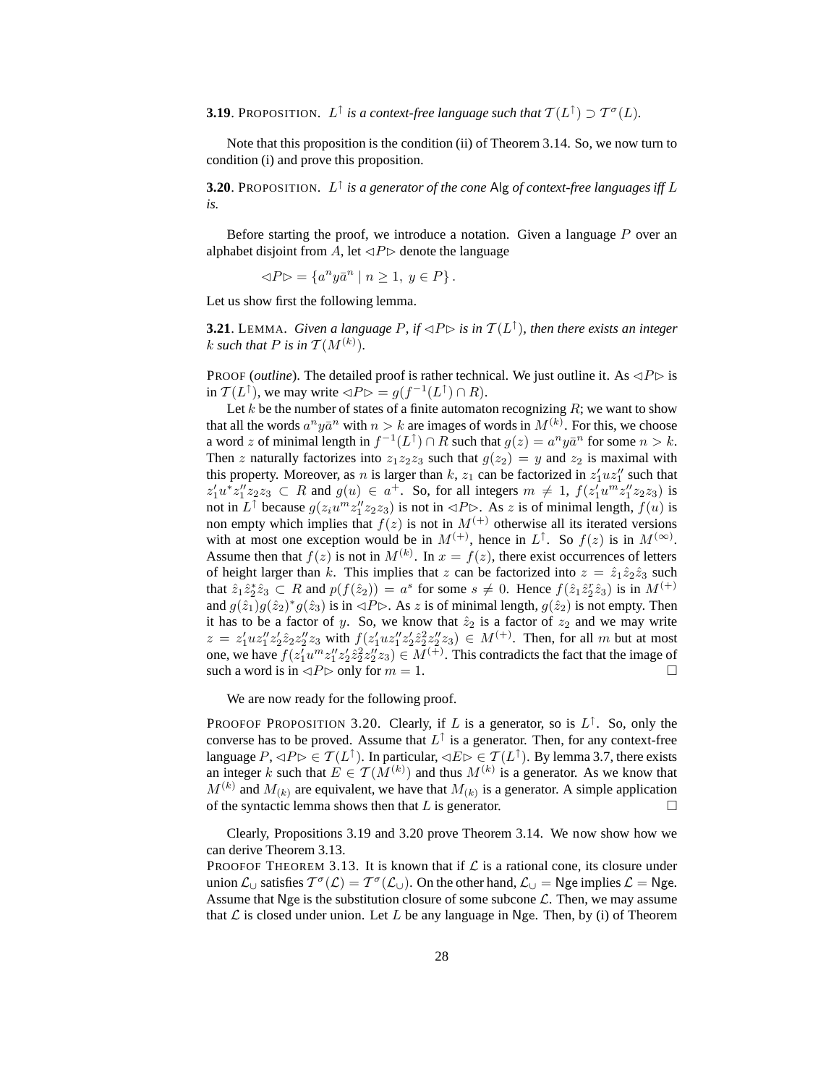**3.19**. PROPOSITION.  $L^{\uparrow}$  is a context-free language such that  $T(L^{\uparrow}) \supset T^{\sigma}(L)$ .

Note that this proposition is the condition (ii) of Theorem 3.14. So, we now turn to condition (i) and prove this proposition.

**3.20**. PROPOSITION. L ↑ *is a generator of the cone* Alg *of context-free languages iff* L *is.*

Before starting the proof, we introduce a notation. Given a language P over an alphabet disjoint from A, let  $\triangle P\triangleright$  denote the language

 $\triangleleft P \triangleright = \{a^n y \bar{a}^n \mid n \ge 1, y \in P\}.$ 

Let us show first the following lemma.

**3.21**. LEMMA. *Given a language P, if*  $\triangle P \triangleright$  *is in*  $\mathcal{T}(L^{\uparrow})$ *, then there exists an integer* k such that P is in  $T(M^{(k)})$ .

PROOF (*outline*). The detailed proof is rather technical. We just outline it. As  $\triangle P \triangleright$  is in  $\mathcal{T}(L^{\uparrow})$ , we may write  $\lhd P \rhd = g(f^{-1}(L^{\uparrow}) \cap R)$ .

Let k be the number of states of a finite automaton recognizing  $R$ ; we want to show that all the words  $a^n y \bar{a}^n$  with  $n > k$  are images of words in  $M^{(k)}$ . For this, we choose a word z of minimal length in  $f^{-1}(L^{\uparrow}) \cap R$  such that  $g(z) = a^n y \bar{a}^n$  for some  $n > k$ . Then z naturally factorizes into  $z_1z_2z_3$  such that  $g(z_2) = y$  and  $z_2$  is maximal with this property. Moreover, as *n* is larger than *k*,  $z_1$  can be factorized in  $z'_1uz''_1$  such that  $z'_1u^*z''_1z_2z_3 \subset R$  and  $g(u) \in a^+$ . So, for all integers  $m \neq 1$ ,  $f(z'_1u^mz''_1z_2z_3)$  is not in  $L^{\uparrow}$  because  $g(z_i u^m z_1^m z_2 z_3)$  is not in  $\triangleleft P \triangleright$ . As z is of minimal length,  $f(u)$  is non empty which implies that  $f(z)$  is not in  $M^{(+)}$  otherwise all its iterated versions with at most one exception would be in  $M^{(+)}$ , hence in  $L^{\uparrow}$ . So  $f(z)$  is in  $M^{(\infty)}$ . Assume then that  $f(z)$  is not in  $M^{(k)}$ . In  $x = f(z)$ , there exist occurrences of letters of height larger than k. This implies that z can be factorized into  $z = \hat{z}_1 \hat{z}_2 \hat{z}_3$  such that  $\hat{z}_1 \hat{z}_2^* \hat{z}_3 \subset R$  and  $p(f(\hat{z}_2)) = a^s$  for some  $s \neq 0$ . Hence  $f(\hat{z}_1 \hat{z}_2^* \hat{z}_3)$  is in  $M^{(+)}$ and  $g(\hat{z}_1)g(\hat{z}_2)^*g(\hat{z}_3)$  is in  $\triangleleft P \triangleright$ . As z is of minimal length,  $g(\hat{z}_2)$  is not empty. Then it has to be a factor of y. So, we know that  $\hat{z}_2$  is a factor of  $z_2$  and we may write  $z = z_1' u z_1'' z_2' \hat{z}_2 z_2'' z_3$  with  $f(z_1' u z_1'' z_2' \hat{z}_2 z_2'' z_3) \in M^{(+)}$ . Then, for all m but at most one, we have  $f(z_1' u^m z_1'' z_2' z_2^2 z_2'' z_3) \in M^{(+)}$ . This contradicts the fact that the image of such a word is in  $\triangle P \triangleright$  only for  $m = 1$ .

We are now ready for the following proof.

PROOFOF PROPOSITION 3.20. Clearly, if L is a generator, so is  $L^{\uparrow}$ . So, only the converse has to be proved. Assume that  $L^{\uparrow}$  is a generator. Then, for any context-free language  $P, \triangleleft P \triangleright \in \mathcal{T}(L^{\uparrow})$ . In particular,  $\triangleleft E \triangleright \in \mathcal{T}(L^{\uparrow})$ . By lemma 3.7, there exists an integer k such that  $E \in \mathcal{T}(M^{(k)})$  and thus  $M^{(k)}$  is a generator. As we know that  $M^{(k)}$  and  $M_{(k)}$  are equivalent, we have that  $M_{(k)}$  is a generator. A simple application of the syntactic lemma shows then that  $L$  is generator.  $\Box$ 

Clearly, Propositions 3.19 and 3.20 prove Theorem 3.14. We now show how we can derive Theorem 3.13.

PROOFOF THEOREM 3.13. It is known that if  $\mathcal L$  is a rational cone, its closure under union  $\mathcal{L}_{\cup}$  satisfies  $T^{\sigma}(\mathcal{L}) = T^{\sigma}(\mathcal{L}_{\cup})$ . On the other hand,  $\mathcal{L}_{\cup} =$  Nge implies  $\mathcal{L} =$  Nge. Assume that Nge is the substitution closure of some subcone  $\mathcal{L}$ . Then, we may assume that  $\mathcal L$  is closed under union. Let L be any language in Nge. Then, by (i) of Theorem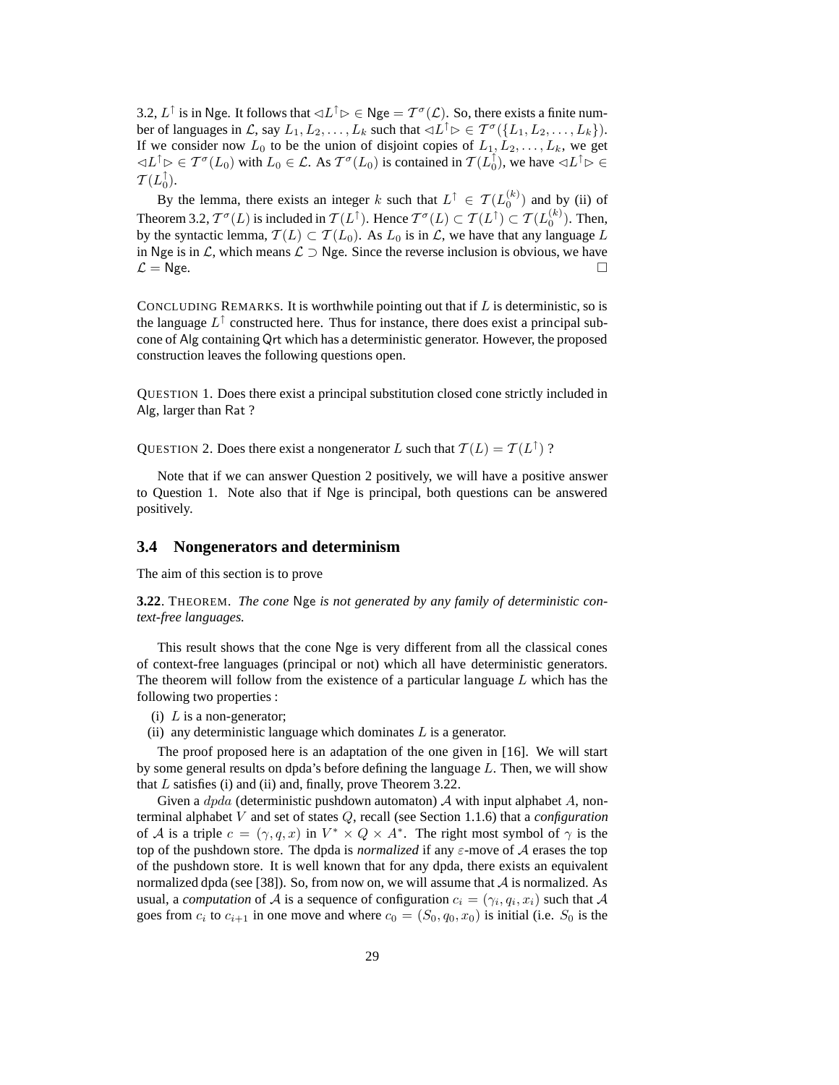3.2,  $L^{\uparrow}$  is in Nge. It follows that  $\lhd L^{\uparrow} \rhd \in N$ ge  $= \mathcal{T}^{\sigma}(\mathcal{L})$ . So, there exists a finite number of languages in  $\mathcal{L}$ , say  $L_1, L_2, \ldots, L_k$  such that  $\lhd L^{\uparrow} \rhd \in \mathcal{T}^{\sigma}(\lbrace L_1, L_2, \ldots, L_k \rbrace)$ . If we consider now  $L_0$  to be the union of disjoint copies of  $L_1, L_2, \ldots, L_k$ , we get  $\lhd L^{\uparrow} \rhd \in \mathcal{T}^{\sigma}(L_0)$  with  $L_0 \in \mathcal{L}$ . As  $\mathcal{T}^{\sigma}(L_0)$  is contained in  $\mathcal{T}(L_0^{\uparrow})$ , we have  $\lhd L^{\uparrow} \rhd \in$  $\mathcal{T}(L_0^{\uparrow}).$ 

By the lemma, there exists an integer k such that  $L^{\uparrow} \in \mathcal{T}(L_0^{(k)})$  and by (ii) of Theorem 3.2,  $T^{\sigma}(L)$  is included in  $\mathcal{T}(L^{\uparrow})$ . Hence  $T^{\sigma}(L) \subset \mathcal{T}(L^{\uparrow}) \subset \mathcal{T}(L_0^{(k)})$ . Then, by the syntactic lemma,  $\mathcal{T}(L) \subset \mathcal{T}(L_0)$ . As  $L_0$  is in  $\mathcal{L}$ , we have that any language  $L$ in Nge is in *L*, which means  $\mathcal{L}$  ⊃ Nge. Since the reverse inclusion is obvious, we have  $\mathcal{L} =$  Nge.  $\mathcal{L} = \mathsf{Nge.}$ 

CONCLUDING REMARKS. It is worthwhile pointing out that if  $L$  is deterministic, so is the language  $L^{\uparrow}$  constructed here. Thus for instance, there does exist a principal subcone of Alg containing Qrt which has a deterministic generator. However, the proposed construction leaves the following questions open.

QUESTION 1. Does there exist a principal substitution closed cone strictly included in Alg, larger than Rat ?

QUESTION 2. Does there exist a nongenerator L such that  $\mathcal{T}(L) = \mathcal{T}(L^{\uparrow})$  ?

Note that if we can answer Question 2 positively, we will have a positive answer to Question 1. Note also that if Nge is principal, both questions can be answered positively.

## **3.4 Nongenerators and determinism**

The aim of this section is to prove

**3.22**. THEOREM. *The cone* Nge *is not generated by any family of deterministic context-free languages.*

This result shows that the cone Nge is very different from all the classical cones of context-free languages (principal or not) which all have deterministic generators. The theorem will follow from the existence of a particular language  $L$  which has the following two properties :

- (i)  $L$  is a non-generator;
- (ii) any deterministic language which dominates  $L$  is a generator.

The proof proposed here is an adaptation of the one given in [16]. We will start by some general results on dpda's before defining the language  $L$ . Then, we will show that  $L$  satisfies (i) and (ii) and, finally, prove Theorem 3.22.

Given a  $dpda$  (deterministic pushdown automaton) A with input alphabet A, nonterminal alphabet V and set of states Q, recall (see Section 1.1.6) that a *configuration* of A is a triple  $c = (\gamma, q, x)$  in  $V^* \times Q \times A^*$ . The right most symbol of  $\gamma$  is the top of the pushdown store. The dpda is *normalized* if any ε-move of A erases the top of the pushdown store. It is well known that for any dpda, there exists an equivalent normalized dpda (see [38]). So, from now on, we will assume that  $\mathcal A$  is normalized. As usual, a *computation* of A is a sequence of configuration  $c_i = (\gamma_i, q_i, x_i)$  such that A goes from  $c_i$  to  $c_{i+1}$  in one move and where  $c_0 = (S_0, q_0, x_0)$  is initial (i.e.  $S_0$  is the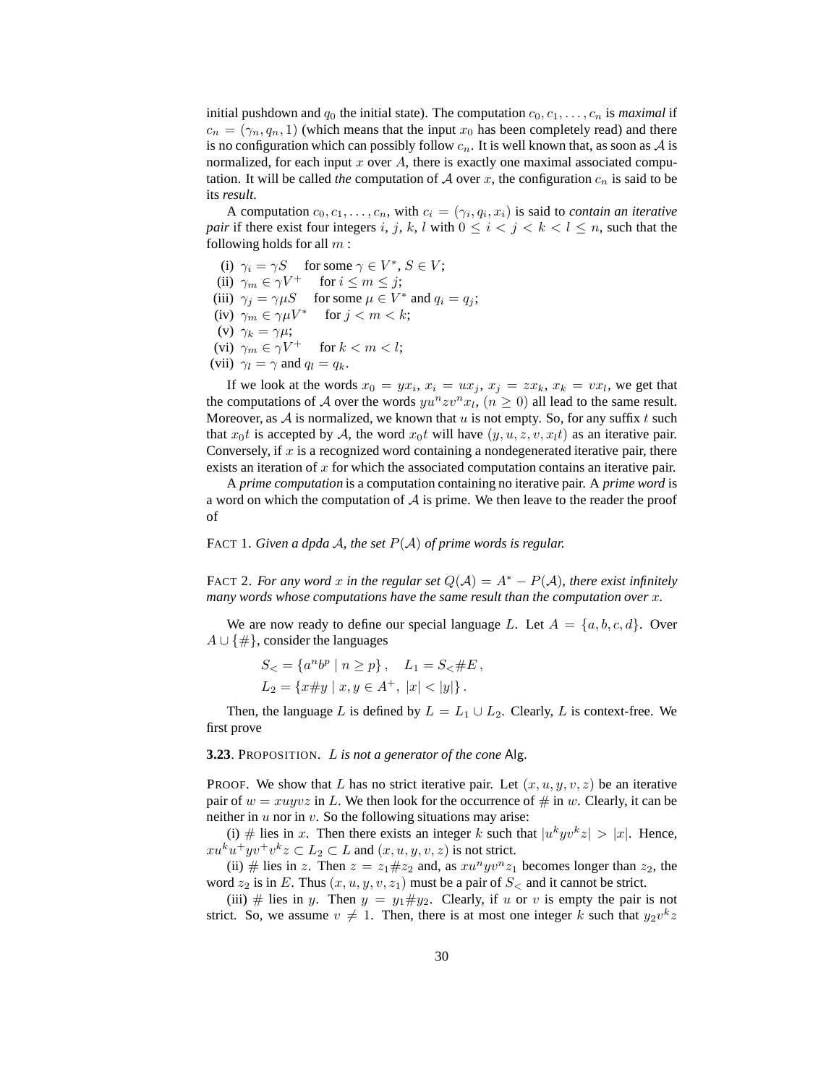initial pushdown and  $q_0$  the initial state). The computation  $c_0, c_1, \ldots, c_n$  is *maximal* if  $c_n = (\gamma_n, q_n, 1)$  (which means that the input  $x_0$  has been completely read) and there is no configuration which can possibly follow  $c_n$ . It is well known that, as soon as A is normalized, for each input x over  $A$ , there is exactly one maximal associated computation. It will be called *the* computation of  $A$  over  $x$ , the configuration  $c_n$  is said to be its *result*.

A computation  $c_0, c_1, \ldots, c_n$ , with  $c_i = (\gamma_i, q_i, x_i)$  is said to *contain an iterative pair* if there exist four integers i, j, k, l with  $0 \le i < j < k < l \le n$ , such that the following holds for all  $m$ :

(i)  $\gamma_i = \gamma S$  for some  $\gamma \in V^*, S \in V;$ (ii)  $\gamma_m \in \gamma V^+$  for  $i \leq m \leq j$ ; (iii)  $\gamma_j = \gamma \mu S$  for some  $\mu \in V^*$  and  $q_i = q_j$ ; (iv)  $\gamma_m \in \gamma \mu V^*$  for  $j < m < k$ ; (v)  $\gamma_k = \gamma \mu;$ (vi)  $\gamma_m \in \gamma V^+$  for  $k < m < l$ ; (vii)  $\gamma_l = \gamma$  and  $q_l = q_k$ .

If we look at the words  $x_0 = yx_i$ ,  $x_i = ux_j$ ,  $x_j = zx_k$ ,  $x_k = vx_l$ , we get that the computations of A over the words  $yu^nzv^nx_l$ ,  $(n \ge 0)$  all lead to the same result. Moreover, as  $A$  is normalized, we known that u is not empty. So, for any suffix t such that  $x_0t$  is accepted by A, the word  $x_0t$  will have  $(y, u, z, v, x_0t)$  as an iterative pair. Conversely, if  $x$  is a recognized word containing a nondegenerated iterative pair, there exists an iteration of  $x$  for which the associated computation contains an iterative pair.

A *prime computation* is a computation containing no iterative pair. A *prime word* is a word on which the computation of  $A$  is prime. We then leave to the reader the proof of

FACT 1. *Given a dpda* A*, the set* P(A) *of prime words is regular.*

FACT 2. *For any word* x *in the regular set*  $Q(\mathcal{A}) = A^* - P(\mathcal{A})$ *, there exist infinitely many words whose computations have the same result than the computation over* x*.*

We are now ready to define our special language L. Let  $A = \{a, b, c, d\}$ . Over  $A \cup \{\#\}$ , consider the languages

$$
S_{<} = \{a^n b^p \mid n \ge p\}, \quad L_1 = S_{<} \# E,
$$
  
\n
$$
L_2 = \{x \# y \mid x, y \in A^+, \ |x| < |y|\}.
$$

Then, the language L is defined by  $L = L_1 \cup L_2$ . Clearly, L is context-free. We first prove

**3.23**. PROPOSITION. L *is not a generator of the cone* Alg*.*

PROOF. We show that L has no strict iterative pair. Let  $(x, u, y, v, z)$  be an iterative pair of  $w = xuyv\overline{z}$  in L. We then look for the occurrence of  $\#$  in w. Clearly, it can be neither in  $u$  nor in  $v$ . So the following situations may arise:

(i) # lies in x. Then there exists an integer k such that  $|u^k y v^k z| > |x|$ . Hence,  $xu^k u^+ yv^+ v^k z \subset L_2 \subset L$  and  $(x, u, y, v, z)$  is not strict.

(ii) # lies in z. Then  $z = z_1 \# z_2$  and, as  $x u^n y v^n z_1$  becomes longer than  $z_2$ , the word  $z_2$  is in E. Thus  $(x, u, y, v, z_1)$  must be a pair of  $S<$  and it cannot be strict.

(iii) # lies in y. Then  $y = y_1 \# y_2$ . Clearly, if u or v is empty the pair is not strict. So, we assume  $v \neq 1$ . Then, there is at most one integer k such that  $y_2v^kz$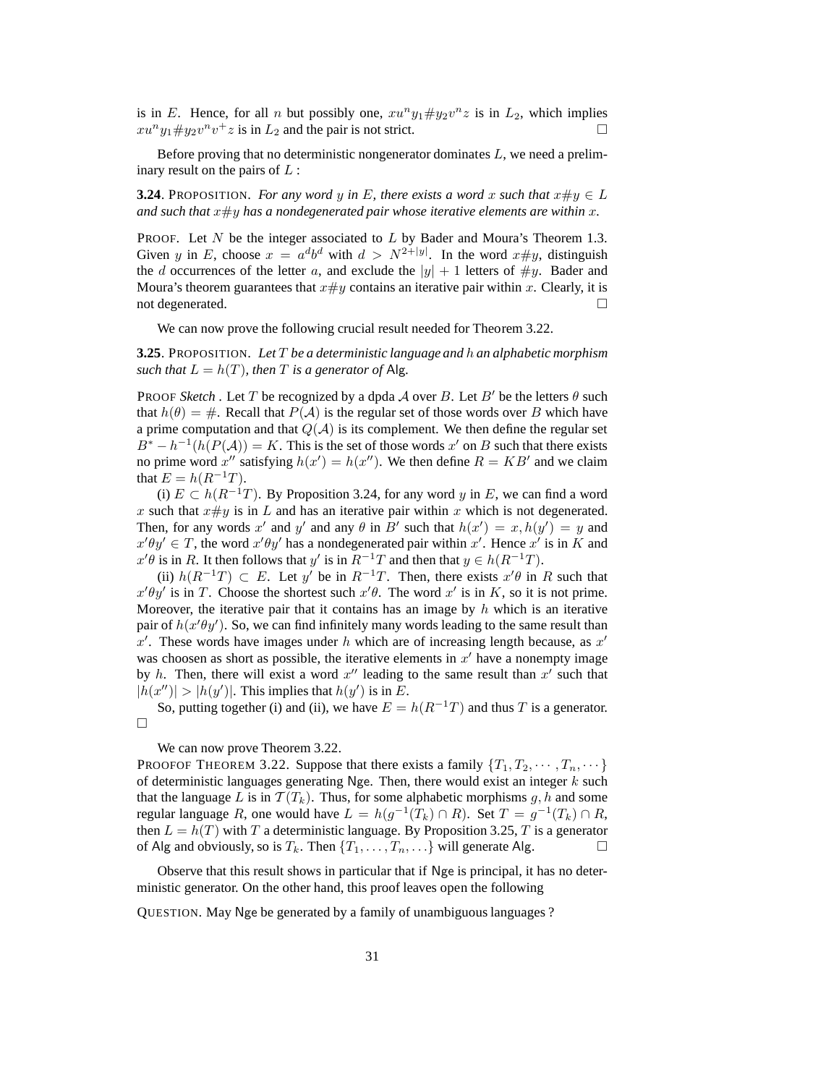is in E. Hence, for all n but possibly one,  $xu^ny_1 \# y_2v^nz$  is in  $L_2$ , which implies  $xu^ny_1 \# y_2v^nv^+z$  is in  $L_2$  and the pair is not strict.

Before proving that no deterministic nongenerator dominates L, we need a preliminary result on the pairs of  $L$ :

**3.24**. PROPOSITION. *For any word* y in E, there exists a word x such that  $x \# y \in L$ and such that  $x \# y$  has a nondegenerated pair whose iterative elements are within  $x$ .

**PROOF.** Let N be the integer associated to L by Bader and Moura's Theorem 1.3. Given y in E, choose  $x = a^d b^d$  with  $d > N^{2+|y|}$ . In the word  $x \# y$ , distinguish the d occurrences of the letter a, and exclude the  $|y| + 1$  letters of  $\#y$ . Bader and Moura's theorem guarantees that  $x \# y$  contains an iterative pair within x. Clearly, it is not degenerated.  $\Box$ 

We can now prove the following crucial result needed for Theorem 3.22.

**3.25**. PROPOSITION. *Let* T *be a deterministic language and* h *an alphabetic morphism such that*  $L = h(T)$ *, then T is a generator of* Alg.

**PROOF Sketch.** Let T be recognized by a dpda A over B. Let B' be the letters  $\theta$  such that  $h(\theta) = #$ . Recall that  $P(A)$  is the regular set of those words over B which have a prime computation and that  $Q(A)$  is its complement. We then define the regular set  $B^* - h^{-1}(h(P(A))) = K$ . This is the set of those words x' on B such that there exists no prime word x'' satisfying  $h(x') = h(x'')$ . We then define  $R = KB'$  and we claim that  $E = h(R^{-1}T)$ .

(i)  $E \subset h(R^{-1}T)$ . By Proposition 3.24, for any word y in E, we can find a word x such that  $x \# y$  is in L and has an iterative pair within x which is not degenerated. Then, for any words x' and y' and any  $\theta$  in B' such that  $h(x') = x, h(y') = y$  and  $x'\theta y' \in T$ , the word  $x'\theta y'$  has a nondegenerated pair within x'. Hence x' is in K and  $x' \theta$  is in R. It then follows that y' is in  $R^{-1}T$  and then that  $y \in h(R^{-1}T)$ .

(ii)  $h(R^{-1}T) \subset E$ . Let y' be in  $R^{-1}T$ . Then, there exists  $x'\theta$  in R such that  $x'\theta y'$  is in T. Choose the shortest such  $x'\theta$ . The word  $x'$  is in K, so it is not prime. Moreover, the iterative pair that it contains has an image by  $h$  which is an iterative pair of  $h(x' \theta y')$ . So, we can find infinitely many words leading to the same result than  $x'$ . These words have images under h which are of increasing length because, as  $x'$ was choosen as short as possible, the iterative elements in  $x'$  have a nonempty image by h. Then, there will exist a word  $x''$  leading to the same result than  $x'$  such that  $|h(x'')| > |h(y')|$ . This implies that  $h(y')$  is in E.

So, putting together (i) and (ii), we have  $E = h(R^{-1}T)$  and thus T is a generator.  $\Box$ 

We can now prove Theorem 3.22.

PROOFOF THEOREM 3.22. Suppose that there exists a family  $\{T_1, T_2, \cdots, T_n, \cdots\}$ of deterministic languages generating Nge. Then, there would exist an integer  $k$  such that the language L is in  $\mathcal{T}(T_k)$ . Thus, for some alphabetic morphisms g, h and some regular language R, one would have  $L = h(g^{-1}(T_k) \cap R)$ . Set  $T = g^{-1}(T_k) \cap R$ , then  $L = h(T)$  with T a deterministic language. By Proposition 3.25, T is a generator of Alg and obviously, so is  $T_k$ . Then  $\{T_1, \ldots, T_n, \ldots\}$  will generate Alg.

Observe that this result shows in particular that if Nge is principal, it has no deterministic generator. On the other hand, this proof leaves open the following

QUESTION. May Nge be generated by a family of unambiguous languages ?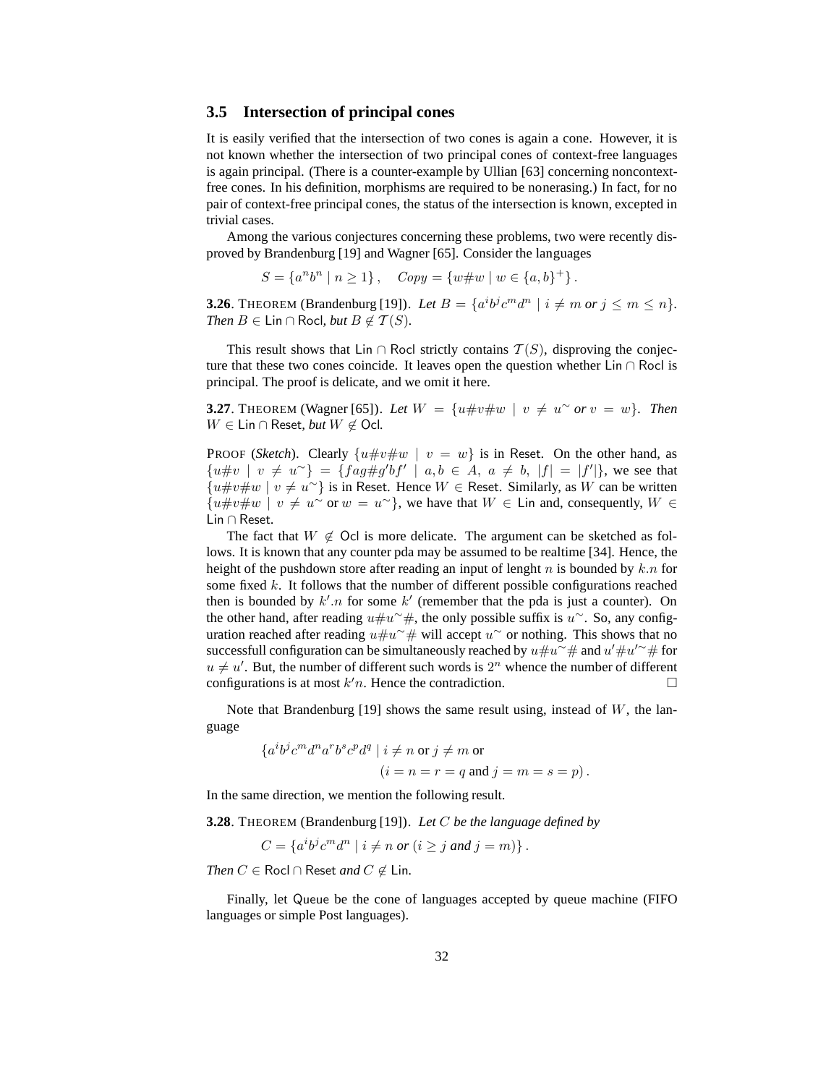## **3.5 Intersection of principal cones**

It is easily verified that the intersection of two cones is again a cone. However, it is not known whether the intersection of two principal cones of context-free languages is again principal. (There is a counter-example by Ullian [63] concerning noncontextfree cones. In his definition, morphisms are required to be nonerasing.) In fact, for no pair of context-free principal cones, the status of the intersection is known, excepted in trivial cases.

Among the various conjectures concerning these problems, two were recently disproved by Brandenburg [19] and Wagner [65]. Consider the languages

 $S = \{a^n b^n \mid n \ge 1\},$   $Copy = \{w \# w \mid w \in \{a, b\}^+\}.$ 

**3.26**. THEOREM (Brandenburg [19]). Let  $B = \{a^i b^j c^m d^n \mid i \neq m \text{ or } j \leq m \leq n\}.$ *Then*  $B \in \textsf{Lin} \cap \textsf{Rocl}, \textit{but } B \notin \mathcal{T}(S)$ *.* 

This result shows that Lin ∩ Rocl strictly contains  $T(S)$ , disproving the conjecture that these two cones coincide. It leaves open the question whether Lin ∩ Rocl is principal. The proof is delicate, and we omit it here.

**3.27**. THEOREM (Wagner [65]). Let  $W = \{u \# v \# w \mid v \neq u^{\sim} \text{ or } v = w\}$ . Then  $W ∈ \mathsf{Lin} \cap \mathsf{Reset}, \mathit{but}\ W \notin \mathsf{Ocl}.$ 

PROOF (*Sketch*). Clearly  $\{u\#v\#w \mid v = w\}$  is in Reset. On the other hand, as  ${u \# v \mid v \neq u^{\sim}} = {fag \# g'bf' \mid a, b \in A, a \neq b, |f| = |f'|},$  we see that  ${u\#v\#w \mid v \neq u^{\sim}}$  is in Reset. Hence  $W \in$  Reset. Similarly, as W can be written  ${u\#v\#w \mid v \neq u^{\sim} \text{ or } w = u^{\sim}}$ , we have that  $W \in$  Lin and, consequently,  $W \in$ Lin ∩ Reset.

The fact that  $W \notin \mathsf{O}$ cl is more delicate. The argument can be sketched as follows. It is known that any counter pda may be assumed to be realtime [34]. Hence, the height of the pushdown store after reading an input of lenght  $n$  is bounded by  $k.n$  for some fixed  $k$ . It follows that the number of different possible configurations reached then is bounded by  $k'.n$  for some  $k'$  (remember that the pda is just a counter). On the other hand, after reading  $u \# u^{\sim} \#$ , the only possible suffix is  $u^{\sim}$ . So, any configuration reached after reading  $u \# u^{\sim} \#$  will accept  $u^{\sim}$  or nothing. This shows that no successfull configuration can be simultaneously reached by  $u \# u^{\sim} \#$  and  $u' \# u'^{\sim} \#$  for  $u \neq u'$ . But, the number of different such words is  $2^n$  whence the number of different configurations is at most  $k'n$ . Hence the contradiction.

Note that Brandenburg [19] shows the same result using, instead of  $W$ , the language

$$
\{a^i b^j c^m d^n a^r b^s c^p d^q \mid i \neq n \text{ or } j \neq m \text{ or } (i = n = r = q \text{ and } j = m = s = p ).
$$

In the same direction, we mention the following result.

**3.28**. THEOREM (Brandenburg [19]). *Let* C *be the language defined by*

 $C = \{a^i b^j c^m d^n \mid i \neq n \text{ or } (i \geq j \text{ and } j = m)\}\.$ 

*Then*  $C$  ∈ Rocl ∩ Reset *and*  $C \notin$  Lin.

Finally, let Queue be the cone of languages accepted by queue machine (FIFO languages or simple Post languages).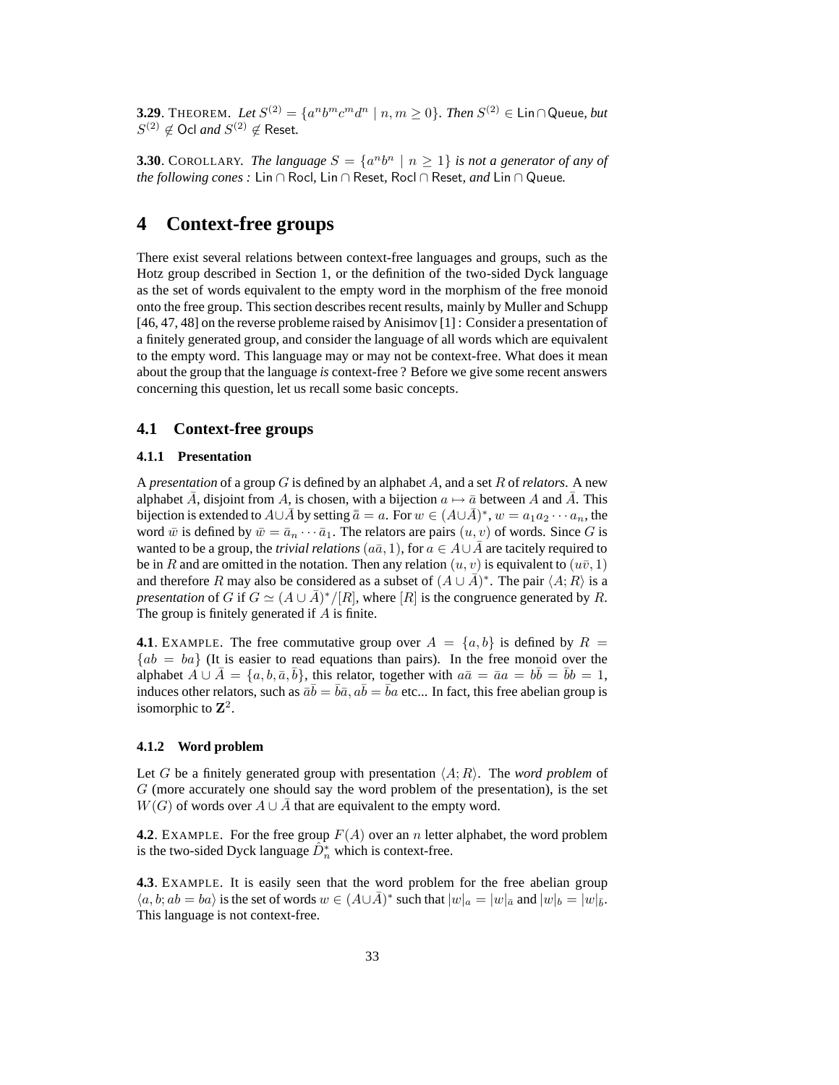**3.29**. THEOREM. Let  $S^{(2)} = \{a^n b^m c^m d^n \mid n, m \ge 0\}$ . Then  $S^{(2)} \in \text{Lin}\cap\text{Queue}$ , but  $S^{(2)} \notin$  Ocl *and*  $S^{(2)} \notin$  Reset.

**3.30**. COROLLARY. *The language*  $S = \{a^n b^n \mid n \geq 1\}$  *is not a generator of any of the following cones :* Lin ∩ Rocl*,* Lin ∩ Reset*,* Rocl ∩ Reset*, and* Lin ∩ Queue*.*

# **4 Context-free groups**

There exist several relations between context-free languages and groups, such as the Hotz group described in Section 1, or the definition of the two-sided Dyck language as the set of words equivalent to the empty word in the morphism of the free monoid onto the free group. This section describes recent results, mainly by Muller and Schupp [46, 47, 48] on the reverse probleme raised by Anisimov [1] : Consider a presentation of a finitely generated group, and consider the language of all words which are equivalent to the empty word. This language may or may not be context-free. What does it mean about the group that the language *is* context-free ? Before we give some recent answers concerning this question, let us recall some basic concepts.

## **4.1 Context-free groups**

### **4.1.1 Presentation**

A *presentation* of a group G is defined by an alphabet A, and a set R of *relators*. A new alphabet  $\overline{A}$ , disjoint from A, is chosen, with a bijection  $a \mapsto \overline{a}$  between A and  $\overline{A}$ . This bijection is extended to  $A\cup\bar{A}$  by setting  $\bar{a}=a$ . For  $w\in (A\cup\bar{A})^*$ ,  $w=a_1a_2\cdots a_n$ , the word  $\bar{w}$  is defined by  $\bar{w} = \bar{a}_n \cdots \bar{a}_1$ . The relators are pairs  $(u, v)$  of words. Since G is wanted to be a group, the *trivial relations* ( $a\bar{a}$ , 1), for  $a \in A \cup \bar{A}$  are tacitely required to be in R and are omitted in the notation. Then any relation  $(u, v)$  is equivalent to  $(u\bar{v}, 1)$ and therefore R may also be considered as a subset of  $(A \cup \overline{A})^*$ . The pair  $\langle A; R \rangle$  is a *presentation* of G if  $G \simeq (A \cup \overline{A})^*/[R]$ , where  $[R]$  is the congruence generated by R. The group is finitely generated if  $A$  is finite.

**4.1**. EXAMPLE. The free commutative group over  $A = \{a, b\}$  is defined by  $R = \{a, b\}$  ${ab = ba}$  (It is easier to read equations than pairs). In the free monoid over the alphabet  $\overline{A} \cup \overline{A} = \{a, b, \overline{a}, \overline{b}\},\$ this relator, together with  $a\overline{a} = \overline{a}a = b\overline{b} = \overline{b}b = 1,$ induces other relators, such as  $\bar{a}\bar{b} = \bar{b}\bar{a}$ ,  $a\bar{b} = \bar{b}a$  etc... In fact, this free abelian group is isomorphic to  $\mathbb{Z}^2$ .

#### **4.1.2 Word problem**

Let G be a finitely generated group with presentation  $\langle A; R \rangle$ . The *word problem* of  $G$  (more accurately one should say the word problem of the presentation), is the set  $W(G)$  of words over  $A \cup \overline{A}$  that are equivalent to the empty word.

**4.2**. EXAMPLE. For the free group  $F(A)$  over an n letter alphabet, the word problem is the two-sided Dyck language  $\hat{D}_n^*$  which is context-free.

**4.3**. EXAMPLE. It is easily seen that the word problem for the free abelian group  $\langle a, b; ab = ba \rangle$  is the set of words  $w \in (A \cup \overline{A})^*$  such that  $|w|_a = |w|_{\overline{a}}$  and  $|w|_b = |w|_{\overline{b}}$ . This language is not context-free.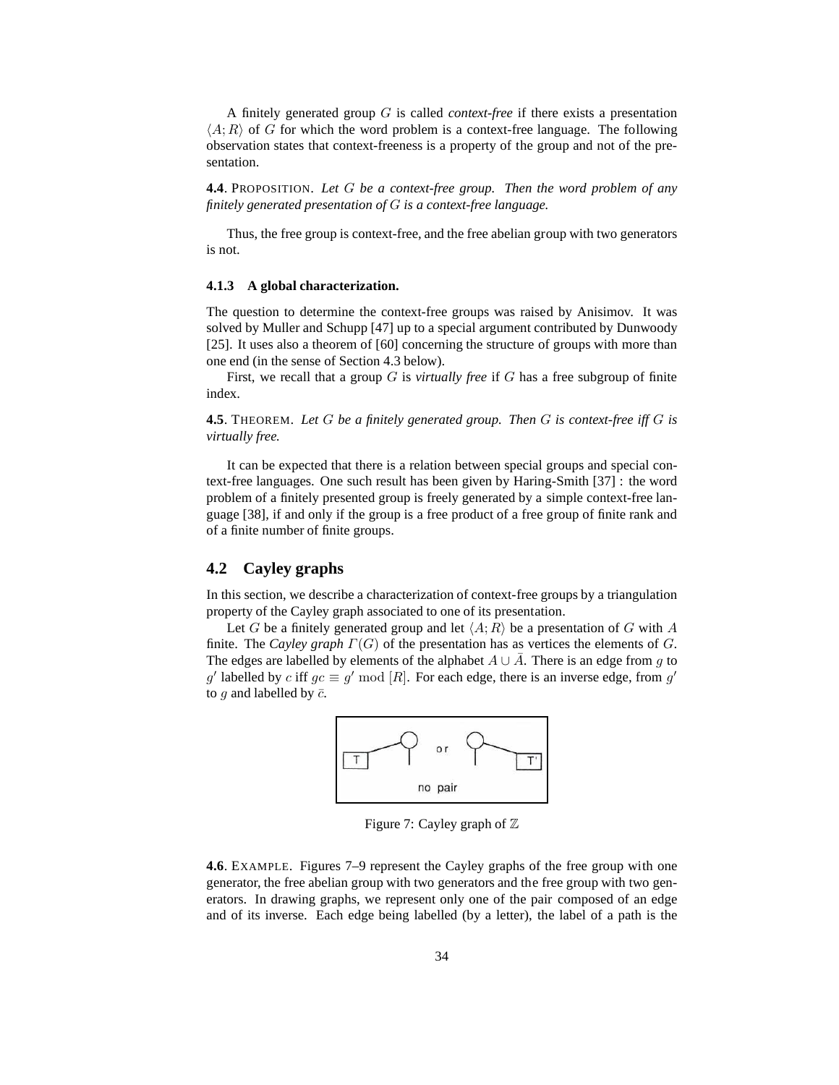A finitely generated group G is called *context-free* if there exists a presentation  $\langle A; R \rangle$  of G for which the word problem is a context-free language. The following observation states that context-freeness is a property of the group and not of the presentation.

**4.4**. PROPOSITION. *Let* G *be a context-free group. Then the word problem of any finitely generated presentation of* G *is a context-free language.*

Thus, the free group is context-free, and the free abelian group with two generators is not.

#### **4.1.3 A global characterization.**

The question to determine the context-free groups was raised by Anisimov. It was solved by Muller and Schupp [47] up to a special argument contributed by Dunwoody [25]. It uses also a theorem of [60] concerning the structure of groups with more than one end (in the sense of Section 4.3 below).

First, we recall that a group G is *virtually free* if G has a free subgroup of finite index.

**4.5**. THEOREM. *Let* G *be a finitely generated group. Then* G *is context-free iff* G *is virtually free.*

It can be expected that there is a relation between special groups and special context-free languages. One such result has been given by Haring-Smith [37] : the word problem of a finitely presented group is freely generated by a simple context-free language [38], if and only if the group is a free product of a free group of finite rank and of a finite number of finite groups.

## **4.2 Cayley graphs**

In this section, we describe a characterization of context-free groups by a triangulation property of the Cayley graph associated to one of its presentation.

Let G be a finitely generated group and let  $\langle A; R \rangle$  be a presentation of G with A finite. The *Cayley graph* Γ(G) of the presentation has as vertices the elements of G. The edges are labelled by elements of the alphabet  $A \cup \overline{A}$ . There is an edge from g to g' labelled by c iff  $gc \equiv g' \mod [R]$ . For each edge, there is an inverse edge, from g' to g and labelled by  $\bar{c}$ .



Figure 7: Cayley graph of  $\mathbb Z$ 

**4.6**. EXAMPLE. Figures 7–9 represent the Cayley graphs of the free group with one generator, the free abelian group with two generators and the free group with two generators. In drawing graphs, we represent only one of the pair composed of an edge and of its inverse. Each edge being labelled (by a letter), the label of a path is the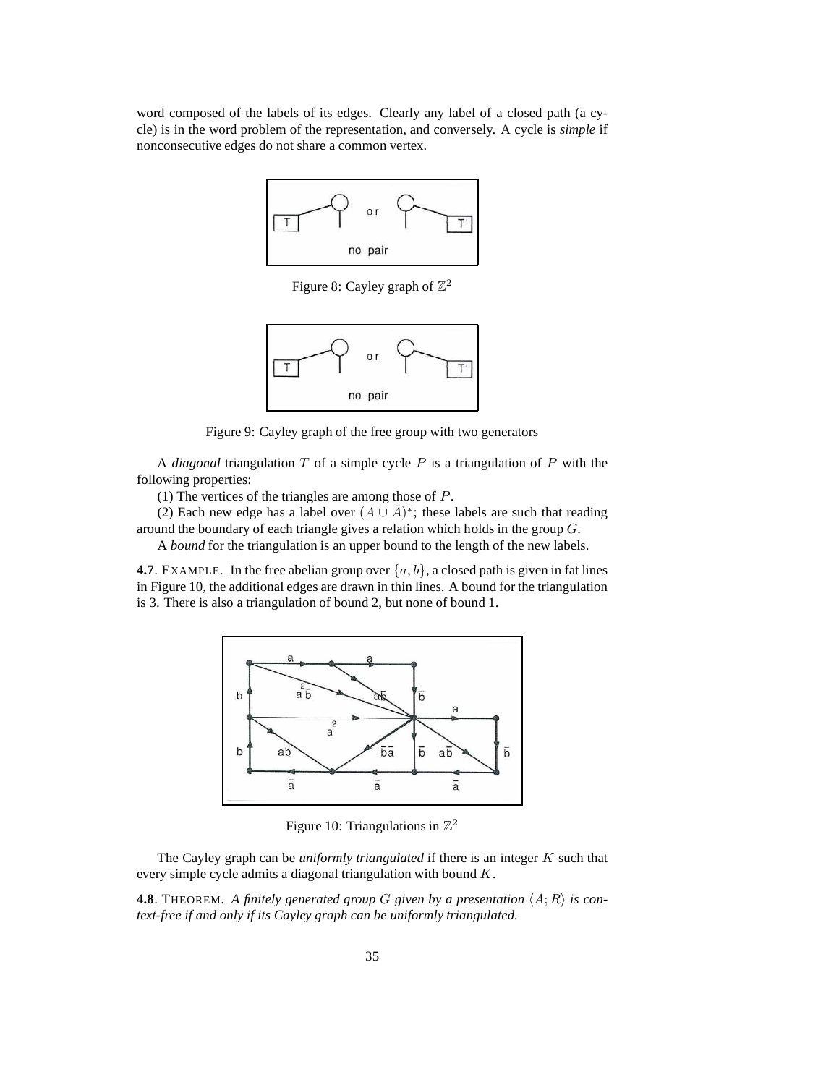word composed of the labels of its edges. Clearly any label of a closed path (a cycle) is in the word problem of the representation, and conversely. A cycle is *simple* if nonconsecutive edges do not share a common vertex.



Figure 8: Cayley graph of  $\mathbb{Z}^2$ 



Figure 9: Cayley graph of the free group with two generators

A *diagonal* triangulation T of a simple cycle P is a triangulation of P with the following properties:

(1) The vertices of the triangles are among those of  $P$ .

(2) Each new edge has a label over  $(A \cup \overline{A})^*$ ; these labels are such that reading around the boundary of each triangle gives a relation which holds in the group G.

A *bound* for the triangulation is an upper bound to the length of the new labels.

**4.7**. EXAMPLE. In the free abelian group over  $\{a, b\}$ , a closed path is given in fat lines in Figure 10, the additional edges are drawn in thin lines. A bound for the triangulation is 3. There is also a triangulation of bound 2, but none of bound 1.



Figure 10: Triangulations in  $\mathbb{Z}^2$ 

The Cayley graph can be *uniformly triangulated* if there is an integer K such that every simple cycle admits a diagonal triangulation with bound K.

**4.8**. THEOREM. A finitely generated group G given by a presentation  $\langle A; R \rangle$  is con*text-free if and only if its Cayley graph can be uniformly triangulated.*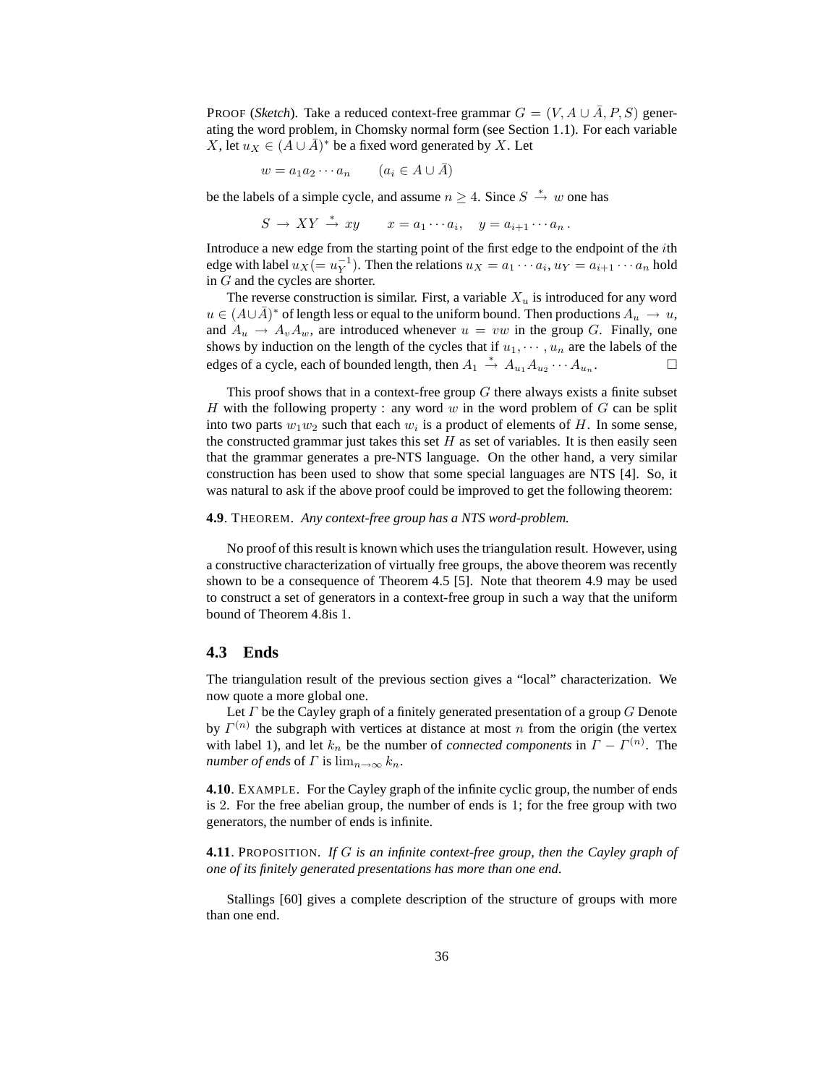PROOF (*Sketch*). Take a reduced context-free grammar  $G = (V, A \cup \overline{A}, P, S)$  generating the word problem, in Chomsky normal form (see Section 1.1). For each variable X, let  $u_X \in (A \cup \overline{A})^*$  be a fixed word generated by X. Let

$$
w = a_1 a_2 \cdots a_n \qquad (a_i \in A \cup \bar{A})
$$

be the labels of a simple cycle, and assume  $n \geq 4$ . Since  $S \stackrel{*}{\rightarrow} w$  one has

$$
S \to XY \xrightarrow{*} xy \qquad x = a_1 \cdots a_i, \quad y = a_{i+1} \cdots a_n.
$$

Introduce a new edge from the starting point of the first edge to the endpoint of the ith edge with label  $u_X = u_Y^{-1}$ ). Then the relations  $u_X = a_1 \cdots a_i$ ,  $u_Y = a_{i+1} \cdots a_n$  hold in G and the cycles are shorter.

The reverse construction is similar. First, a variable  $X_u$  is introduced for any word  $u \in (A \cup \overline{A})^*$  of length less or equal to the uniform bound. Then productions  $A_u \to u$ , and  $A_u \rightarrow A_v A_w$ , are introduced whenever  $u = vw$  in the group G. Finally, one shows by induction on the length of the cycles that if  $u_1, \dots, u_n$  are the labels of the edges of a cycle each of bounded length then  $A_1 \stackrel{*}{\rightarrow} A_2 \stackrel{*}{\rightarrow} A_3 \cdots A_n$ edges of a cycle, each of bounded length, then  $A_1 \stackrel{*}{\to} A_{u_1} A_{u_2} \cdots A_{u_n}$ . — П

This proof shows that in a context-free group  $G$  there always exists a finite subset H with the following property : any word w in the word problem of  $G$  can be split into two parts  $w_1w_2$  such that each  $w_i$  is a product of elements of H. In some sense, the constructed grammar just takes this set  $H$  as set of variables. It is then easily seen that the grammar generates a pre-NTS language. On the other hand, a very similar construction has been used to show that some special languages are NTS [4]. So, it was natural to ask if the above proof could be improved to get the following theorem:

#### **4.9**. THEOREM. *Any context-free group has a NTS word-problem.*

No proof of this result is known which uses the triangulation result. However, using a constructive characterization of virtually free groups, the above theorem was recently shown to be a consequence of Theorem 4.5 [5]. Note that theorem 4.9 may be used to construct a set of generators in a context-free group in such a way that the uniform bound of Theorem 4.8is 1.

### **4.3 Ends**

The triangulation result of the previous section gives a "local" characterization. We now quote a more global one.

Let  $\Gamma$  be the Cayley graph of a finitely generated presentation of a group  $G$  Denote by  $\Gamma^{(n)}$  the subgraph with vertices at distance at most n from the origin (the vertex with label 1), and let  $k_n$  be the number of *connected components* in  $\Gamma - \Gamma^{(n)}$ . The *number of ends* of  $\Gamma$  is  $\lim_{n\to\infty} k_n$ .

**4.10**. EXAMPLE. For the Cayley graph of the infinite cyclic group, the number of ends is 2. For the free abelian group, the number of ends is 1; for the free group with two generators, the number of ends is infinite.

**4.11**. PROPOSITION. *If* G *is an infinite context-free group, then the Cayley graph of one of its finitely generated presentations has more than one end.*

Stallings [60] gives a complete description of the structure of groups with more than one end.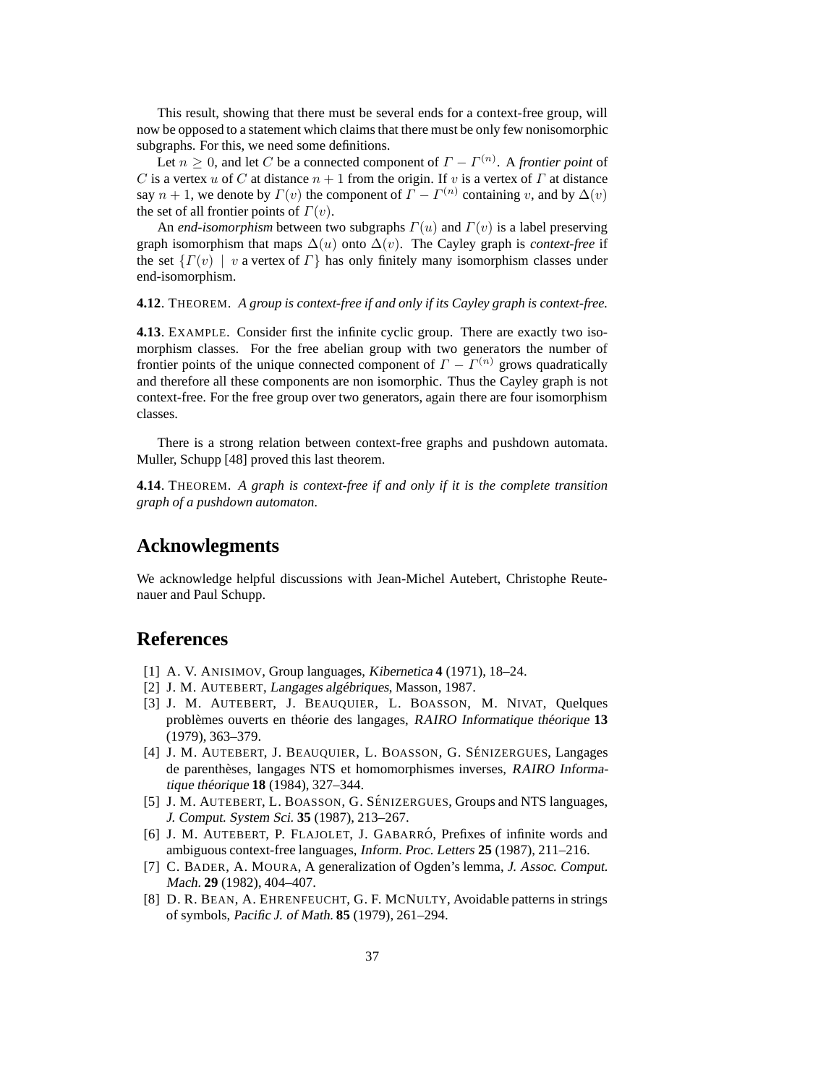This result, showing that there must be several ends for a context-free group, will now be opposed to a statement which claims that there must be only few nonisomorphic subgraphs. For this, we need some definitions.

Let  $n \geq 0$ , and let C be a connected component of  $\Gamma - \Gamma^{(n)}$ . A *frontier point* of C is a vertex u of C at distance  $n + 1$  from the origin. If v is a vertex of  $\Gamma$  at distance say  $n + 1$ , we denote by  $\Gamma(v)$  the component of  $\Gamma - \Gamma^{(n)}$  containing v, and by  $\Delta(v)$ the set of all frontier points of  $\Gamma(v)$ .

An *end-isomorphism* between two subgraphs  $\Gamma(u)$  and  $\Gamma(v)$  is a label preserving graph isomorphism that maps  $\Delta(u)$  onto  $\Delta(v)$ . The Cayley graph is *context-free* if the set  $\{ \Gamma(v) \mid v \text{ a vertex of } \Gamma \}$  has only finitely many isomorphism classes under end-isomorphism.

**4.12**. THEOREM. *A group is context-free if and only if its Cayley graph is context-free.*

**4.13**. EXAMPLE. Consider first the infinite cyclic group. There are exactly two isomorphism classes. For the free abelian group with two generators the number of frontier points of the unique connected component of  $\Gamma - \Gamma^{(n)}$  grows quadratically and therefore all these components are non isomorphic. Thus the Cayley graph is not context-free. For the free group over two generators, again there are four isomorphism classes.

There is a strong relation between context-free graphs and pushdown automata. Muller, Schupp [48] proved this last theorem.

**4.14**. THEOREM. *A graph is context-free if and only if it is the complete transition graph of a pushdown automaton.*

## **Acknowlegments**

We acknowledge helpful discussions with Jean-Michel Autebert, Christophe Reutenauer and Paul Schupp.

# **References**

- [1] A. V. ANISIMOV, Group languages, Kibernetica **4** (1971), 18–24.
- [2] J. M. AUTEBERT, Langages algébriques, Masson, 1987.
- [3] J. M. AUTEBERT, J. BEAUQUIER, L. BOASSON, M. NIVAT, Quelques probl`emes ouverts en th´eorie des langages, RAIRO Informatique th´eorique **13** (1979), 363–379.
- [4] J. M. AUTEBERT, J. BEAUQUIER, L. BOASSON, G. SÉNIZERGUES, Langages de parenthèses, langages NTS et homomorphismes inverses, RAIRO Informatique théorique **18** (1984), 327–344.
- [5] J. M. AUTEBERT, L. BOASSON, G. SÉNIZERGUES, Groups and NTS languages, J. Comput. System Sci. **35** (1987), 213–267.
- [6] J. M. AUTEBERT, P. FLAJOLET, J. GABARRÓ, Prefixes of infinite words and ambiguous context-free languages, Inform. Proc. Letters **25** (1987), 211–216.
- [7] C. BADER, A. MOURA, A generalization of Ogden's lemma, J. Assoc. Comput. Mach. **29** (1982), 404–407.
- [8] D. R. BEAN, A. EHRENFEUCHT, G. F. MCNULTY, Avoidable patterns in strings of symbols, Pacific J. of Math. **85** (1979), 261–294.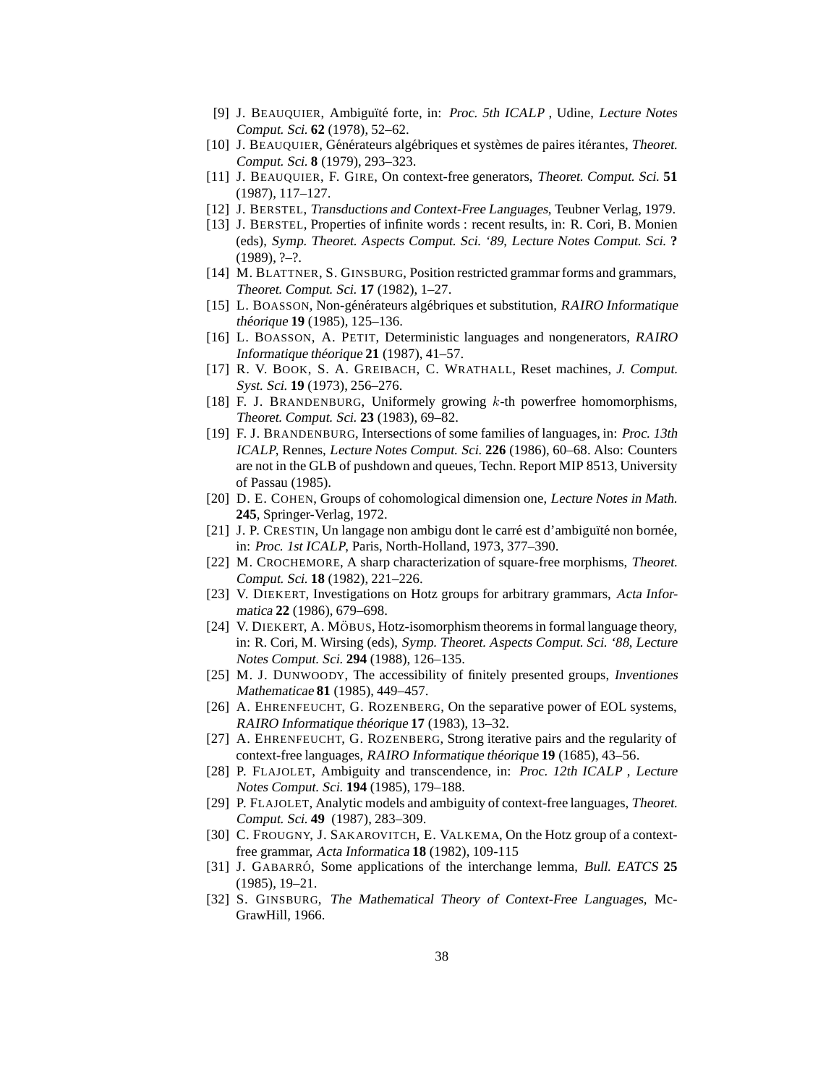- [9] J. BEAUQUIER, Ambiguïté forte, in: Proc. 5th ICALP, Udine, Lecture Notes Comput. Sci. **62** (1978), 52–62.
- [10] J. BEAUQUIER, Générateurs algébriques et systèmes de paires itérantes, Theoret. Comput. Sci. **8** (1979), 293–323.
- [11] J. BEAUQUIER, F. GIRE, On context-free generators, Theoret. Comput. Sci. **51** (1987), 117–127.
- [12] J. BERSTEL, Transductions and Context-Free Languages, Teubner Verlag, 1979.
- [13] J. BERSTEL, Properties of infinite words : recent results, in: R. Cori, B. Monien (eds), Symp. Theoret. Aspects Comput. Sci. '89, Lecture Notes Comput. Sci. **?**  $(1989), ?-?$ .
- [14] M. BLATTNER, S. GINSBURG, Position restricted grammar forms and grammars, Theoret. Comput. Sci. **17** (1982), 1–27.
- [15] L. BOASSON, Non-générateurs algébriques et substitution, RAIRO Informatique théorique **19** (1985), 125–136.
- [16] L. BOASSON, A. PETIT, Deterministic languages and nongenerators, RAIRO Informatique théorique  $21$  (1987), 41–57.
- [17] R. V. BOOK, S. A. GREIBACH, C. WRATHALL, Reset machines, J. Comput. Syst. Sci. **19** (1973), 256–276.
- [18] F. J. BRANDENBURG, Uniformely growing  $k$ -th powerfree homomorphisms, Theoret. Comput. Sci. **23** (1983), 69–82.
- [19] F. J. BRANDENBURG, Intersections of some families of languages, in: Proc. 13th ICALP, Rennes, Lecture Notes Comput. Sci. **226** (1986), 60–68. Also: Counters are not in the GLB of pushdown and queues, Techn. Report MIP 8513, University of Passau (1985).
- [20] D. E. COHEN, Groups of cohomological dimension one, Lecture Notes in Math. **245**, Springer-Verlag, 1972.
- [21] J. P. CRESTIN, Un langage non ambigu dont le carré est d'ambiguïté non bornée, in: Proc. 1st ICALP, Paris, North-Holland, 1973, 377–390.
- [22] M. CROCHEMORE, A sharp characterization of square-free morphisms, Theoret. Comput. Sci. **18** (1982), 221–226.
- [23] V. DIEKERT, Investigations on Hotz groups for arbitrary grammars, Acta Informatica **22** (1986), 679–698.
- [24] V. DIEKERT, A. MÖBUS, Hotz-isomorphism theorems in formal language theory, in: R. Cori, M. Wirsing (eds), Symp. Theoret. Aspects Comput. Sci. '88, Lecture Notes Comput. Sci. **294** (1988), 126–135.
- [25] M. J. DUNWOODY, The accessibility of finitely presented groups, Inventiones Mathematicae **81** (1985), 449–457.
- [26] A. EHRENFEUCHT, G. ROZENBERG, On the separative power of EOL systems, RAIRO Informatique théorique **17** (1983), 13–32.
- [27] A. EHRENFEUCHT, G. ROZENBERG, Strong iterative pairs and the regularity of context-free languages, RAIRO Informatique th´eorique **19** (1685), 43–56.
- [28] P. FLAJOLET, Ambiguity and transcendence, in: Proc. 12th ICALP , Lecture Notes Comput. Sci. **194** (1985), 179–188.
- [29] P. FLAJOLET, Analytic models and ambiguity of context-free languages, Theoret. Comput. Sci. **49** (1987), 283–309.
- [30] C. FROUGNY, J. SAKAROVITCH, E. VALKEMA, On the Hotz group of a contextfree grammar, Acta Informatica **18** (1982), 109-115
- [31] J. GABARRO´, Some applications of the interchange lemma, Bull. EATCS **25** (1985), 19–21.
- [32] S. GINSBURG, The Mathematical Theory of Context-Free Languages, Mc-GrawHill, 1966.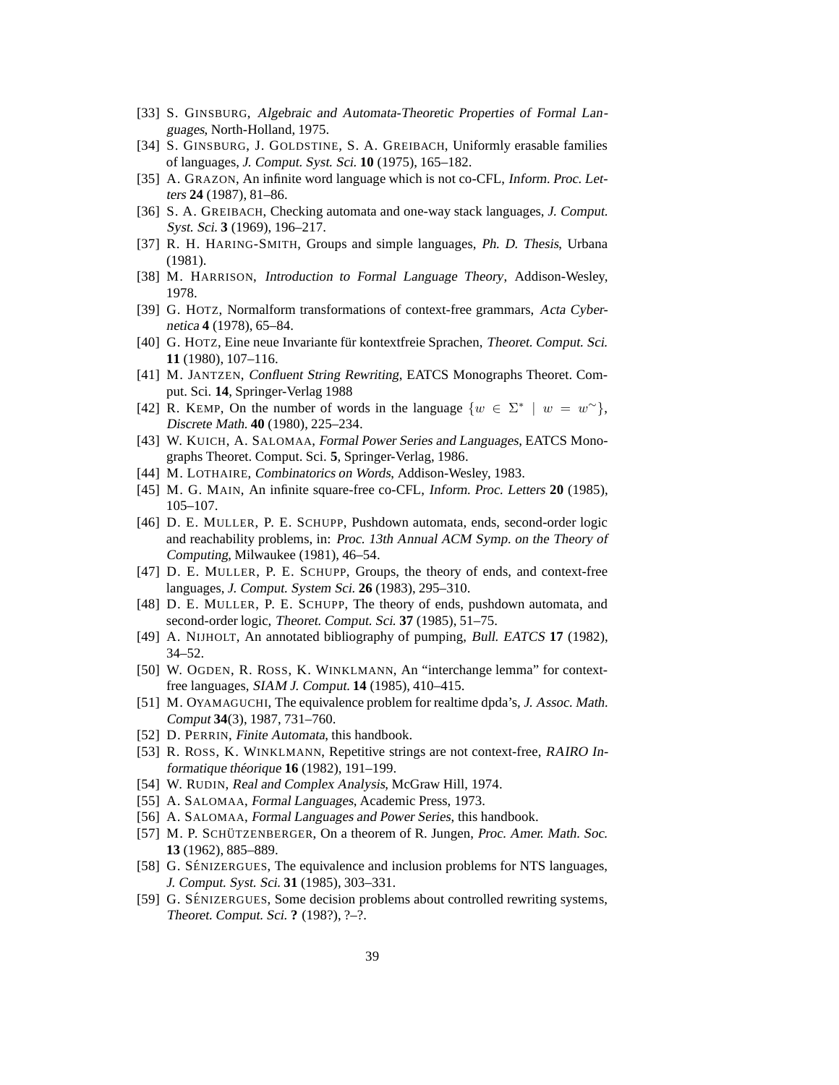- [33] S. GINSBURG, Algebraic and Automata-Theoretic Properties of Formal Languages, North-Holland, 1975.
- [34] S. GINSBURG, J. GOLDSTINE, S. A. GREIBACH, Uniformly erasable families of languages, J. Comput. Syst. Sci. **10** (1975), 165–182.
- [35] A. GRAZON, An infinite word language which is not co-CFL, Inform. Proc. Letters **24** (1987), 81–86.
- [36] S. A. GREIBACH, Checking automata and one-way stack languages, J. Comput. Syst. Sci. **3** (1969), 196–217.
- [37] R. H. HARING-SMITH, Groups and simple languages, Ph. D. Thesis, Urbana (1981).
- [38] M. HARRISON, Introduction to Formal Language Theory, Addison-Wesley, 1978.
- [39] G. HOTZ, Normalform transformations of context-free grammars, Acta Cybernetica **4** (1978), 65–84.
- [40] G. HOTZ, Eine neue Invariante für kontextfreie Sprachen, Theoret. Comput. Sci. **11** (1980), 107–116.
- [41] M. JANTZEN, Confluent String Rewriting, EATCS Monographs Theoret. Comput. Sci. **14**, Springer-Verlag 1988
- [42] R. KEMP, On the number of words in the language  $\{w \in \Sigma^* \mid w = w^{\sim}\},$ Discrete Math. **40** (1980), 225–234.
- [43] W. KUICH, A. SALOMAA, Formal Power Series and Languages, EATCS Monographs Theoret. Comput. Sci. **5**, Springer-Verlag, 1986.
- [44] M. LOTHAIRE, Combinatorics on Words, Addison-Wesley, 1983.
- [45] M. G. MAIN, An infinite square-free co-CFL, Inform. Proc. Letters **20** (1985), 105–107.
- [46] D. E. MULLER, P. E. SCHUPP, Pushdown automata, ends, second-order logic and reachability problems, in: Proc. 13th Annual ACM Symp. on the Theory of Computing, Milwaukee (1981), 46–54.
- [47] D. E. MULLER, P. E. SCHUPP, Groups, the theory of ends, and context-free languages, J. Comput. System Sci. **26** (1983), 295–310.
- [48] D. E. MULLER, P. E. SCHUPP, The theory of ends, pushdown automata, and second-order logic, Theoret. Comput. Sci. **37** (1985), 51–75.
- [49] A. NIJHOLT, An annotated bibliography of pumping, Bull. EATCS **17** (1982), 34–52.
- [50] W. OGDEN, R. ROSS, K. WINKLMANN, An "interchange lemma" for contextfree languages, SIAM J. Comput. **14** (1985), 410–415.
- [51] M. OYAMAGUCHI, The equivalence problem for realtime dpda's, J. Assoc. Math. Comput **34**(3), 1987, 731–760.
- [52] D. PERRIN, Finite Automata, this handbook.
- [53] R. ROSS, K. WINKLMANN, Repetitive strings are not context-free, RAIRO Informatique théorique **16** (1982), 191-199.
- [54] W. RUDIN, Real and Complex Analysis, McGraw Hill, 1974.
- [55] A. SALOMAA, Formal Languages, Academic Press, 1973.
- [56] A. SALOMAA, Formal Languages and Power Series, this handbook.
- [57] M. P. SCHÜTZENBERGER, On a theorem of R. Jungen, Proc. Amer. Math. Soc. **13** (1962), 885–889.
- [58] G. SÉNIZERGUES, The equivalence and inclusion problems for NTS languages, J. Comput. Syst. Sci. **31** (1985), 303–331.
- [59] G. SÉNIZERGUES, Some decision problems about controlled rewriting systems, Theoret. Comput. Sci. **?** (198?), ?–?.